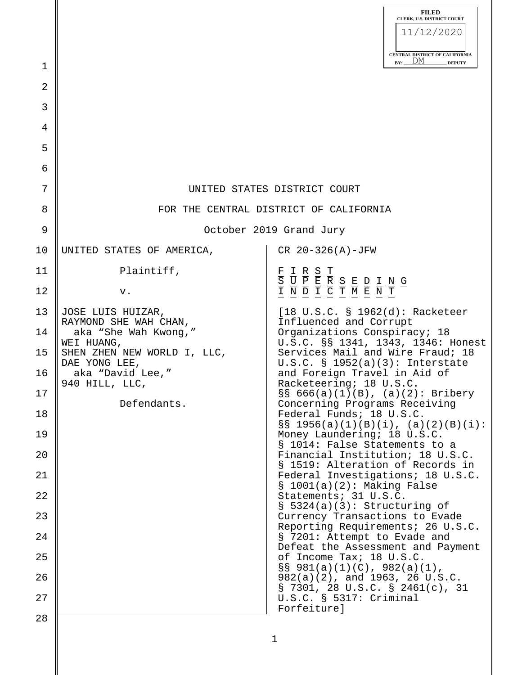|          |                                                                                  | <b>FILED</b><br>CLERK, U.S. DISTRICT COURT<br>11/12/2020<br>CENTRAL DISTRICT OF CALIFORNIA                                                                                                  |  |  |  |  |  |
|----------|----------------------------------------------------------------------------------|---------------------------------------------------------------------------------------------------------------------------------------------------------------------------------------------|--|--|--|--|--|
| 1        |                                                                                  | DM<br>BY:<br><b>DEPUTY</b>                                                                                                                                                                  |  |  |  |  |  |
| 2        |                                                                                  |                                                                                                                                                                                             |  |  |  |  |  |
| 3        |                                                                                  |                                                                                                                                                                                             |  |  |  |  |  |
| 4        |                                                                                  |                                                                                                                                                                                             |  |  |  |  |  |
| 5        |                                                                                  |                                                                                                                                                                                             |  |  |  |  |  |
| 6        |                                                                                  |                                                                                                                                                                                             |  |  |  |  |  |
| 7        | UNITED STATES DISTRICT COURT                                                     |                                                                                                                                                                                             |  |  |  |  |  |
| 8        | FOR THE CENTRAL DISTRICT OF CALIFORNIA                                           |                                                                                                                                                                                             |  |  |  |  |  |
| 9        | October 2019 Grand Jury                                                          |                                                                                                                                                                                             |  |  |  |  |  |
| 10       | UNITED STATES OF AMERICA,                                                        | $CR$ 20-326(A)-JFW                                                                                                                                                                          |  |  |  |  |  |
| 11       | Plaintiff,                                                                       | $\begin{tabular}{c c c c c c c} \hline $E$ & I & R & S & T \\ \hline $S$ & U & P & E & R & S & E & D & I & N & G \\ \hline $I$ & N & D & I & C & T & M & E & N & T \\ \hline \end{tabular}$ |  |  |  |  |  |
| 12       | v.                                                                               |                                                                                                                                                                                             |  |  |  |  |  |
| 13<br>14 | JOSE LUIS HUIZAR,<br>RAYMOND SHE WAH CHAN,<br>aka "She Wah Kwong,"<br>WEI HUANG, | $[18 \text{ U.S.C. } $ 1962(d): Racketeer$<br>Influenced and Corrupt<br>Organizations Conspiracy; 18<br>U.S.C. §§ 1341, 1343, 1346: Honest                                                  |  |  |  |  |  |
| 15       | SHEN ZHEN NEW WORLD I, LLC,<br>DAE YONG LEE,<br>aka "David Lee,"                 | Services Mail and Wire Fraud; 18<br>U.S.C. S 1952(a)(3): Interstate                                                                                                                         |  |  |  |  |  |
| 16<br>17 | 940 HILL, LLC,                                                                   | and Foreign Travel in Aid of<br>Racketeering; 18 U.S.C.<br>$\S$ § 666(a)(1)(B), (a)(2): Bribery                                                                                             |  |  |  |  |  |
| 18       | Defendants.                                                                      | Concerning Programs Receiving<br>Federal Funds; 18 U.S.C.                                                                                                                                   |  |  |  |  |  |
| 19       |                                                                                  | $S\ S$ 1956(a)(1)(B)(i), (a)(2)(B)(i):<br>Money Laundering; 18 U.S.C.                                                                                                                       |  |  |  |  |  |
| 20       |                                                                                  | § 1014: False Statements to a<br>Financial Institution; 18 U.S.C.                                                                                                                           |  |  |  |  |  |
| 21       |                                                                                  | § 1519: Alteration of Records in<br>Federal Investigations; 18 U.S.C.                                                                                                                       |  |  |  |  |  |
| 22       |                                                                                  | $$1001(a)(2):$ Making False<br>Statements; 31 U.S.C.                                                                                                                                        |  |  |  |  |  |
| 23       |                                                                                  | $\S$ 5324(a)(3): Structuring of<br>Currency Transactions to Evade                                                                                                                           |  |  |  |  |  |
| 24       |                                                                                  | Reporting Requirements; 26 U.S.C.<br>§ 7201: Attempt to Evade and                                                                                                                           |  |  |  |  |  |
| 25       |                                                                                  | Defeat the Assessment and Payment<br>of Income Tax; 18 U.S.C.                                                                                                                               |  |  |  |  |  |
| 26       |                                                                                  | $S\ S 981(a)(1)(C)$ , 982(a)(1),<br>$982(a)(2)$ , and 1963, 26 U.S.C.                                                                                                                       |  |  |  |  |  |
| 27       |                                                                                  | § 7301, 28 U.S.C. § 2461(c), 31<br>U.S.C. § 5317: Criminal                                                                                                                                  |  |  |  |  |  |
| 28       |                                                                                  | Forfeiture]                                                                                                                                                                                 |  |  |  |  |  |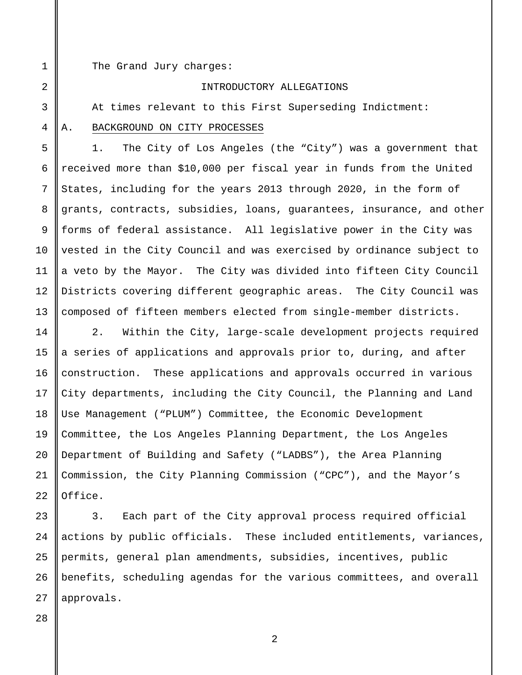1 2

3

4

5

6

7

8

9

10

11

12

13

The Grand Jury charges:

### INTRODUCTORY ALLEGATIONS

At times relevant to this First Superseding Indictment:

# A. BACKGROUND ON CITY PROCESSES

1. The City of Los Angeles (the "City") was a government that received more than \$10,000 per fiscal year in funds from the United States, including for the years 2013 through 2020, in the form of grants, contracts, subsidies, loans, guarantees, insurance, and other forms of federal assistance. All legislative power in the City was vested in the City Council and was exercised by ordinance subject to a veto by the Mayor. The City was divided into fifteen City Council Districts covering different geographic areas. The City Council was composed of fifteen members elected from single-member districts.

14 15 16 17 18 19 20 21 22 2. Within the City, large-scale development projects required a series of applications and approvals prior to, during, and after construction. These applications and approvals occurred in various City departments, including the City Council, the Planning and Land Use Management ("PLUM") Committee, the Economic Development Committee, the Los Angeles Planning Department, the Los Angeles Department of Building and Safety ("LADBS"), the Area Planning Commission, the City Planning Commission ("CPC"), and the Mayor's Office.

23 24 25 26 27 3. Each part of the City approval process required official actions by public officials. These included entitlements, variances, permits, general plan amendments, subsidies, incentives, public benefits, scheduling agendas for the various committees, and overall approvals.

28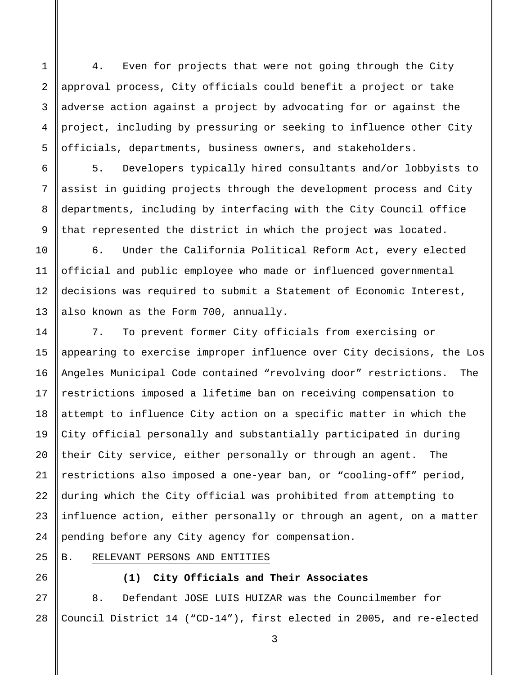4. Even for projects that were not going through the City approval process, City officials could benefit a project or take adverse action against a project by advocating for or against the project, including by pressuring or seeking to influence other City officials, departments, business owners, and stakeholders.

5. Developers typically hired consultants and/or lobbyists to assist in guiding projects through the development process and City departments, including by interfacing with the City Council office that represented the district in which the project was located.

6. Under the California Political Reform Act, every elected official and public employee who made or influenced governmental decisions was required to submit a Statement of Economic Interest, also known as the Form 700, annually.

14 15 16 17 18 19 20 21 22 23 24 7. To prevent former City officials from exercising or appearing to exercise improper influence over City decisions, the Los Angeles Municipal Code contained "revolving door" restrictions. The restrictions imposed a lifetime ban on receiving compensation to attempt to influence City action on a specific matter in which the City official personally and substantially participated in during their City service, either personally or through an agent. The restrictions also imposed a one-year ban, or "cooling-off" period, during which the City official was prohibited from attempting to influence action, either personally or through an agent, on a matter pending before any City agency for compensation.

B. RELEVANT PERSONS AND ENTITIES

1

2

3

4

5

6

7

8

9

10

11

12

13

25

26

**(1) City Officials and Their Associates**

27 28 8. Defendant JOSE LUIS HUIZAR was the Councilmember for Council District 14 ("CD-14"), first elected in 2005, and re-elected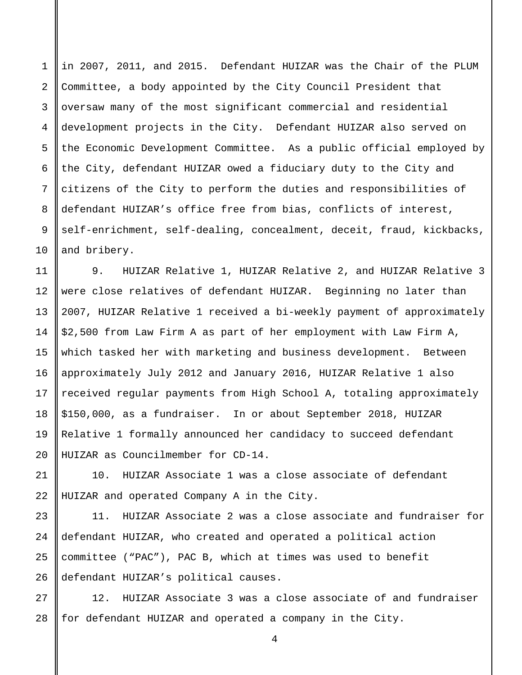in 2007, 2011, and 2015. Defendant HUIZAR was the Chair of the PLUM Committee, a body appointed by the City Council President that oversaw many of the most significant commercial and residential development projects in the City. Defendant HUIZAR also served on the Economic Development Committee. As a public official employed by the City, defendant HUIZAR owed a fiduciary duty to the City and citizens of the City to perform the duties and responsibilities of defendant HUIZAR's office free from bias, conflicts of interest, self-enrichment, self-dealing, concealment, deceit, fraud, kickbacks, and bribery.

1

2

3

4

5

6

7

8

9

10

21

22

11 12 13 14 15 16 17 18 19  $2.0$ 9. HUIZAR Relative 1, HUIZAR Relative 2, and HUIZAR Relative 3 were close relatives of defendant HUIZAR. Beginning no later than 2007, HUIZAR Relative 1 received a bi-weekly payment of approximately \$2,500 from Law Firm A as part of her employment with Law Firm A, which tasked her with marketing and business development. Between approximately July 2012 and January 2016, HUIZAR Relative 1 also received regular payments from High School A, totaling approximately \$150,000, as a fundraiser. In or about September 2018, HUIZAR Relative 1 formally announced her candidacy to succeed defendant HUIZAR as Councilmember for CD-14.

10. HUIZAR Associate 1 was a close associate of defendant HUIZAR and operated Company A in the City.

23 24 25 26 11. HUIZAR Associate 2 was a close associate and fundraiser for defendant HUIZAR, who created and operated a political action committee ("PAC"), PAC B, which at times was used to benefit defendant HUIZAR's political causes.

27 28 12. HUIZAR Associate 3 was a close associate of and fundraiser for defendant HUIZAR and operated a company in the City.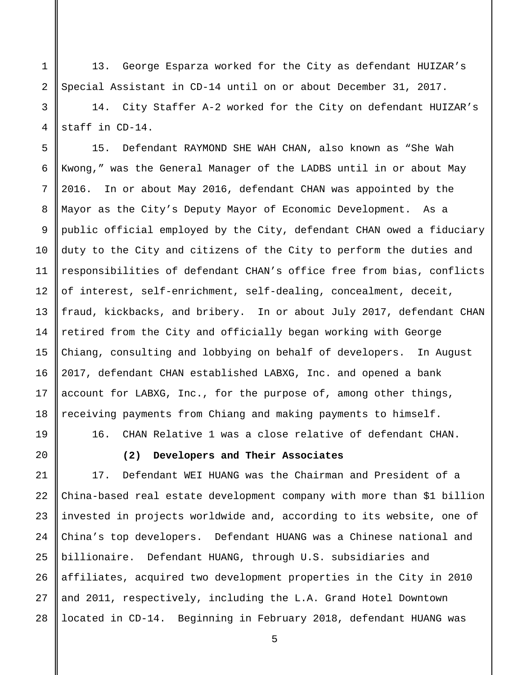13. George Esparza worked for the City as defendant HUIZAR's Special Assistant in CD-14 until on or about December 31, 2017.

14. City Staffer A-2 worked for the City on defendant HUIZAR's staff in CD-14.

5 6 7 8 9 10 11 12 13 14 15 16 17 18 15. Defendant RAYMOND SHE WAH CHAN, also known as "She Wah Kwong," was the General Manager of the LADBS until in or about May 2016. In or about May 2016, defendant CHAN was appointed by the Mayor as the City's Deputy Mayor of Economic Development. As a public official employed by the City, defendant CHAN owed a fiduciary duty to the City and citizens of the City to perform the duties and responsibilities of defendant CHAN's office free from bias, conflicts of interest, self-enrichment, self-dealing, concealment, deceit, fraud, kickbacks, and bribery. In or about July 2017, defendant CHAN retired from the City and officially began working with George Chiang, consulting and lobbying on behalf of developers. In August 2017, defendant CHAN established LABXG, Inc. and opened a bank account for LABXG, Inc., for the purpose of, among other things, receiving payments from Chiang and making payments to himself.

19

20

1

2

3

4

16. CHAN Relative 1 was a close relative of defendant CHAN.

**(2) Developers and Their Associates**

21 22 23 24 25 26 27 28 17. Defendant WEI HUANG was the Chairman and President of a China-based real estate development company with more than \$1 billion invested in projects worldwide and, according to its website, one of China's top developers. Defendant HUANG was a Chinese national and billionaire. Defendant HUANG, through U.S. subsidiaries and affiliates, acquired two development properties in the City in 2010 and 2011, respectively, including the L.A. Grand Hotel Downtown located in CD-14. Beginning in February 2018, defendant HUANG was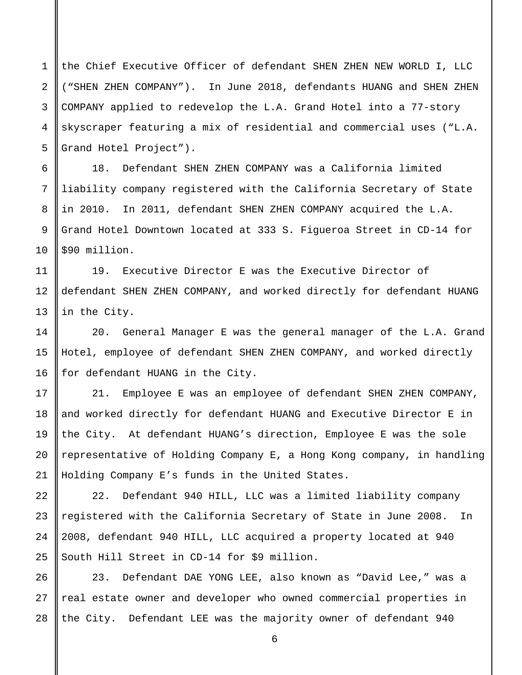1 2 3 4 5 the Chief Executive Officer of defendant SHEN ZHEN NEW WORLD I, LLC ("SHEN ZHEN COMPANY"). In June 2018, defendants HUANG and SHEN ZHEN COMPANY applied to redevelop the L.A. Grand Hotel into a 77-story skyscraper featuring a mix of residential and commercial uses ("L.A. Grand Hotel Project").

18. Defendant SHEN ZHEN COMPANY was a California limited liability company registered with the California Secretary of State in 2010. In 2011, defendant SHEN ZHEN COMPANY acquired the L.A. Grand Hotel Downtown located at 333 S. Figueroa Street in CD-14 for \$90 million.

19. Executive Director E was the Executive Director of defendant SHEN ZHEN COMPANY, and worked directly for defendant HUANG in the City.

20. General Manager E was the general manager of the L.A. Grand Hotel, employee of defendant SHEN ZHEN COMPANY, and worked directly for defendant HUANG in the City.

21. Employee E was an employee of defendant SHEN ZHEN COMPANY, and worked directly for defendant HUANG and Executive Director E in the City. At defendant HUANG's direction, Employee E was the sole representative of Holding Company E, a Hong Kong company, in handling Holding Company E's funds in the United States.

22. Defendant 940 HILL, LLC was a limited liability company registered with the California Secretary of State in June 2008. In 2008, defendant 940 HILL, LLC acquired a property located at 940 South Hill Street in CD-14 for \$9 million.

28 23. Defendant DAE YONG LEE, also known as "David Lee," was a real estate owner and developer who owned commercial properties in the City. Defendant LEE was the majority owner of defendant 940

6

7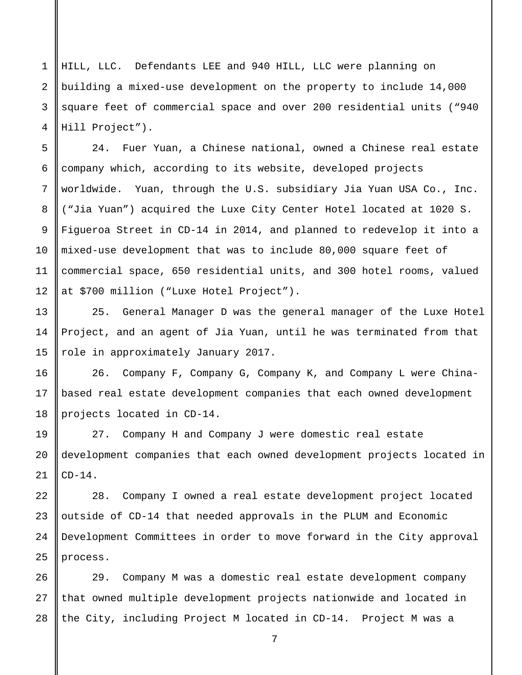HILL, LLC. Defendants LEE and 940 HILL, LLC were planning on building a mixed-use development on the property to include 14,000 square feet of commercial space and over 200 residential units ("940 Hill Project").

24. Fuer Yuan, a Chinese national, owned a Chinese real estate company which, according to its website, developed projects worldwide. Yuan, through the U.S. subsidiary Jia Yuan USA Co., Inc. ("Jia Yuan") acquired the Luxe City Center Hotel located at 1020 S. Figueroa Street in CD-14 in 2014, and planned to redevelop it into a mixed-use development that was to include 80,000 square feet of commercial space, 650 residential units, and 300 hotel rooms, valued at \$700 million ("Luxe Hotel Project").

25. General Manager D was the general manager of the Luxe Hotel Project, and an agent of Jia Yuan, until he was terminated from that role in approximately January 2017.

16 17 18 26. Company F, Company G, Company K, and Company L were Chinabased real estate development companies that each owned development projects located in CD-14.

19 20 21 27. Company H and Company J were domestic real estate development companies that each owned development projects located in  $CD-14$ .

22 23 24 25 28. Company I owned a real estate development project located outside of CD-14 that needed approvals in the PLUM and Economic Development Committees in order to move forward in the City approval process.

26 27 28 29. Company M was a domestic real estate development company that owned multiple development projects nationwide and located in the City, including Project M located in CD-14. Project M was a

7

1

2

3

4

5

6

7

8

9

10

11

12

13

14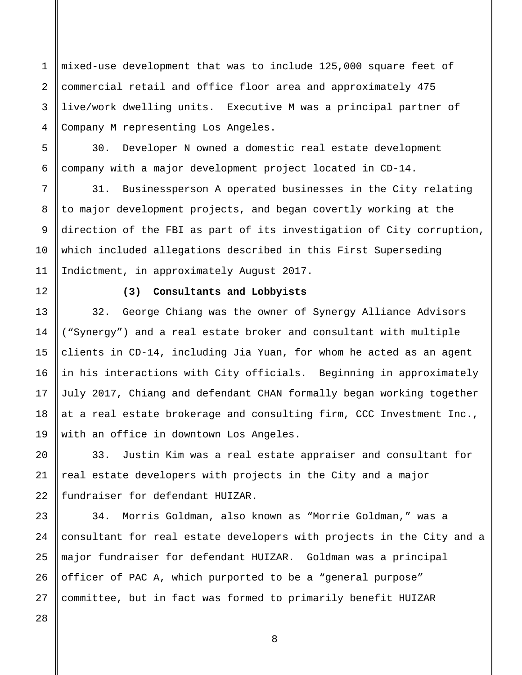1 2 3 4 mixed-use development that was to include 125,000 square feet of commercial retail and office floor area and approximately 475 live/work dwelling units. Executive M was a principal partner of Company M representing Los Angeles.

30. Developer N owned a domestic real estate development company with a major development project located in CD-14.

31. Businessperson A operated businesses in the City relating to major development projects, and began covertly working at the direction of the FBI as part of its investigation of City corruption, which included allegations described in this First Superseding Indictment, in approximately August 2017.

5

6

7

8

9

10

11

12

13

14

15

16

17

18

19

20

21

22

23

24

25

26

27

# **(3) Consultants and Lobbyists**

32. George Chiang was the owner of Synergy Alliance Advisors ("Synergy") and a real estate broker and consultant with multiple clients in CD-14, including Jia Yuan, for whom he acted as an agent in his interactions with City officials. Beginning in approximately July 2017, Chiang and defendant CHAN formally began working together at a real estate brokerage and consulting firm, CCC Investment Inc., with an office in downtown Los Angeles.

33. Justin Kim was a real estate appraiser and consultant for real estate developers with projects in the City and a major fundraiser for defendant HUIZAR.

34. Morris Goldman, also known as "Morrie Goldman," was a consultant for real estate developers with projects in the City and a major fundraiser for defendant HUIZAR. Goldman was a principal officer of PAC A, which purported to be a "general purpose" committee, but in fact was formed to primarily benefit HUIZAR

28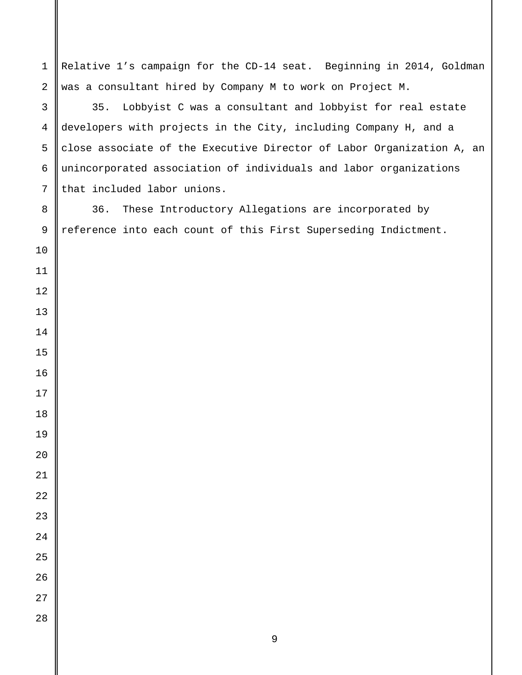Relative 1's campaign for the CD-14 seat. Beginning in 2014, Goldman was a consultant hired by Company M to work on Project M. 35. Lobbyist C was a consultant and lobbyist for real estate developers with projects in the City, including Company H, and a close associate of the Executive Director of Labor Organization A, an unincorporated association of individuals and labor organizations that included labor unions. 36. These Introductory Allegations are incorporated by reference into each count of this First Superseding Indictment.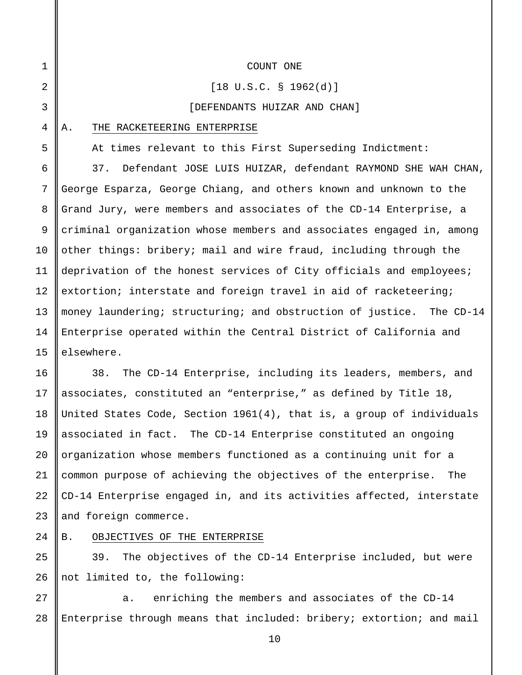2 3

4

5

6

7

8

9

10

11

12

13

14

15

25

26

1

#### COUNT ONE

#### [18 U.S.C. § 1962(d)]

#### [DEFENDANTS HUIZAR AND CHAN]

#### A. THE RACKETEERING ENTERPRISE

At times relevant to this First Superseding Indictment:

37. Defendant JOSE LUIS HUIZAR, defendant RAYMOND SHE WAH CHAN, George Esparza, George Chiang, and others known and unknown to the Grand Jury, were members and associates of the CD-14 Enterprise, a criminal organization whose members and associates engaged in, among other things: bribery; mail and wire fraud, including through the deprivation of the honest services of City officials and employees; extortion; interstate and foreign travel in aid of racketeering; money laundering; structuring; and obstruction of justice. The CD-14 Enterprise operated within the Central District of California and elsewhere.

16 17 18 19 20 21 22 23 38. The CD-14 Enterprise, including its leaders, members, and associates, constituted an "enterprise," as defined by Title 18, United States Code, Section 1961(4), that is, a group of individuals associated in fact. The CD-14 Enterprise constituted an ongoing organization whose members functioned as a continuing unit for a common purpose of achieving the objectives of the enterprise. The CD-14 Enterprise engaged in, and its activities affected, interstate and foreign commerce.

#### 24 B. OBJECTIVES OF THE ENTERPRISE

39. The objectives of the CD-14 Enterprise included, but were not limited to, the following:

27 28 a. enriching the members and associates of the CD-14 Enterprise through means that included: bribery; extortion; and mail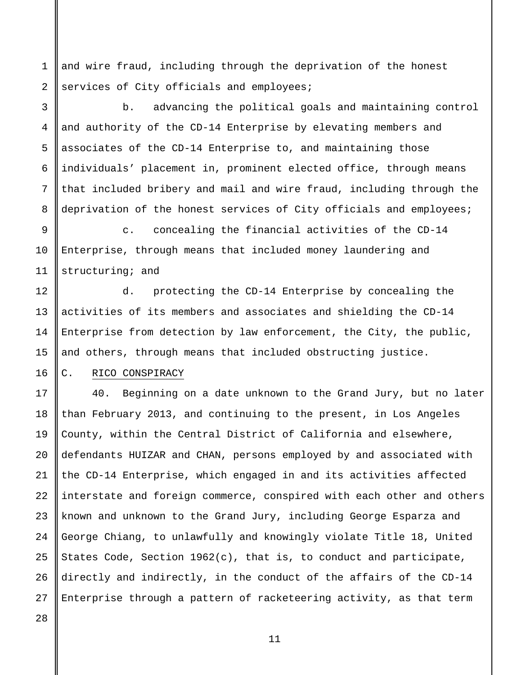1 2 and wire fraud, including through the deprivation of the honest services of City officials and employees;

3 4 5 6 7 8 b. advancing the political goals and maintaining control and authority of the CD-14 Enterprise by elevating members and associates of the CD-14 Enterprise to, and maintaining those individuals' placement in, prominent elected office, through means that included bribery and mail and wire fraud, including through the deprivation of the honest services of City officials and employees;

9 10 11 c. concealing the financial activities of the CD-14 Enterprise, through means that included money laundering and structuring; and

d. protecting the CD-14 Enterprise by concealing the activities of its members and associates and shielding the CD-14 Enterprise from detection by law enforcement, the City, the public, and others, through means that included obstructing justice.

# C. RICO CONSPIRACY

17 18 19 20 21 22 23 24 25 26 40. Beginning on a date unknown to the Grand Jury, but no later than February 2013, and continuing to the present, in Los Angeles County, within the Central District of California and elsewhere, defendants HUIZAR and CHAN, persons employed by and associated with the CD-14 Enterprise, which engaged in and its activities affected interstate and foreign commerce, conspired with each other and others known and unknown to the Grand Jury, including George Esparza and George Chiang, to unlawfully and knowingly violate Title 18, United States Code, Section 1962(c), that is, to conduct and participate, directly and indirectly, in the conduct of the affairs of the CD-14 Enterprise through a pattern of racketeering activity, as that term

27 28

12

13

14

15

16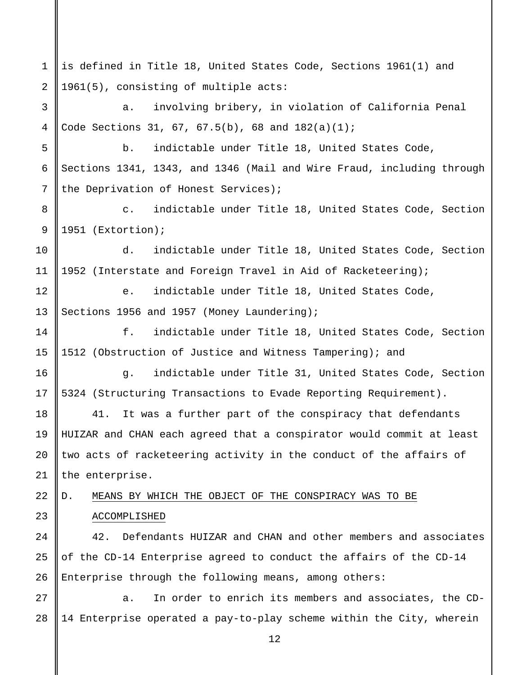12 1 2 3 4 5 6 7 8 9 10 11 12 13 14 15 16 17 18 19 20 21 22 23 24 25 26 27 28 is defined in Title 18, United States Code, Sections 1961(1) and 1961(5), consisting of multiple acts: a. involving bribery, in violation of California Penal Code Sections 31, 67, 67.5(b), 68 and  $182(a)(1)$ ; b. indictable under Title 18, United States Code, Sections 1341, 1343, and 1346 (Mail and Wire Fraud, including through the Deprivation of Honest Services); c. indictable under Title 18, United States Code, Section 1951 (Extortion); d. indictable under Title 18, United States Code, Section 1952 (Interstate and Foreign Travel in Aid of Racketeering); e. indictable under Title 18, United States Code, Sections 1956 and 1957 (Money Laundering); f. indictable under Title 18, United States Code, Section 1512 (Obstruction of Justice and Witness Tampering); and g. indictable under Title 31, United States Code, Section 5324 (Structuring Transactions to Evade Reporting Requirement). 41. It was a further part of the conspiracy that defendants HUIZAR and CHAN each agreed that a conspirator would commit at least two acts of racketeering activity in the conduct of the affairs of the enterprise. D. MEANS BY WHICH THE OBJECT OF THE CONSPIRACY WAS TO BE ACCOMPLISHED 42. Defendants HUIZAR and CHAN and other members and associates of the CD-14 Enterprise agreed to conduct the affairs of the CD-14 Enterprise through the following means, among others: a. In order to enrich its members and associates, the CD-14 Enterprise operated a pay-to-play scheme within the City, wherein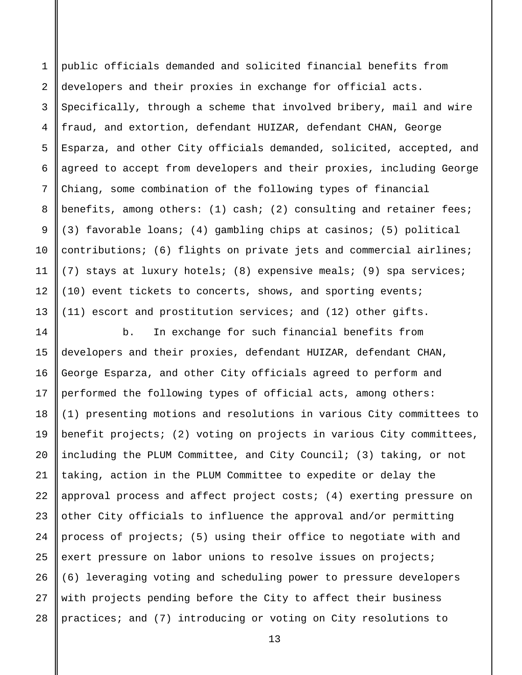1 2 3 4 5 6 7 8 9 10 11 12 13 public officials demanded and solicited financial benefits from developers and their proxies in exchange for official acts. Specifically, through a scheme that involved bribery, mail and wire fraud, and extortion, defendant HUIZAR, defendant CHAN, George Esparza, and other City officials demanded, solicited, accepted, and agreed to accept from developers and their proxies, including George Chiang, some combination of the following types of financial benefits, among others: (1) cash; (2) consulting and retainer fees; (3) favorable loans; (4) gambling chips at casinos; (5) political contributions; (6) flights on private jets and commercial airlines; (7) stays at luxury hotels; (8) expensive meals; (9) spa services; (10) event tickets to concerts, shows, and sporting events; (11) escort and prostitution services; and (12) other gifts.

14 15 16 17 18 19 20 21 22 23 24 25 26 27 28 b. In exchange for such financial benefits from developers and their proxies, defendant HUIZAR, defendant CHAN, George Esparza, and other City officials agreed to perform and performed the following types of official acts, among others: (1) presenting motions and resolutions in various City committees to benefit projects; (2) voting on projects in various City committees, including the PLUM Committee, and City Council; (3) taking, or not taking, action in the PLUM Committee to expedite or delay the approval process and affect project costs; (4) exerting pressure on other City officials to influence the approval and/or permitting process of projects; (5) using their office to negotiate with and exert pressure on labor unions to resolve issues on projects; (6) leveraging voting and scheduling power to pressure developers with projects pending before the City to affect their business practices; and (7) introducing or voting on City resolutions to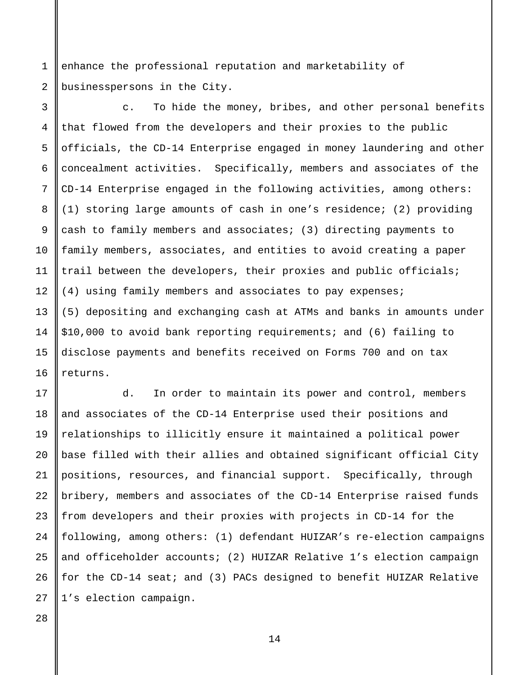1 2 enhance the professional reputation and marketability of businesspersons in the City.

3 4 5 6 7 8 9 10 11 12 13 14 15 16 c. To hide the money, bribes, and other personal benefits that flowed from the developers and their proxies to the public officials, the CD-14 Enterprise engaged in money laundering and other concealment activities. Specifically, members and associates of the CD-14 Enterprise engaged in the following activities, among others: (1) storing large amounts of cash in one's residence; (2) providing cash to family members and associates; (3) directing payments to family members, associates, and entities to avoid creating a paper trail between the developers, their proxies and public officials; (4) using family members and associates to pay expenses; (5) depositing and exchanging cash at ATMs and banks in amounts under \$10,000 to avoid bank reporting requirements; and (6) failing to disclose payments and benefits received on Forms 700 and on tax returns.

17 18 19 20 21 22 23 24 25 26 27 d. In order to maintain its power and control, members and associates of the CD-14 Enterprise used their positions and relationships to illicitly ensure it maintained a political power base filled with their allies and obtained significant official City positions, resources, and financial support. Specifically, through bribery, members and associates of the CD-14 Enterprise raised funds from developers and their proxies with projects in CD-14 for the following, among others: (1) defendant HUIZAR's re-election campaigns and officeholder accounts; (2) HUIZAR Relative 1's election campaign for the CD-14 seat; and (3) PACs designed to benefit HUIZAR Relative 1's election campaign.

28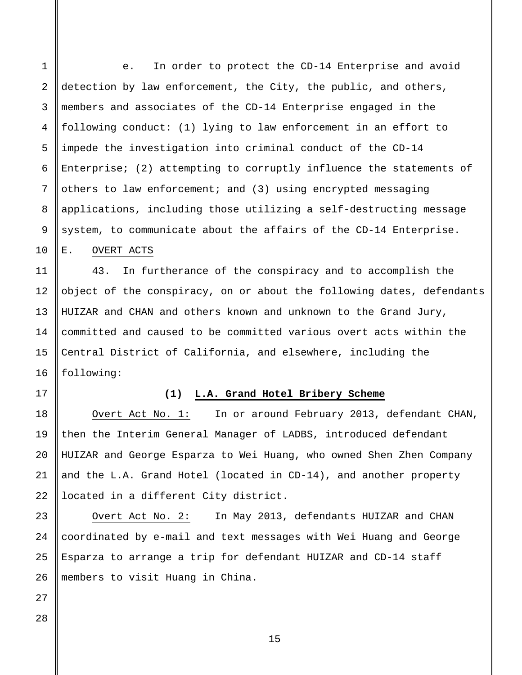1 2 3 4 5 6 7 8 9 e. In order to protect the CD-14 Enterprise and avoid detection by law enforcement, the City, the public, and others, members and associates of the CD-14 Enterprise engaged in the following conduct: (1) lying to law enforcement in an effort to impede the investigation into criminal conduct of the CD-14 Enterprise; (2) attempting to corruptly influence the statements of others to law enforcement; and (3) using encrypted messaging applications, including those utilizing a self-destructing message system, to communicate about the affairs of the CD-14 Enterprise.

E. OVERT ACTS

10

11

12

13

14

15

16

17

18

19

20

21

22

23

24

25

26

43. In furtherance of the conspiracy and to accomplish the object of the conspiracy, on or about the following dates, defendants HUIZAR and CHAN and others known and unknown to the Grand Jury, committed and caused to be committed various overt acts within the Central District of California, and elsewhere, including the following:

**(1) L.A. Grand Hotel Bribery Scheme**

Overt Act No. 1: In or around February 2013, defendant CHAN, then the Interim General Manager of LADBS, introduced defendant HUIZAR and George Esparza to Wei Huang, who owned Shen Zhen Company and the L.A. Grand Hotel (located in CD-14), and another property located in a different City district.

Overt Act No. 2: In May 2013, defendants HUIZAR and CHAN coordinated by e-mail and text messages with Wei Huang and George Esparza to arrange a trip for defendant HUIZAR and CD-14 staff members to visit Huang in China.

27 28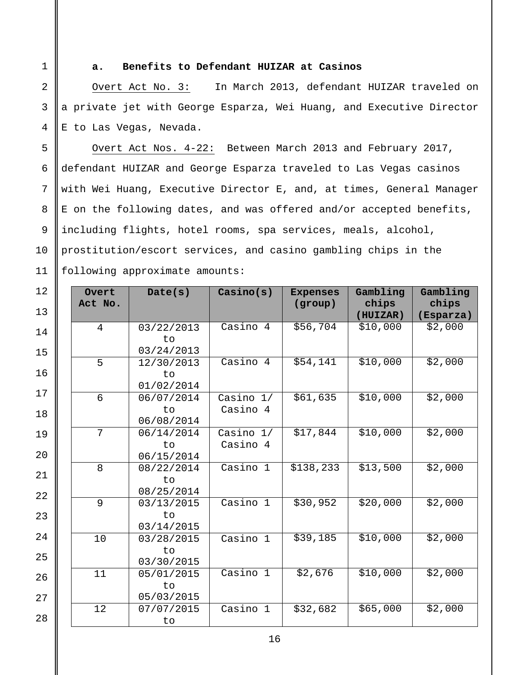1

2

3

4

5

6

7

8

9

10

11

## **a. Benefits to Defendant HUIZAR at Casinos**

Overt Act No. 3: In March 2013, defendant HUIZAR traveled on a private jet with George Esparza, Wei Huang, and Executive Director E to Las Vegas, Nevada.

Overt Act Nos. 4-22: Between March 2013 and February 2017, defendant HUIZAR and George Esparza traveled to Las Vegas casinos with Wei Huang, Executive Director E, and, at times, General Manager E on the following dates, and was offered and/or accepted benefits, including flights, hotel rooms, spa services, meals, alcohol, prostitution/escort services, and casino gambling chips in the following approximate amounts:

| 12<br>13 | Overt<br>Act No. | Date(s)                        | Casino(s)               | <b>Expenses</b><br>(group) | Gambling<br>chips<br>(HUIZAR) | Gambling<br>chips<br>(Esparza) |
|----------|------------------|--------------------------------|-------------------------|----------------------------|-------------------------------|--------------------------------|
| 14       | $\overline{4}$   | 03/22/2013<br>to<br>03/24/2013 | Casino 4                | \$56,704                   | \$10,000                      | \$2,000                        |
| 15<br>16 | 5                | 12/30/2013<br>to<br>01/02/2014 | $Casino$ 4              | \$54,141                   | \$10,000                      | \$2,000                        |
| 17<br>18 | $6\overline{6}$  | 06/07/2014<br>to<br>06/08/2014 | Casino $1/$<br>Casino 4 | \$61,635                   | \$10,000                      | \$2,000                        |
| 19<br>20 | 7                | 06/14/2014<br>to<br>06/15/2014 | Casino $1/$<br>Casino 4 | \$17,844                   | \$10,000                      | \$2,000                        |
| 21       | 8                | 08/22/2014<br>to<br>08/25/2014 | Casino 1                | \$138, 233                 | \$13,500                      | \$2,000                        |
| 22<br>23 | 9                | 03/13/2015<br>to<br>03/14/2015 | Casino 1                | \$30,952                   | \$20,000                      | $\frac{1}{22,000}$             |
| 24<br>25 | $10$             | 03/28/2015<br>to<br>03/30/2015 | Casino 1                | \$39,185                   | \$10,000                      | \$2,000                        |
| 26<br>27 | 11               | 05/01/2015<br>to<br>05/03/2015 | Casino 1                | \$2,676                    | \$10,000                      | \$2,000                        |
| 28       | 12               | 07/07/2015<br>to               | Casino 1                | \$32,682                   | \$65,000                      | \$2,000                        |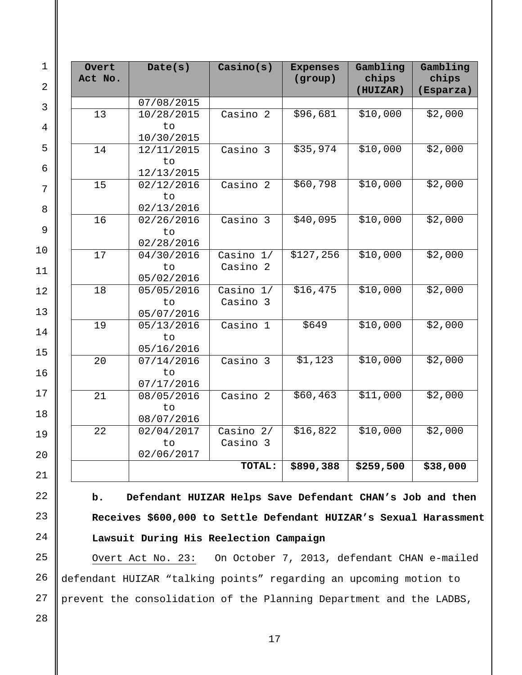| Overt<br>Act No. | Date(s)          | Casino(s)               | <b>Expenses</b><br>(group) | Gambling<br>chips<br>(HUIZAR) | Gambling<br>chips<br>(Esparza) |
|------------------|------------------|-------------------------|----------------------------|-------------------------------|--------------------------------|
|                  | 07/08/2015       |                         |                            |                               |                                |
| 13               | 10/28/2015       | Casino 2                | \$96,681                   | \$10,000                      | \$2,000                        |
|                  | to               |                         |                            |                               |                                |
|                  | 10/30/2015       |                         |                            |                               |                                |
| 14               | 12/11/2015       | Casino 3                | \$35,974                   | \$10,000                      | \$2,000                        |
|                  | to               |                         |                            |                               |                                |
|                  | 12/13/2015       |                         |                            |                               |                                |
| 15               | 02/12/2016       | Casino 2                | \$60,798                   | \$10,000                      | \$2,000                        |
|                  | to               |                         |                            |                               |                                |
|                  | 02/13/2016       |                         |                            |                               |                                |
| 16               | 02/26/2016       | Casino 3                | \$40,095                   | \$10,000                      | \$2,000                        |
|                  | to               |                         |                            |                               |                                |
|                  | 02/28/2016       |                         |                            |                               |                                |
| 17               | 04/30/2016       | Casino $1/$             | \$127,256                  | \$10,000                      | \$2,000                        |
|                  | to               | Casino <sub>2</sub>     |                            |                               |                                |
|                  | 05/02/2016       |                         |                            |                               |                                |
| 18               | 05/05/2016       | Casino $1/$             | \$16,475                   | \$10,000                      | \$2,000                        |
|                  | to               | Casino 3                |                            |                               |                                |
|                  | 05/07/2016       |                         |                            |                               |                                |
| 19               | 05/13/2016       | Casino 1                | \$649                      | \$10,000                      | \$2,000                        |
|                  | to               |                         |                            |                               |                                |
|                  | 05/16/2016       |                         |                            |                               |                                |
| 20               | 07/14/2016       | Casino 3                | \$1,123                    | \$10,000                      | \$2,000                        |
|                  | to               |                         |                            |                               |                                |
|                  | 07/17/2016       |                         |                            |                               |                                |
| 21               | 08/05/2016       | Casino 2                | \$60,463                   | \$11,000                      | \$2,000                        |
|                  | to               |                         |                            |                               |                                |
|                  | 08/07/2016       |                         | \$16,822                   | \$10,000                      | \$2,000                        |
| 22               | 02/04/2017       | Casino $2/$<br>Casino 3 |                            |                               |                                |
|                  | to<br>02/06/2017 |                         |                            |                               |                                |
|                  |                  | TOTAL:                  | \$890,388                  | \$259,500                     | \$38,000                       |
|                  |                  |                         |                            |                               |                                |

# **b. Defendant HUIZAR Helps Save Defendant CHAN's Job and then Receives \$600,000 to Settle Defendant HUIZAR's Sexual Harassment Lawsuit During His Reelection Campaign**

Overt Act No. 23: On October 7, 2013, defendant CHAN e-mailed defendant HUIZAR "talking points" regarding an upcoming motion to prevent the consolidation of the Planning Department and the LADBS,

28

23

24

25

26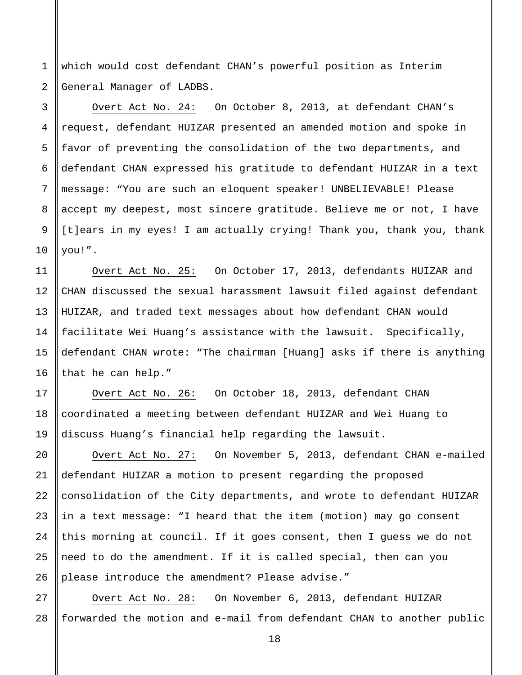1 2 which would cost defendant CHAN's powerful position as Interim General Manager of LADBS.

3 4 5 6 7 8 9 10 Overt Act No. 24: On October 8, 2013, at defendant CHAN's request, defendant HUIZAR presented an amended motion and spoke in favor of preventing the consolidation of the two departments, and defendant CHAN expressed his gratitude to defendant HUIZAR in a text message: "You are such an eloquent speaker! UNBELIEVABLE! Please accept my deepest, most sincere gratitude. Believe me or not, I have [t]ears in my eyes! I am actually crying! Thank you, thank you, thank you!".

Overt Act No. 25: On October 17, 2013, defendants HUIZAR and CHAN discussed the sexual harassment lawsuit filed against defendant HUIZAR, and traded text messages about how defendant CHAN would facilitate Wei Huang's assistance with the lawsuit. Specifically, defendant CHAN wrote: "The chairman [Huang] asks if there is anything that he can help."

Overt Act No. 26: On October 18, 2013, defendant CHAN coordinated a meeting between defendant HUIZAR and Wei Huang to discuss Huang's financial help regarding the lawsuit.

Overt Act No. 27: On November 5, 2013, defendant CHAN e-mailed defendant HUIZAR a motion to present regarding the proposed consolidation of the City departments, and wrote to defendant HUIZAR in a text message: "I heard that the item (motion) may go consent this morning at council. If it goes consent, then I guess we do not need to do the amendment. If it is called special, then can you please introduce the amendment? Please advise."

27 28 Overt Act No. 28: On November 6, 2013, defendant HUIZAR forwarded the motion and e-mail from defendant CHAN to another public

11

12

13

14

15

16

17

18

19

 $2.0$ 

21

22

23

24

25

26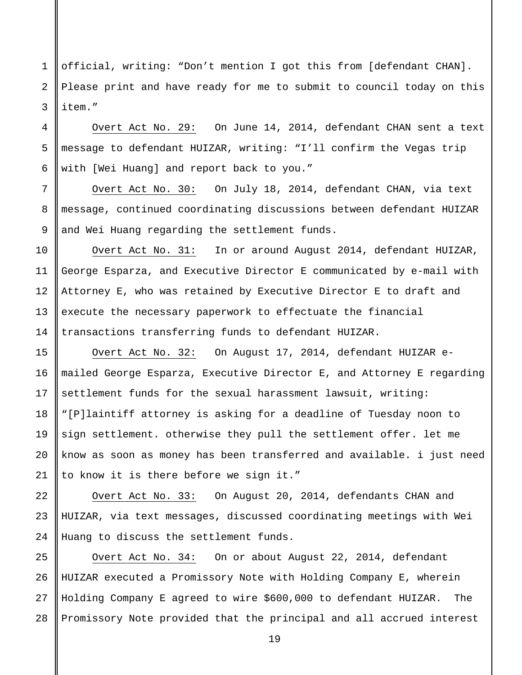1 2 3 official, writing: "Don't mention I got this from [defendant CHAN]. Please print and have ready for me to submit to council today on this item."

Overt Act No. 29: On June 14, 2014, defendant CHAN sent a text message to defendant HUIZAR, writing: "I'll confirm the Vegas trip with [Wei Huang] and report back to you."

Overt Act No. 30: On July 18, 2014, defendant CHAN, via text message, continued coordinating discussions between defendant HUIZAR and Wei Huang regarding the settlement funds.

Overt Act No. 31: In or around August 2014, defendant HUIZAR, George Esparza, and Executive Director E communicated by e-mail with Attorney E, who was retained by Executive Director E to draft and execute the necessary paperwork to effectuate the financial transactions transferring funds to defendant HUIZAR.

Overt Act No. 32: On August 17, 2014, defendant HUIZAR emailed George Esparza, Executive Director E, and Attorney E regarding settlement funds for the sexual harassment lawsuit, writing: "[P]laintiff attorney is asking for a deadline of Tuesday noon to sign settlement. otherwise they pull the settlement offer. let me know as soon as money has been transferred and available. i just need to know it is there before we sign it."

Overt Act No. 33: On August 20, 2014, defendants CHAN and HUIZAR, via text messages, discussed coordinating meetings with Wei Huang to discuss the settlement funds.

28 Overt Act No. 34: On or about August 22, 2014, defendant HUIZAR executed a Promissory Note with Holding Company E, wherein Holding Company E agreed to wire \$600,000 to defendant HUIZAR. The Promissory Note provided that the principal and all accrued interest

4

5

6

7

8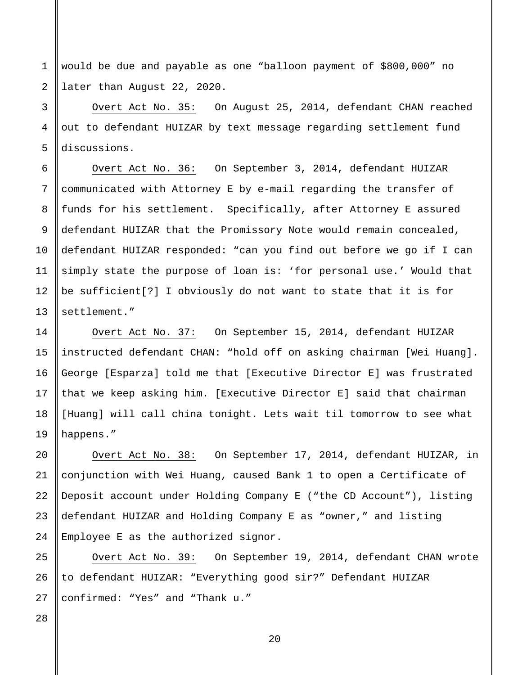1 2 would be due and payable as one "balloon payment of \$800,000" no later than August 22, 2020.

Overt Act No. 35: On August 25, 2014, defendant CHAN reached out to defendant HUIZAR by text message regarding settlement fund discussions.

Overt Act No. 36: On September 3, 2014, defendant HUIZAR communicated with Attorney E by e-mail regarding the transfer of funds for his settlement. Specifically, after Attorney E assured defendant HUIZAR that the Promissory Note would remain concealed, defendant HUIZAR responded: "can you find out before we go if I can simply state the purpose of loan is: 'for personal use.' Would that be sufficient[?] I obviously do not want to state that it is for settlement."

Overt Act No. 37: On September 15, 2014, defendant HUIZAR instructed defendant CHAN: "hold off on asking chairman [Wei Huang]. George [Esparza] told me that [Executive Director E] was frustrated that we keep asking him. [Executive Director E] said that chairman [Huang] will call china tonight. Lets wait til tomorrow to see what happens."

Overt Act No. 38: On September 17, 2014, defendant HUIZAR, in conjunction with Wei Huang, caused Bank 1 to open a Certificate of Deposit account under Holding Company E ("the CD Account"), listing defendant HUIZAR and Holding Company E as "owner," and listing Employee E as the authorized signor.

Overt Act No. 39: On September 19, 2014, defendant CHAN wrote to defendant HUIZAR: "Everything good sir?" Defendant HUIZAR confirmed: "Yes" and "Thank u."

25 26 27

28

3

4

5

6

7

8

9

10

11

12

13

14

15

16

17

18

19

20

21

22

23

24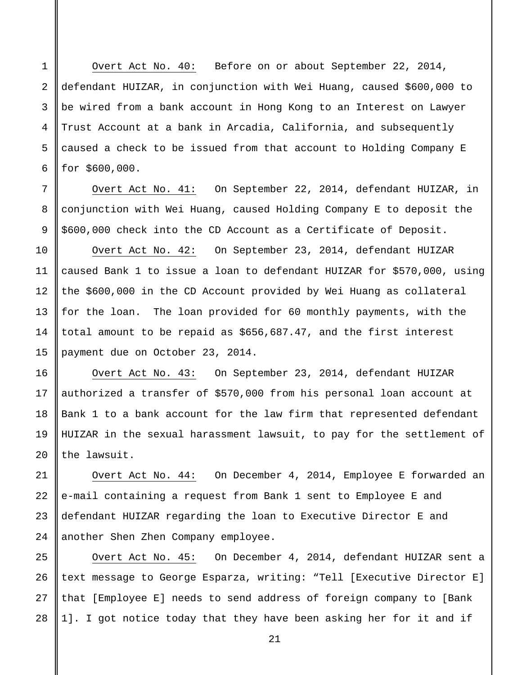Overt Act No. 40: Before on or about September 22, 2014, defendant HUIZAR, in conjunction with Wei Huang, caused \$600,000 to be wired from a bank account in Hong Kong to an Interest on Lawyer Trust Account at a bank in Arcadia, California, and subsequently caused a check to be issued from that account to Holding Company E for \$600,000.

Overt Act No. 41: On September 22, 2014, defendant HUIZAR, in conjunction with Wei Huang, caused Holding Company E to deposit the \$600,000 check into the CD Account as a Certificate of Deposit.

Overt Act No. 42: On September 23, 2014, defendant HUIZAR caused Bank 1 to issue a loan to defendant HUIZAR for \$570,000, using the \$600,000 in the CD Account provided by Wei Huang as collateral for the loan. The loan provided for 60 monthly payments, with the total amount to be repaid as \$656,687.47, and the first interest payment due on October 23, 2014.

Overt Act No. 43: On September 23, 2014, defendant HUIZAR authorized a transfer of \$570,000 from his personal loan account at Bank 1 to a bank account for the law firm that represented defendant HUIZAR in the sexual harassment lawsuit, to pay for the settlement of the lawsuit.

Overt Act No. 44: On December 4, 2014, Employee E forwarded an e-mail containing a request from Bank 1 sent to Employee E and defendant HUIZAR regarding the loan to Executive Director E and another Shen Zhen Company employee.

28 Overt Act No. 45: On December 4, 2014, defendant HUIZAR sent a text message to George Esparza, writing: "Tell [Executive Director E] that [Employee E] needs to send address of foreign company to [Bank 1]. I got notice today that they have been asking her for it and if

21

1

2

3

4

5

6

7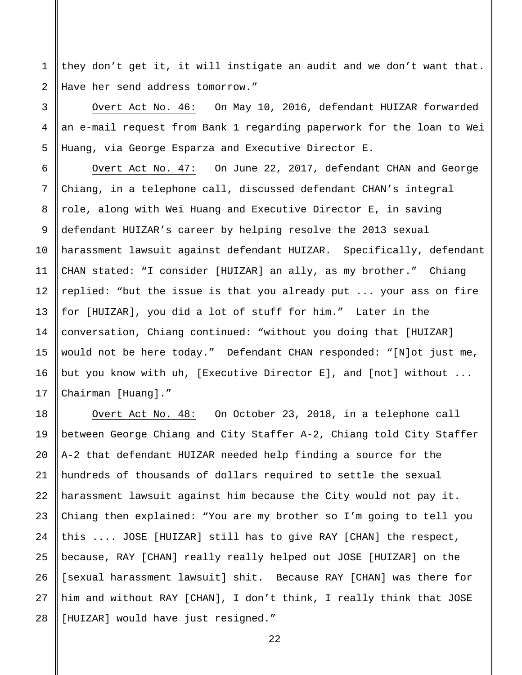1 2 they don't get it, it will instigate an audit and we don't want that. Have her send address tomorrow."

3

4

5

6

7

8

9

10

11

12

13

14

15

16

17

Overt Act No. 46: On May 10, 2016, defendant HUIZAR forwarded an e-mail request from Bank 1 regarding paperwork for the loan to Wei Huang, via George Esparza and Executive Director E.

Overt Act No. 47: On June 22, 2017, defendant CHAN and George Chiang, in a telephone call, discussed defendant CHAN's integral role, along with Wei Huang and Executive Director E, in saving defendant HUIZAR's career by helping resolve the 2013 sexual harassment lawsuit against defendant HUIZAR. Specifically, defendant CHAN stated: "I consider [HUIZAR] an ally, as my brother." Chiang replied: "but the issue is that you already put ... your ass on fire for [HUIZAR], you did a lot of stuff for him." Later in the conversation, Chiang continued: "without you doing that [HUIZAR] would not be here today." Defendant CHAN responded: "[N]ot just me, but you know with uh, [Executive Director E], and [not] without ... Chairman [Huang]."

18 19 20 21 22 23 24 25 26 27 28 Overt Act No. 48: On October 23, 2018, in a telephone call between George Chiang and City Staffer A-2, Chiang told City Staffer A-2 that defendant HUIZAR needed help finding a source for the hundreds of thousands of dollars required to settle the sexual harassment lawsuit against him because the City would not pay it. Chiang then explained: "You are my brother so I'm going to tell you this .... JOSE [HUIZAR] still has to give RAY [CHAN] the respect, because, RAY [CHAN] really really helped out JOSE [HUIZAR] on the [sexual harassment lawsuit] shit. Because RAY [CHAN] was there for him and without RAY [CHAN], I don't think, I really think that JOSE [HUIZAR] would have just resigned."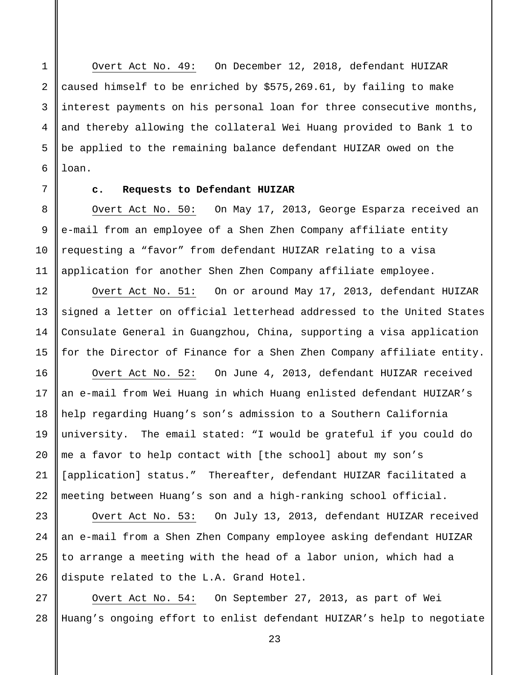Overt Act No. 49: On December 12, 2018, defendant HUIZAR caused himself to be enriched by \$575,269.61, by failing to make interest payments on his personal loan for three consecutive months, and thereby allowing the collateral Wei Huang provided to Bank 1 to be applied to the remaining balance defendant HUIZAR owed on the loan.

1

2

3

4

5

6

7

8

9

10

11

12

13

14

15

16

17

18

19

20

21

23

24

25

26

#### **c. Requests to Defendant HUIZAR**

Overt Act No. 50: On May 17, 2013, George Esparza received an e-mail from an employee of a Shen Zhen Company affiliate entity requesting a "favor" from defendant HUIZAR relating to a visa application for another Shen Zhen Company affiliate employee.

Overt Act No. 51: On or around May 17, 2013, defendant HUIZAR signed a letter on official letterhead addressed to the United States Consulate General in Guangzhou, China, supporting a visa application for the Director of Finance for a Shen Zhen Company affiliate entity. Overt Act No. 52: On June 4, 2013, defendant HUIZAR received an e-mail from Wei Huang in which Huang enlisted defendant HUIZAR's

22 help regarding Huang's son's admission to a Southern California university. The email stated: "I would be grateful if you could do me a favor to help contact with [the school] about my son's [application] status." Thereafter, defendant HUIZAR facilitated a meeting between Huang's son and a high-ranking school official.

Overt Act No. 53: On July 13, 2013, defendant HUIZAR received an e-mail from a Shen Zhen Company employee asking defendant HUIZAR to arrange a meeting with the head of a labor union, which had a dispute related to the L.A. Grand Hotel.

27 28 Overt Act No. 54: On September 27, 2013, as part of Wei Huang's ongoing effort to enlist defendant HUIZAR's help to negotiate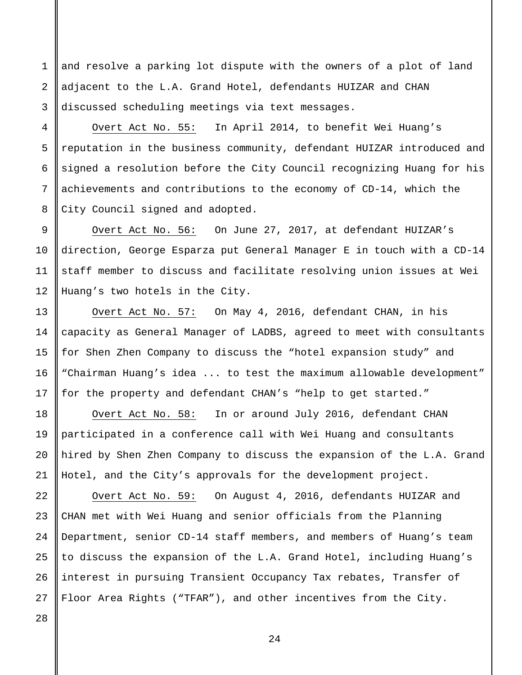and resolve a parking lot dispute with the owners of a plot of land adjacent to the L.A. Grand Hotel, defendants HUIZAR and CHAN discussed scheduling meetings via text messages.

Overt Act No. 55: In April 2014, to benefit Wei Huang's reputation in the business community, defendant HUIZAR introduced and signed a resolution before the City Council recognizing Huang for his achievements and contributions to the economy of CD-14, which the City Council signed and adopted.

Overt Act No. 56: On June 27, 2017, at defendant HUIZAR's direction, George Esparza put General Manager E in touch with a CD-14 staff member to discuss and facilitate resolving union issues at Wei Huang's two hotels in the City.

Overt Act No. 57: On May 4, 2016, defendant CHAN, in his capacity as General Manager of LADBS, agreed to meet with consultants for Shen Zhen Company to discuss the "hotel expansion study" and "Chairman Huang's idea ... to test the maximum allowable development" for the property and defendant CHAN's "help to get started."

Overt Act No. 58: In or around July 2016, defendant CHAN participated in a conference call with Wei Huang and consultants hired by Shen Zhen Company to discuss the expansion of the L.A. Grand Hotel, and the City's approvals for the development project.

24 Overt Act No. 59: On August 4, 2016, defendants HUIZAR and CHAN met with Wei Huang and senior officials from the Planning Department, senior CD-14 staff members, and members of Huang's team to discuss the expansion of the L.A. Grand Hotel, including Huang's interest in pursuing Transient Occupancy Tax rebates, Transfer of Floor Area Rights ("TFAR"), and other incentives from the City.

26 27

28

1

2

3

4

5

6

7

8

9

10

11

12

13

14

15

16

17

18

19

20

21

22

23

25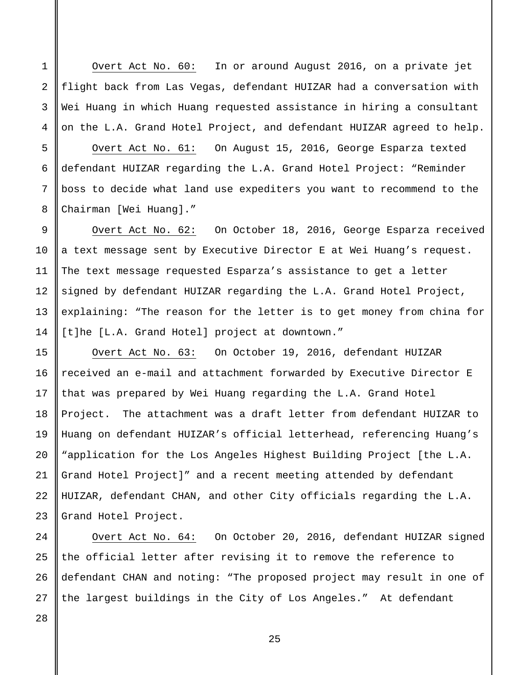Overt Act No. 60: In or around August 2016, on a private jet flight back from Las Vegas, defendant HUIZAR had a conversation with Wei Huang in which Huang requested assistance in hiring a consultant on the L.A. Grand Hotel Project, and defendant HUIZAR agreed to help.

Overt Act No. 61: On August 15, 2016, George Esparza texted defendant HUIZAR regarding the L.A. Grand Hotel Project: "Reminder boss to decide what land use expediters you want to recommend to the Chairman [Wei Huang]."

Overt Act No. 62: On October 18, 2016, George Esparza received a text message sent by Executive Director E at Wei Huang's request. The text message requested Esparza's assistance to get a letter signed by defendant HUIZAR regarding the L.A. Grand Hotel Project, explaining: "The reason for the letter is to get money from china for [t]he [L.A. Grand Hotel] project at downtown."

Overt Act No. 63: On October 19, 2016, defendant HUIZAR received an e-mail and attachment forwarded by Executive Director E that was prepared by Wei Huang regarding the L.A. Grand Hotel Project. The attachment was a draft letter from defendant HUIZAR to Huang on defendant HUIZAR's official letterhead, referencing Huang's "application for the Los Angeles Highest Building Project [the L.A. Grand Hotel Project]" and a recent meeting attended by defendant HUIZAR, defendant CHAN, and other City officials regarding the L.A. Grand Hotel Project.

Overt Act No. 64: On October 20, 2016, defendant HUIZAR signed the official letter after revising it to remove the reference to defendant CHAN and noting: "The proposed project may result in one of the largest buildings in the City of Los Angeles." At defendant

1

2

3

4

5

6

7

8

9

10

11

12

13

14

15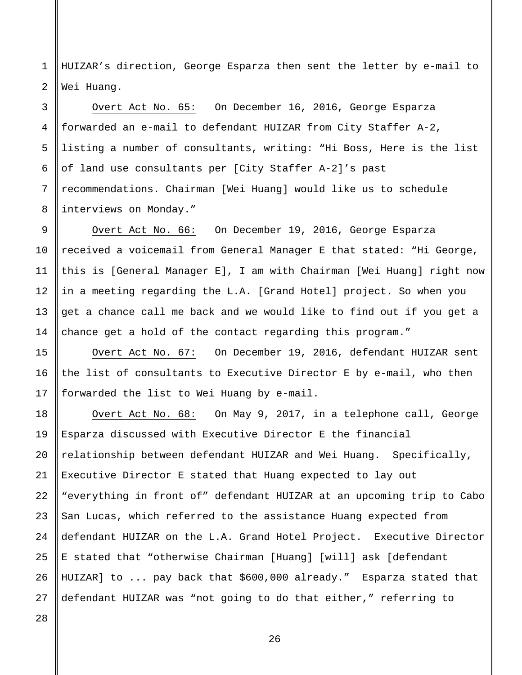1 2 HUIZAR's direction, George Esparza then sent the letter by e-mail to Wei Huang.

Overt Act No. 65: On December 16, 2016, George Esparza forwarded an e-mail to defendant HUIZAR from City Staffer A-2, listing a number of consultants, writing: "Hi Boss, Here is the list of land use consultants per [City Staffer A-2]'s past recommendations. Chairman [Wei Huang] would like us to schedule interviews on Monday."

Overt Act No. 66: On December 19, 2016, George Esparza received a voicemail from General Manager E that stated: "Hi George, this is [General Manager E], I am with Chairman [Wei Huang] right now in a meeting regarding the L.A. [Grand Hotel] project. So when you get a chance call me back and we would like to find out if you get a chance get a hold of the contact regarding this program."

Overt Act No. 67: On December 19, 2016, defendant HUIZAR sent the list of consultants to Executive Director E by e-mail, who then forwarded the list to Wei Huang by e-mail.

Overt Act No. 68: On May 9, 2017, in a telephone call, George Esparza discussed with Executive Director E the financial relationship between defendant HUIZAR and Wei Huang. Specifically, Executive Director E stated that Huang expected to lay out "everything in front of" defendant HUIZAR at an upcoming trip to Cabo San Lucas, which referred to the assistance Huang expected from defendant HUIZAR on the L.A. Grand Hotel Project. Executive Director E stated that "otherwise Chairman [Huang] [will] ask [defendant HUIZAR] to ... pay back that \$600,000 already."Esparza stated that defendant HUIZAR was "not going to do that either," referring to

28

3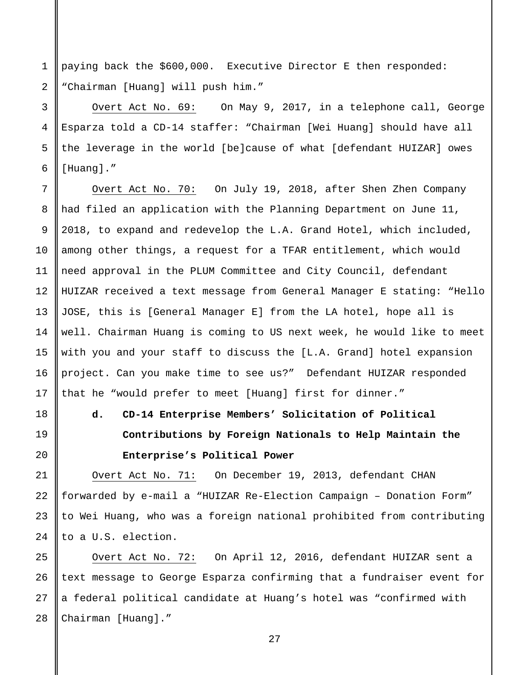paying back the \$600,000. Executive Director E then responded: "Chairman [Huang] will push him."

1

2

3

4

5

6

7

8

9

10

11

12

13

15

16

17

18

19

20

21

22

23

24

Overt Act No. 69: On May 9, 2017, in a telephone call, George Esparza told a CD-14 staffer: "Chairman [Wei Huang] should have all the leverage in the world [be]cause of what [defendant HUIZAR] owes [Huang]."

14 Overt Act No. 70: On July 19, 2018, after Shen Zhen Company had filed an application with the Planning Department on June 11, 2018, to expand and redevelop the L.A. Grand Hotel, which included, among other things, a request for a TFAR entitlement, which would need approval in the PLUM Committee and City Council, defendant HUIZAR received a text message from General Manager E stating: "Hello JOSE, this is [General Manager E] from the LA hotel, hope all is well. Chairman Huang is coming to US next week, he would like to meet with you and your staff to discuss the [L.A. Grand] hotel expansion project. Can you make time to see us?" Defendant HUIZAR responded that he "would prefer to meet [Huang] first for dinner."

> **d. CD-14 Enterprise Members' Solicitation of Political Contributions by Foreign Nationals to Help Maintain the Enterprise's Political Power**

Overt Act No. 71: On December 19, 2013, defendant CHAN forwarded by e-mail a "HUIZAR Re-Election Campaign – Donation Form" to Wei Huang, who was a foreign national prohibited from contributing to a U.S. election.

25 26 27 28 Overt Act No. 72: On April 12, 2016, defendant HUIZAR sent a text message to George Esparza confirming that a fundraiser event for a federal political candidate at Huang's hotel was "confirmed with Chairman [Huang]."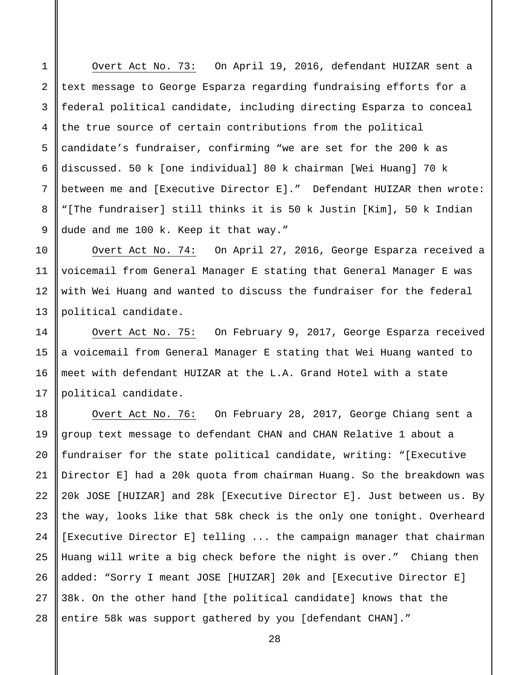Overt Act No. 73: On April 19, 2016, defendant HUIZAR sent a text message to George Esparza regarding fundraising efforts for a federal political candidate, including directing Esparza to conceal the true source of certain contributions from the political candidate's fundraiser, confirming "we are set for the 200 k as discussed. 50 k [one individual] 80 k chairman [Wei Huang] 70 k between me and [Executive Director E]." Defendant HUIZAR then wrote: "[The fundraiser] still thinks it is 50 k Justin [Kim], 50 k Indian dude and me 100 k. Keep it that way."

1

2

3

4

5

6

7

8

9

10

11

12

13

14

15

16

17

Overt Act No. 74: On April 27, 2016, George Esparza received a voicemail from General Manager E stating that General Manager E was with Wei Huang and wanted to discuss the fundraiser for the federal political candidate.

Overt Act No. 75: On February 9, 2017, George Esparza received a voicemail from General Manager E stating that Wei Huang wanted to meet with defendant HUIZAR at the L.A. Grand Hotel with a state political candidate.

18 19 20 21 22 23 24 25 26 27 28 Overt Act No. 76: On February 28, 2017, George Chiang sent a group text message to defendant CHAN and CHAN Relative 1 about a fundraiser for the state political candidate, writing: "[Executive Director E] had a 20k quota from chairman Huang. So the breakdown was 20k JOSE [HUIZAR] and 28k [Executive Director E]. Just between us. By the way, looks like that 58k check is the only one tonight. Overheard [Executive Director E] telling ... the campaign manager that chairman Huang will write a big check before the night is over." Chiang then added: "Sorry I meant JOSE [HUIZAR] 20k and [Executive Director E] 38k. On the other hand [the political candidate] knows that the entire 58k was support gathered by you [defendant CHAN]."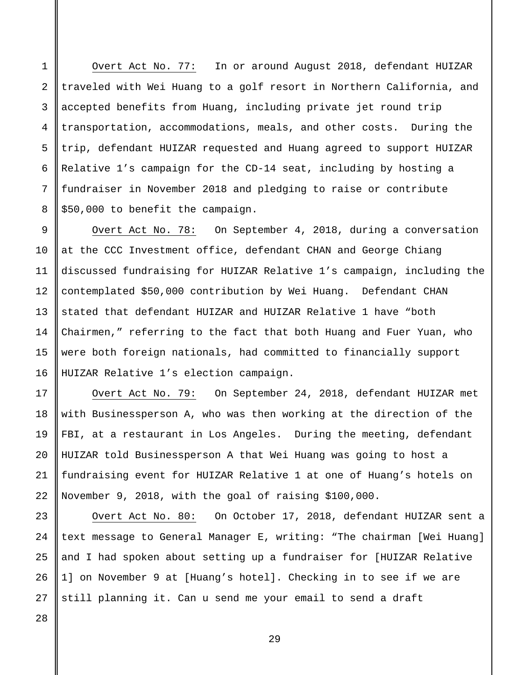Overt Act No. 77: In or around August 2018, defendant HUIZAR traveled with Wei Huang to a golf resort in Northern California, and accepted benefits from Huang, including private jet round trip transportation, accommodations, meals, and other costs. During the trip, defendant HUIZAR requested and Huang agreed to support HUIZAR Relative 1's campaign for the CD-14 seat, including by hosting a fundraiser in November 2018 and pledging to raise or contribute \$50,000 to benefit the campaign.

9 10 11 12 13 14 15 16 Overt Act No. 78: On September 4, 2018, during a conversation at the CCC Investment office, defendant CHAN and George Chiang discussed fundraising for HUIZAR Relative 1's campaign, including the contemplated \$50,000 contribution by Wei Huang. Defendant CHAN stated that defendant HUIZAR and HUIZAR Relative 1 have "both Chairmen," referring to the fact that both Huang and Fuer Yuan, who were both foreign nationals, had committed to financially support HUIZAR Relative 1's election campaign.

Overt Act No. 79: On September 24, 2018, defendant HUIZAR met with Businessperson A, who was then working at the direction of the FBI, at a restaurant in Los Angeles. During the meeting, defendant HUIZAR told Businessperson A that Wei Huang was going to host a fundraising event for HUIZAR Relative 1 at one of Huang's hotels on November 9, 2018, with the goal of raising \$100,000.

23 24 25 26 27 Overt Act No. 80: On October 17, 2018, defendant HUIZAR sent a text message to General Manager E, writing: "The chairman [Wei Huang] and I had spoken about setting up a fundraiser for [HUIZAR Relative 1] on November 9 at [Huang's hotel]. Checking in to see if we are still planning it. Can u send me your email to send a draft

28

1

2

3

4

5

6

7

8

17

18

19

20

21

22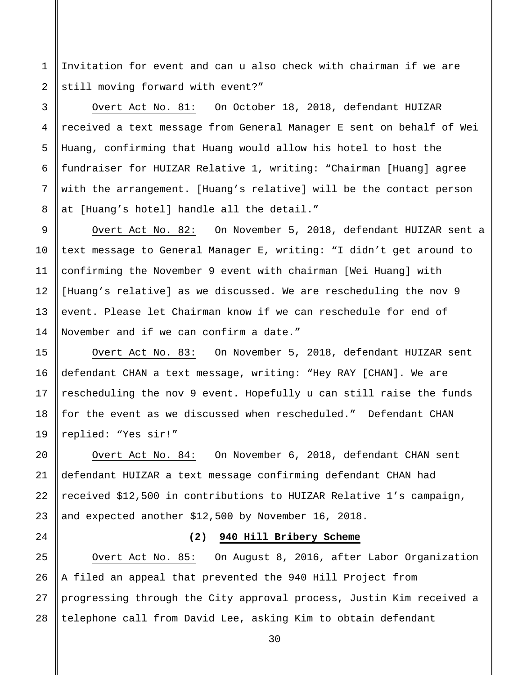Invitation for event and can u also check with chairman if we are still moving forward with event?"

1

2

3

4

5

6

7

8

9

10

11

12

13

14

 $2.0$ 

21

24

Overt Act No. 81: On October 18, 2018, defendant HUIZAR received a text message from General Manager E sent on behalf of Wei Huang, confirming that Huang would allow his hotel to host the fundraiser for HUIZAR Relative 1, writing: "Chairman [Huang] agree with the arrangement. [Huang's relative] will be the contact person at [Huang's hotel] handle all the detail."

Overt Act No. 82: On November 5, 2018, defendant HUIZAR sent a text message to General Manager E, writing: "I didn't get around to confirming the November 9 event with chairman [Wei Huang] with [Huang's relative] as we discussed. We are rescheduling the nov 9 event. Please let Chairman know if we can reschedule for end of November and if we can confirm a date."

15 16 17 18 19 Overt Act No. 83: On November 5, 2018, defendant HUIZAR sent defendant CHAN a text message, writing: "Hey RAY [CHAN]. We are rescheduling the nov 9 event. Hopefully u can still raise the funds for the event as we discussed when rescheduled." Defendant CHAN replied: "Yes sir!"

22 23 Overt Act No. 84: On November 6, 2018, defendant CHAN sent defendant HUIZAR a text message confirming defendant CHAN had received \$12,500 in contributions to HUIZAR Relative 1's campaign, and expected another \$12,500 by November 16, 2018.

# **(2) 940 Hill Bribery Scheme**

25 26 27 28 Overt Act No. 85: On August 8, 2016, after Labor Organization A filed an appeal that prevented the 940 Hill Project from progressing through the City approval process, Justin Kim received a telephone call from David Lee, asking Kim to obtain defendant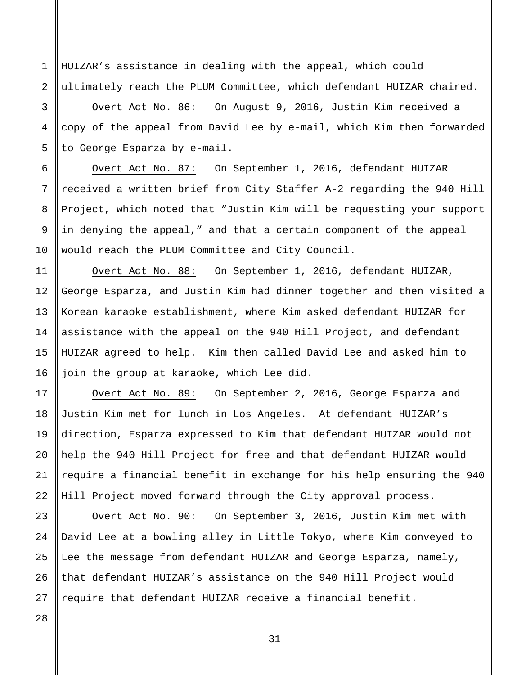HUIZAR's assistance in dealing with the appeal, which could ultimately reach the PLUM Committee, which defendant HUIZAR chaired.

Overt Act No. 86: On August 9, 2016, Justin Kim received a copy of the appeal from David Lee by e-mail, which Kim then forwarded to George Esparza by e-mail.

Overt Act No. 87: On September 1, 2016, defendant HUIZAR received a written brief from City Staffer A-2 regarding the 940 Hill Project, which noted that "Justin Kim will be requesting your support in denying the appeal," and that a certain component of the appeal would reach the PLUM Committee and City Council.

Overt Act No. 88: On September 1, 2016, defendant HUIZAR, George Esparza, and Justin Kim had dinner together and then visited a Korean karaoke establishment, where Kim asked defendant HUIZAR for assistance with the appeal on the 940 Hill Project, and defendant HUIZAR agreed to help. Kim then called David Lee and asked him to join the group at karaoke, which Lee did.

Overt Act No. 89: On September 2, 2016, George Esparza and Justin Kim met for lunch in Los Angeles. At defendant HUIZAR's direction, Esparza expressed to Kim that defendant HUIZAR would not help the 940 Hill Project for free and that defendant HUIZAR would require a financial benefit in exchange for his help ensuring the 940 Hill Project moved forward through the City approval process.

Overt Act No. 90: On September 3, 2016, Justin Kim met with David Lee at a bowling alley in Little Tokyo, where Kim conveyed to Lee the message from defendant HUIZAR and George Esparza, namely, that defendant HUIZAR's assistance on the 940 Hill Project would require that defendant HUIZAR receive a financial benefit.

28

1

2

3

4

5

6

7

8

9

10

11

12

13

14

15

16

17

18

19

20

21

22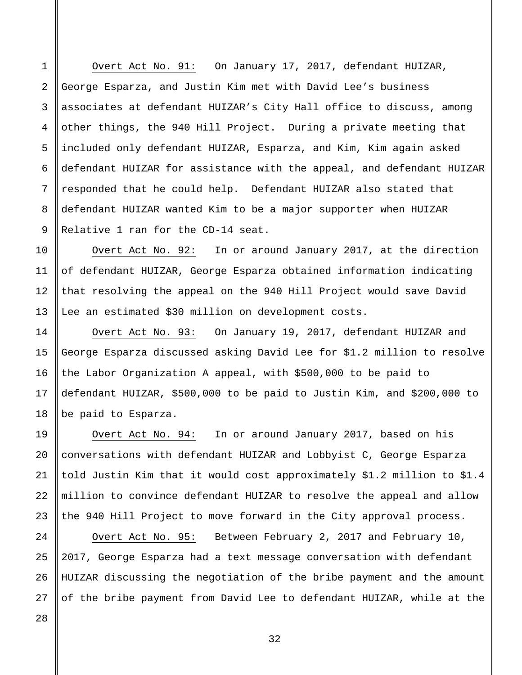1 2 3 4 5 6 7 8 9 Overt Act No. 91: On January 17, 2017, defendant HUIZAR, George Esparza, and Justin Kim met with David Lee's business associates at defendant HUIZAR's City Hall office to discuss, among other things, the 940 Hill Project. During a private meeting that included only defendant HUIZAR, Esparza, and Kim, Kim again asked defendant HUIZAR for assistance with the appeal, and defendant HUIZAR responded that he could help. Defendant HUIZAR also stated that defendant HUIZAR wanted Kim to be a major supporter when HUIZAR Relative 1 ran for the CD-14 seat.

Overt Act No. 92: In or around January 2017, at the direction of defendant HUIZAR, George Esparza obtained information indicating that resolving the appeal on the 940 Hill Project would save David Lee an estimated \$30 million on development costs.

Overt Act No. 93: On January 19, 2017, defendant HUIZAR and George Esparza discussed asking David Lee for \$1.2 million to resolve the Labor Organization A appeal, with \$500,000 to be paid to defendant HUIZAR, \$500,000 to be paid to Justin Kim, and \$200,000 to be paid to Esparza.

Overt Act No. 94: In or around January 2017, based on his conversations with defendant HUIZAR and Lobbyist C, George Esparza told Justin Kim that it would cost approximately \$1.2 million to \$1.4 million to convince defendant HUIZAR to resolve the appeal and allow the 940 Hill Project to move forward in the City approval process.

Overt Act No. 95: Between February 2, 2017 and February 10, 2017, George Esparza had a text message conversation with defendant HUIZAR discussing the negotiation of the bribe payment and the amount of the bribe payment from David Lee to defendant HUIZAR, while at the

10

11

12

13

14

15

16

17

18

19

20

21

22

23

24

25

26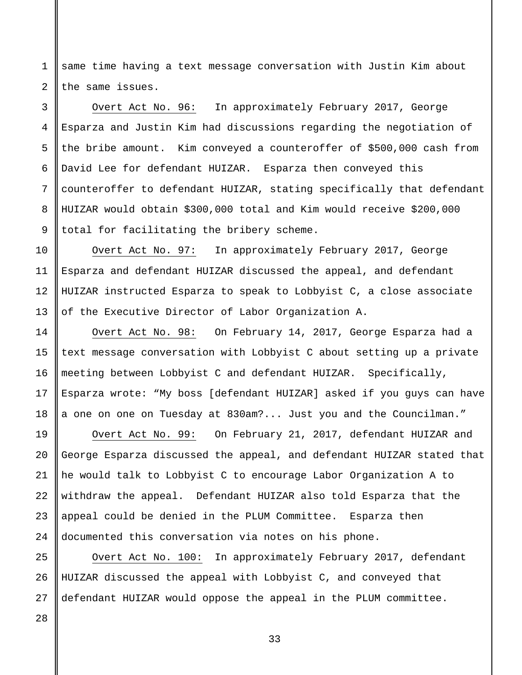1 2 same time having a text message conversation with Justin Kim about the same issues.

Overt Act No. 96: In approximately February 2017, George Esparza and Justin Kim had discussions regarding the negotiation of the bribe amount. Kim conveyed a counteroffer of \$500,000 cash from David Lee for defendant HUIZAR. Esparza then conveyed this counteroffer to defendant HUIZAR, stating specifically that defendant HUIZAR would obtain \$300,000 total and Kim would receive \$200,000 total for facilitating the bribery scheme.

Overt Act No. 97: In approximately February 2017, George Esparza and defendant HUIZAR discussed the appeal, and defendant HUIZAR instructed Esparza to speak to Lobbyist C, a close associate of the Executive Director of Labor Organization A.

Overt Act No. 98: On February 14, 2017, George Esparza had a text message conversation with Lobbyist C about setting up a private meeting between Lobbyist C and defendant HUIZAR. Specifically, Esparza wrote: "My boss [defendant HUIZAR] asked if you guys can have a one on one on Tuesday at 830am?... Just you and the Councilman."

24 Overt Act No. 99: On February 21, 2017, defendant HUIZAR and George Esparza discussed the appeal, and defendant HUIZAR stated that he would talk to Lobbyist C to encourage Labor Organization A to withdraw the appeal. Defendant HUIZAR also told Esparza that the appeal could be denied in the PLUM Committee. Esparza then documented this conversation via notes on his phone.

25 26 27 Overt Act No. 100: In approximately February 2017, defendant HUIZAR discussed the appeal with Lobbyist C, and conveyed that defendant HUIZAR would oppose the appeal in the PLUM committee.

33

28

3

4

5

6

7

8

9

10

11

12

13

14

15

16

17

18

19

20

21

22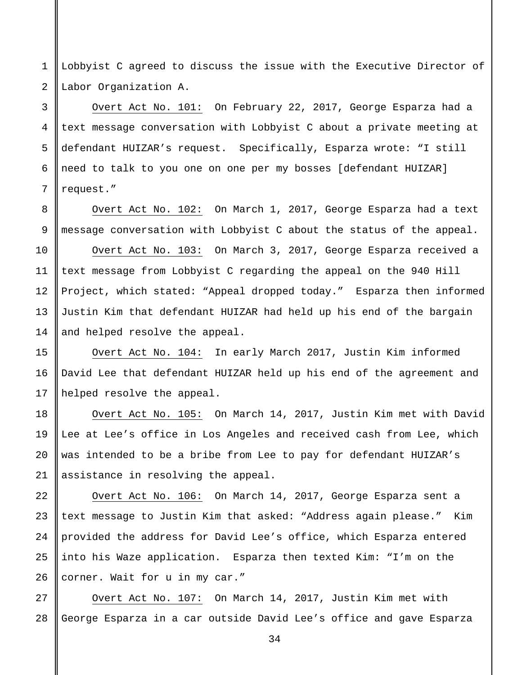1 2 Lobbyist C agreed to discuss the issue with the Executive Director of Labor Organization A.

3 4 5 6 7 Overt Act No. 101: On February 22, 2017, George Esparza had a text message conversation with Lobbyist C about a private meeting at defendant HUIZAR's request. Specifically, Esparza wrote: "I still need to talk to you one on one per my bosses [defendant HUIZAR] request."

Overt Act No. 102: On March 1, 2017, George Esparza had a text message conversation with Lobbyist C about the status of the appeal.

10 Overt Act No. 103: On March 3, 2017, George Esparza received a text message from Lobbyist C regarding the appeal on the 940 Hill Project, which stated: "Appeal dropped today." Esparza then informed Justin Kim that defendant HUIZAR had held up his end of the bargain and helped resolve the appeal.

Overt Act No. 104: In early March 2017, Justin Kim informed David Lee that defendant HUIZAR held up his end of the agreement and helped resolve the appeal.

Overt Act No. 105: On March 14, 2017, Justin Kim met with David Lee at Lee's office in Los Angeles and received cash from Lee, which was intended to be a bribe from Lee to pay for defendant HUIZAR's assistance in resolving the appeal.

Overt Act No. 106: On March 14, 2017, George Esparza sent a text message to Justin Kim that asked: "Address again please." Kim provided the address for David Lee's office, which Esparza entered into his Waze application. Esparza then texted Kim: "I'm on the corner. Wait for u in my car."

27 28 Overt Act No. 107: On March 14, 2017, Justin Kim met with George Esparza in a car outside David Lee's office and gave Esparza

8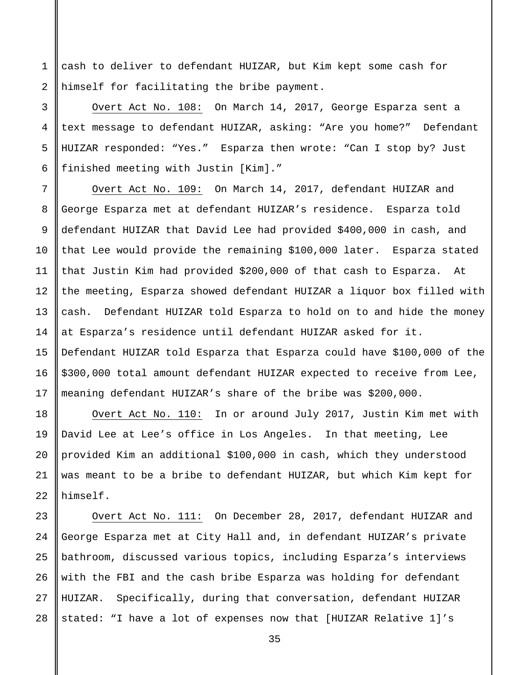cash to deliver to defendant HUIZAR, but Kim kept some cash for himself for facilitating the bribe payment.

1

2

3

4

5

6

7

8

9

10

11

12

13

14

15

16

17

18

19

20

21

22

Overt Act No. 108: On March 14, 2017, George Esparza sent a text message to defendant HUIZAR, asking: "Are you home?" Defendant HUIZAR responded: "Yes." Esparza then wrote: "Can I stop by? Just finished meeting with Justin [Kim]."

Overt Act No. 109: On March 14, 2017, defendant HUIZAR and George Esparza met at defendant HUIZAR's residence. Esparza told defendant HUIZAR that David Lee had provided \$400,000 in cash, and that Lee would provide the remaining \$100,000 later. Esparza stated that Justin Kim had provided \$200,000 of that cash to Esparza. At the meeting, Esparza showed defendant HUIZAR a liquor box filled with cash. Defendant HUIZAR told Esparza to hold on to and hide the money at Esparza's residence until defendant HUIZAR asked for it. Defendant HUIZAR told Esparza that Esparza could have \$100,000 of the \$300,000 total amount defendant HUIZAR expected to receive from Lee, meaning defendant HUIZAR's share of the bribe was \$200,000.

Overt Act No. 110: In or around July 2017, Justin Kim met with David Lee at Lee's office in Los Angeles. In that meeting, Lee provided Kim an additional \$100,000 in cash, which they understood was meant to be a bribe to defendant HUIZAR, but which Kim kept for himself.

23 24 25 26 27 28 Overt Act No. 111: On December 28, 2017, defendant HUIZAR and George Esparza met at City Hall and, in defendant HUIZAR's private bathroom, discussed various topics, including Esparza's interviews with the FBI and the cash bribe Esparza was holding for defendant HUIZAR. Specifically, during that conversation, defendant HUIZAR stated: "I have a lot of expenses now that [HUIZAR Relative 1]'s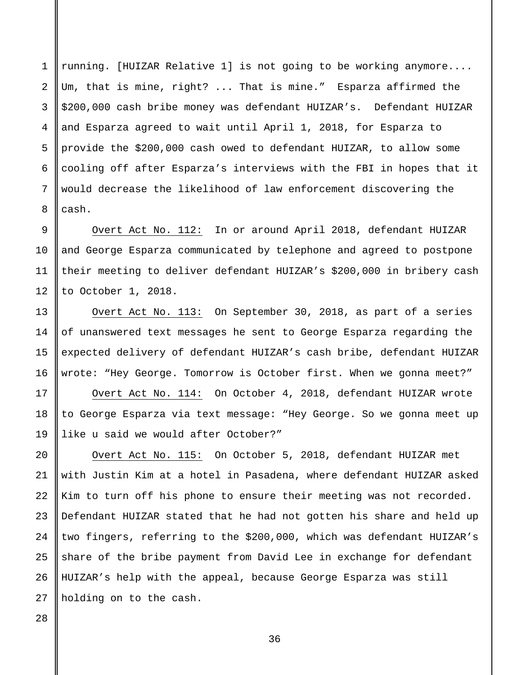running. [HUIZAR Relative 1] is not going to be working anymore.... Um, that is mine, right? ... That is mine." Esparza affirmed the \$200,000 cash bribe money was defendant HUIZAR's. Defendant HUIZAR and Esparza agreed to wait until April 1, 2018, for Esparza to provide the \$200,000 cash owed to defendant HUIZAR, to allow some cooling off after Esparza's interviews with the FBI in hopes that it would decrease the likelihood of law enforcement discovering the cash.

Overt Act No. 112: In or around April 2018, defendant HUIZAR and George Esparza communicated by telephone and agreed to postpone their meeting to deliver defendant HUIZAR's \$200,000 in bribery cash to October 1, 2018.

Overt Act No. 113: On September 30, 2018, as part of a series of unanswered text messages he sent to George Esparza regarding the expected delivery of defendant HUIZAR's cash bribe, defendant HUIZAR wrote: "Hey George. Tomorrow is October first. When we gonna meet?"

Overt Act No. 114: On October 4, 2018, defendant HUIZAR wrote to George Esparza via text message: "Hey George. So we gonna meet up like u said we would after October?"

20 21 22 23 24 Overt Act No. 115: On October 5, 2018, defendant HUIZAR met with Justin Kim at a hotel in Pasadena, where defendant HUIZAR asked Kim to turn off his phone to ensure their meeting was not recorded. Defendant HUIZAR stated that he had not gotten his share and held up two fingers, referring to the \$200,000, which was defendant HUIZAR's share of the bribe payment from David Lee in exchange for defendant HUIZAR's help with the appeal, because George Esparza was still holding on to the cash.

25 26 27

28

1

2

3

4

5

6

7

8

9

10

11

12

13

14

15

16

17

18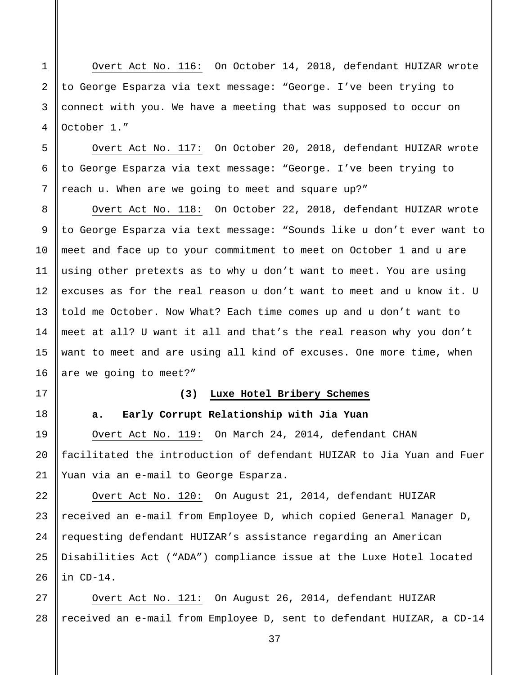Overt Act No. 116: On October 14, 2018, defendant HUIZAR wrote to George Esparza via text message: "George. I've been trying to connect with you. We have a meeting that was supposed to occur on October 1."

Overt Act No. 117: On October 20, 2018, defendant HUIZAR wrote to George Esparza via text message: "George. I've been trying to reach u. When are we going to meet and square up?"

14 Overt Act No. 118: On October 22, 2018, defendant HUIZAR wrote to George Esparza via text message: "Sounds like u don't ever want to meet and face up to your commitment to meet on October 1 and u are using other pretexts as to why u don't want to meet. You are using excuses as for the real reason u don't want to meet and u know it. U told me October. Now What? Each time comes up and u don't want to meet at all? U want it all and that's the real reason why you don't want to meet and are using all kind of excuses. One more time, when are we going to meet?"

16 17

18

19

20

21

22

23

24

25

26

15

1

2

3

4

5

6

7

8

9

10

11

12

13

#### **(3) Luxe Hotel Bribery Schemes**

**a. Early Corrupt Relationship with Jia Yuan**

Overt Act No. 119: On March 24, 2014, defendant CHAN facilitated the introduction of defendant HUIZAR to Jia Yuan and Fuer Yuan via an e-mail to George Esparza.

Overt Act No. 120: On August 21, 2014, defendant HUIZAR received an e-mail from Employee D, which copied General Manager D, requesting defendant HUIZAR's assistance regarding an American Disabilities Act ("ADA") compliance issue at the Luxe Hotel located in CD-14.

27 28 Overt Act No. 121: On August 26, 2014, defendant HUIZAR received an e-mail from Employee D, sent to defendant HUIZAR, a CD-14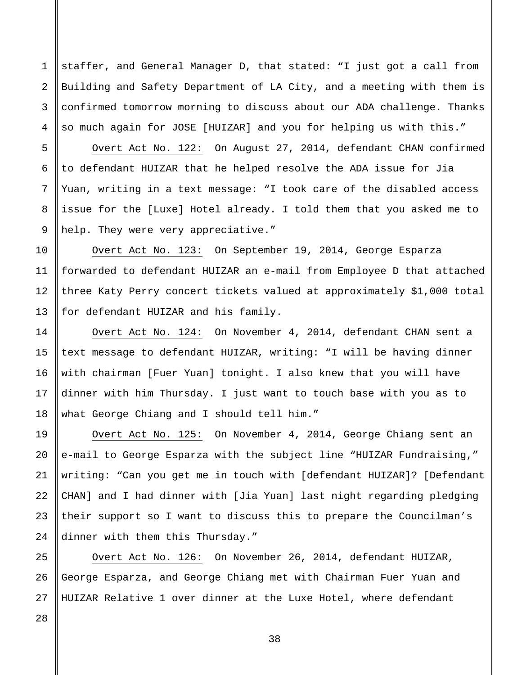staffer, and General Manager D, that stated: "I just got a call from Building and Safety Department of LA City, and a meeting with them is confirmed tomorrow morning to discuss about our ADA challenge. Thanks so much again for JOSE [HUIZAR] and you for helping us with this."

Overt Act No. 122: On August 27, 2014, defendant CHAN confirmed to defendant HUIZAR that he helped resolve the ADA issue for Jia Yuan, writing in a text message: "I took care of the disabled access issue for the [Luxe] Hotel already. I told them that you asked me to help. They were very appreciative."

Overt Act No. 123: On September 19, 2014, George Esparza forwarded to defendant HUIZAR an e-mail from Employee D that attached three Katy Perry concert tickets valued at approximately \$1,000 total for defendant HUIZAR and his family.

Overt Act No. 124: On November 4, 2014, defendant CHAN sent a text message to defendant HUIZAR, writing: "I will be having dinner with chairman [Fuer Yuan] tonight. I also knew that you will have dinner with him Thursday. I just want to touch base with you as to what George Chiang and I should tell him."

Overt Act No. 125: On November 4, 2014, George Chiang sent an e-mail to George Esparza with the subject line "HUIZAR Fundraising," writing: "Can you get me in touch with [defendant HUIZAR]? [Defendant CHAN] and I had dinner with [Jia Yuan] last night regarding pledging their support so I want to discuss this to prepare the Councilman's dinner with them this Thursday."

Overt Act No. 126: On November 26, 2014, defendant HUIZAR, George Esparza, and George Chiang met with Chairman Fuer Yuan and HUIZAR Relative 1 over dinner at the Luxe Hotel, where defendant

27 28

1

2

3

4

5

6

7

8

9

10

11

12

13

14

15

16

17

18

19

20

21

22

23

24

25

26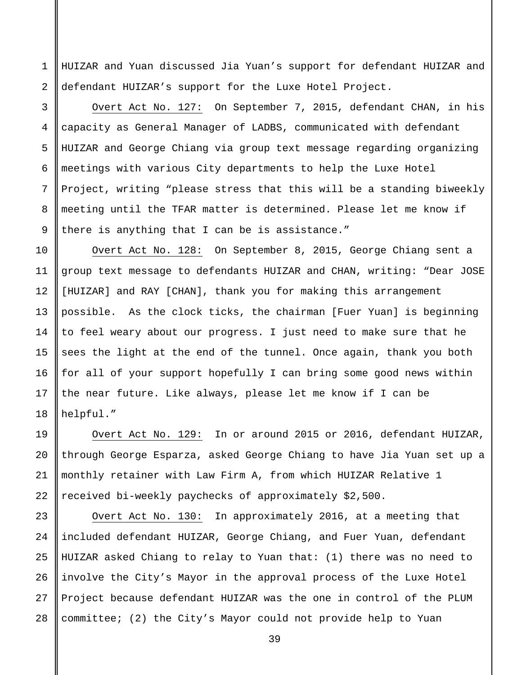HUIZAR and Yuan discussed Jia Yuan's support for defendant HUIZAR and defendant HUIZAR's support for the Luxe Hotel Project.

1

2

3

4

5

6

7

8

9

19

20

21

22

Overt Act No. 127: On September 7, 2015, defendant CHAN, in his capacity as General Manager of LADBS, communicated with defendant HUIZAR and George Chiang via group text message regarding organizing meetings with various City departments to help the Luxe Hotel Project, writing "please stress that this will be a standing biweekly meeting until the TFAR matter is determined. Please let me know if there is anything that I can be is assistance."

10 11 12 13 14 15 16 17 18 Overt Act No. 128: On September 8, 2015, George Chiang sent a group text message to defendants HUIZAR and CHAN, writing: "Dear JOSE [HUIZAR] and RAY [CHAN], thank you for making this arrangement possible. As the clock ticks, the chairman [Fuer Yuan] is beginning to feel weary about our progress. I just need to make sure that he sees the light at the end of the tunnel. Once again, thank you both for all of your support hopefully I can bring some good news within the near future. Like always, please let me know if I can be helpful."

Overt Act No. 129: In or around 2015 or 2016, defendant HUIZAR, through George Esparza, asked George Chiang to have Jia Yuan set up a monthly retainer with Law Firm A, from which HUIZAR Relative 1 received bi-weekly paychecks of approximately \$2,500.

23 24 25 26 27 28 Overt Act No. 130: In approximately 2016, at a meeting that included defendant HUIZAR, George Chiang, and Fuer Yuan, defendant HUIZAR asked Chiang to relay to Yuan that: (1) there was no need to involve the City's Mayor in the approval process of the Luxe Hotel Project because defendant HUIZAR was the one in control of the PLUM committee; (2) the City's Mayor could not provide help to Yuan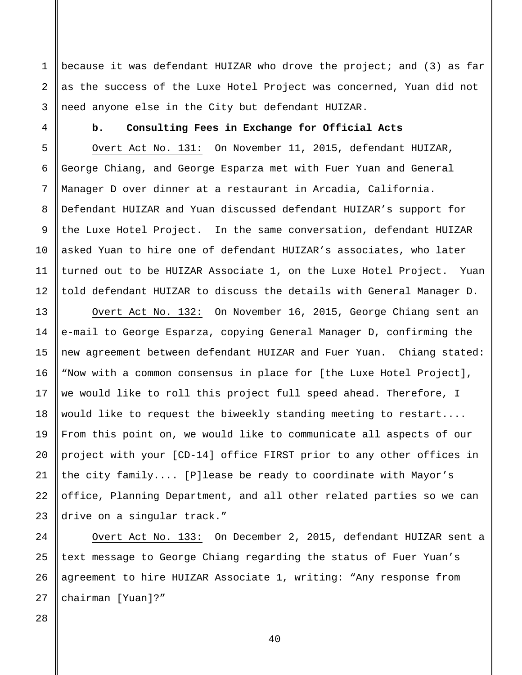because it was defendant HUIZAR who drove the project; and (3) as far as the success of the Luxe Hotel Project was concerned, Yuan did not need anyone else in the City but defendant HUIZAR.

4 5 6

7

8

9

10

11

12

13

14

15

16

17

18

19

20

21

22

23

1

2

3

### **b. Consulting Fees in Exchange for Official Acts**

Overt Act No. 131: On November 11, 2015, defendant HUIZAR, George Chiang, and George Esparza met with Fuer Yuan and General Manager D over dinner at a restaurant in Arcadia, California. Defendant HUIZAR and Yuan discussed defendant HUIZAR's support for the Luxe Hotel Project. In the same conversation, defendant HUIZAR asked Yuan to hire one of defendant HUIZAR's associates, who later turned out to be HUIZAR Associate 1, on the Luxe Hotel Project. Yuan told defendant HUIZAR to discuss the details with General Manager D.

Overt Act No. 132: On November 16, 2015, George Chiang sent an e-mail to George Esparza, copying General Manager D, confirming the new agreement between defendant HUIZAR and Fuer Yuan. Chiang stated: "Now with a common consensus in place for [the Luxe Hotel Project], we would like to roll this project full speed ahead. Therefore, I would like to request the biweekly standing meeting to restart.... From this point on, we would like to communicate all aspects of our project with your [CD-14] office FIRST prior to any other offices in the city family.... [P]lease be ready to coordinate with Mayor's office, Planning Department, and all other related parties so we can drive on a singular track."

24 25 26 27 Overt Act No. 133: On December 2, 2015, defendant HUIZAR sent a text message to George Chiang regarding the status of Fuer Yuan's agreement to hire HUIZAR Associate 1, writing: "Any response from chairman [Yuan]?"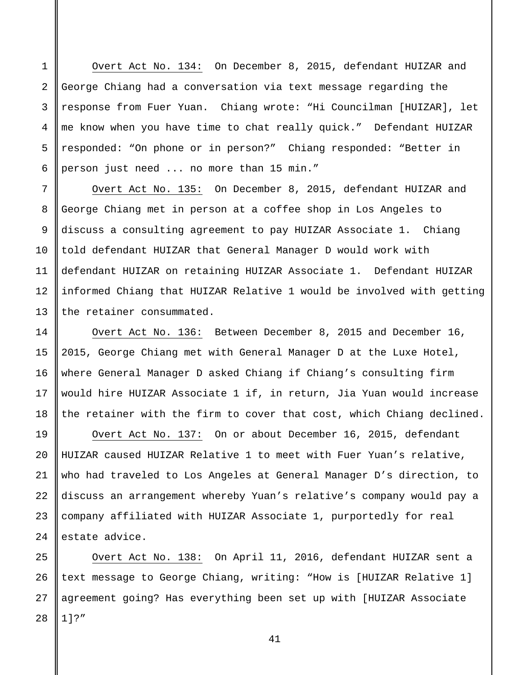Overt Act No. 134: On December 8, 2015, defendant HUIZAR and George Chiang had a conversation via text message regarding the response from Fuer Yuan. Chiang wrote: "Hi Councilman [HUIZAR], let me know when you have time to chat really quick." Defendant HUIZAR responded: "On phone or in person?" Chiang responded: "Better in person just need ... no more than 15 min."

1

2

3

4

5

6

7

8

9

10

11

12

13

14

15

16

17

18

19

20

21

22

23

24

Overt Act No. 135: On December 8, 2015, defendant HUIZAR and George Chiang met in person at a coffee shop in Los Angeles to discuss a consulting agreement to pay HUIZAR Associate 1. Chiang told defendant HUIZAR that General Manager D would work with defendant HUIZAR on retaining HUIZAR Associate 1. Defendant HUIZAR informed Chiang that HUIZAR Relative 1 would be involved with getting the retainer consummated.

Overt Act No. 136: Between December 8, 2015 and December 16, 2015, George Chiang met with General Manager D at the Luxe Hotel, where General Manager D asked Chiang if Chiang's consulting firm would hire HUIZAR Associate 1 if, in return, Jia Yuan would increase the retainer with the firm to cover that cost, which Chiang declined.

Overt Act No. 137: On or about December 16, 2015, defendant HUIZAR caused HUIZAR Relative 1 to meet with Fuer Yuan's relative, who had traveled to Los Angeles at General Manager D's direction, to discuss an arrangement whereby Yuan's relative's company would pay a company affiliated with HUIZAR Associate 1, purportedly for real estate advice.

25 26 27 28 Overt Act No. 138: On April 11, 2016, defendant HUIZAR sent a text message to George Chiang, writing: "How is [HUIZAR Relative 1] agreement going? Has everything been set up with [HUIZAR Associate 1]?"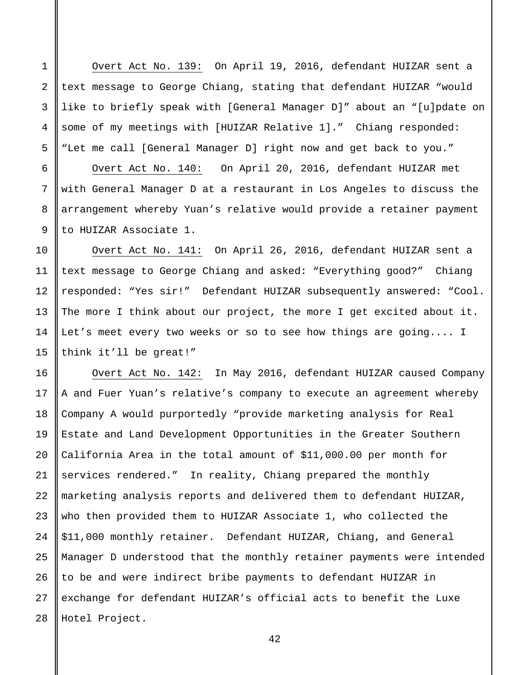Overt Act No. 139: On April 19, 2016, defendant HUIZAR sent a text message to George Chiang, stating that defendant HUIZAR "would like to briefly speak with [General Manager D]" about an "[u]pdate on some of my meetings with [HUIZAR Relative 1]." Chiang responded: "Let me call [General Manager D] right now and get back to you." Overt Act No. 140: On April 20, 2016, defendant HUIZAR met with General Manager D at a restaurant in Los Angeles to discuss the arrangement whereby Yuan's relative would provide a retainer payment to HUIZAR Associate 1.

1

2

3

4

5

6

7

8

9

10

11

12

13

14

15

Overt Act No. 141: On April 26, 2016, defendant HUIZAR sent a text message to George Chiang and asked: "Everything good?" Chiang responded: "Yes sir!" Defendant HUIZAR subsequently answered: "Cool. The more I think about our project, the more I get excited about it. Let's meet every two weeks or so to see how things are going.... I think it'll be great!"

16 17 18 19 20 21 22 23 24 25 26 27 28 Overt Act No. 142: In May 2016, defendant HUIZAR caused Company A and Fuer Yuan's relative's company to execute an agreement whereby Company A would purportedly "provide marketing analysis for Real Estate and Land Development Opportunities in the Greater Southern California Area in the total amount of \$11,000.00 per month for services rendered." In reality, Chiang prepared the monthly marketing analysis reports and delivered them to defendant HUIZAR, who then provided them to HUIZAR Associate 1, who collected the \$11,000 monthly retainer. Defendant HUIZAR, Chiang, and General Manager D understood that the monthly retainer payments were intended to be and were indirect bribe payments to defendant HUIZAR in exchange for defendant HUIZAR's official acts to benefit the Luxe Hotel Project.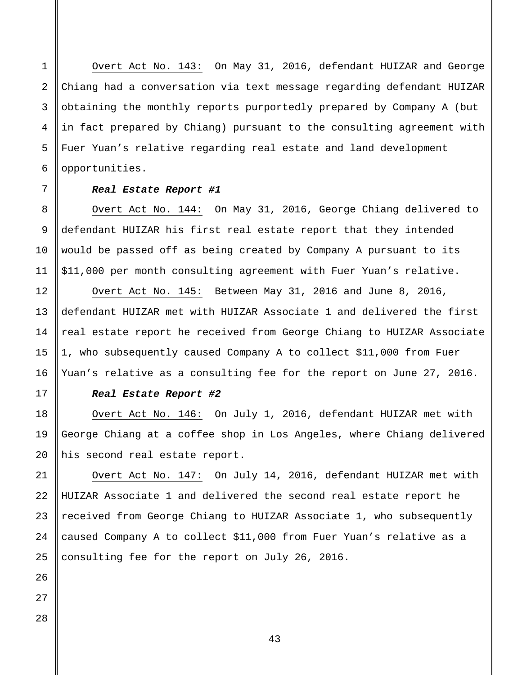Overt Act No. 143: On May 31, 2016, defendant HUIZAR and George Chiang had a conversation via text message regarding defendant HUIZAR obtaining the monthly reports purportedly prepared by Company A (but in fact prepared by Chiang) pursuant to the consulting agreement with Fuer Yuan's relative regarding real estate and land development opportunities.

### *Real Estate Report #1*

Overt Act No. 144: On May 31, 2016, George Chiang delivered to defendant HUIZAR his first real estate report that they intended would be passed off as being created by Company A pursuant to its \$11,000 per month consulting agreement with Fuer Yuan's relative.

Overt Act No. 145: Between May 31, 2016 and June 8, 2016, defendant HUIZAR met with HUIZAR Associate 1 and delivered the first real estate report he received from George Chiang to HUIZAR Associate 1, who subsequently caused Company A to collect \$11,000 from Fuer Yuan's relative as a consulting fee for the report on June 27, 2016.

### *Real Estate Report #2*

Overt Act No. 146: On July 1, 2016, defendant HUIZAR met with George Chiang at a coffee shop in Los Angeles, where Chiang delivered his second real estate report.

Overt Act No. 147: On July 14, 2016, defendant HUIZAR met with HUIZAR Associate 1 and delivered the second real estate report he received from George Chiang to HUIZAR Associate 1, who subsequently caused Company A to collect \$11,000 from Fuer Yuan's relative as a consulting fee for the report on July 26, 2016.

28

1

2

3

4

5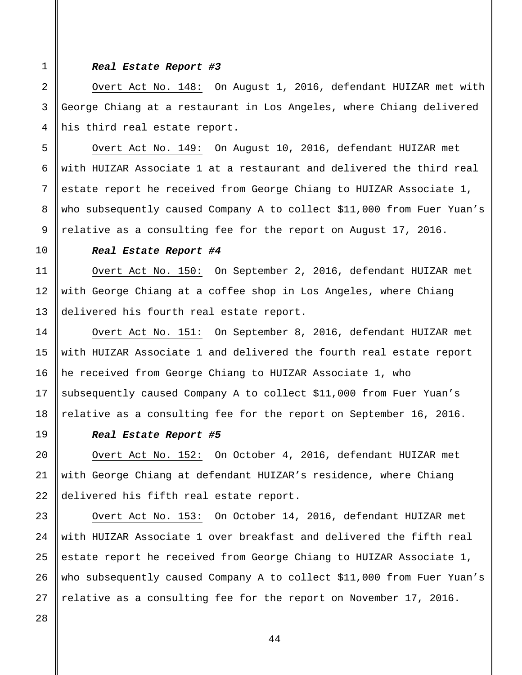### *Real Estate Report #3*

Overt Act No. 148: On August 1, 2016, defendant HUIZAR met with George Chiang at a restaurant in Los Angeles, where Chiang delivered his third real estate report.

Overt Act No. 149: On August 10, 2016, defendant HUIZAR met with HUIZAR Associate 1 at a restaurant and delivered the third real estate report he received from George Chiang to HUIZAR Associate 1, who subsequently caused Company A to collect \$11,000 from Fuer Yuan's relative as a consulting fee for the report on August 17, 2016.

### *Real Estate Report #4*

Overt Act No. 150: On September 2, 2016, defendant HUIZAR met with George Chiang at a coffee shop in Los Angeles, where Chiang delivered his fourth real estate report.

Overt Act No. 151: On September 8, 2016, defendant HUIZAR met with HUIZAR Associate 1 and delivered the fourth real estate report he received from George Chiang to HUIZAR Associate 1, who subsequently caused Company A to collect \$11,000 from Fuer Yuan's relative as a consulting fee for the report on September 16, 2016.

### *Real Estate Report #5*

Overt Act No. 152: On October 4, 2016, defendant HUIZAR met with George Chiang at defendant HUIZAR's residence, where Chiang delivered his fifth real estate report.

Overt Act No. 153: On October 14, 2016, defendant HUIZAR met with HUIZAR Associate 1 over breakfast and delivered the fifth real estate report he received from George Chiang to HUIZAR Associate 1, who subsequently caused Company A to collect \$11,000 from Fuer Yuan's relative as a consulting fee for the report on November 17, 2016.

1

2

3

4

5

6

7

8

9

10

11

12

13

14

15

16

17

18

19

20

21

22

23

24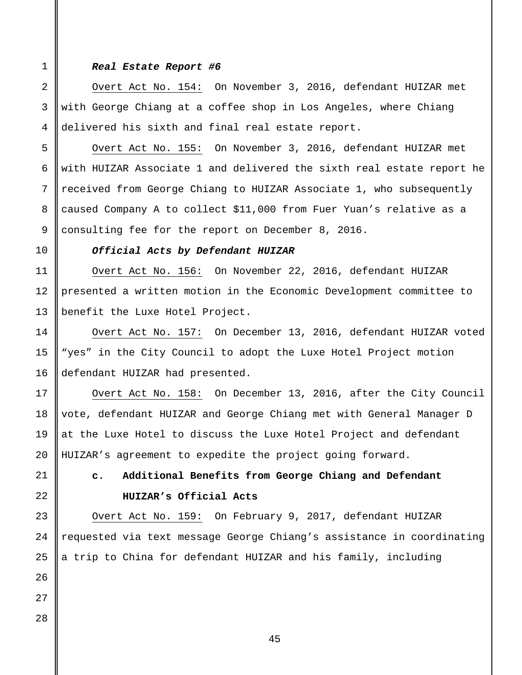1

2

3

4

5

6

7

8

9

10

11

12

13

14

15

16

17

18

19

20

21

22

23

24

25

26

### *Real Estate Report #6*

Overt Act No. 154: On November 3, 2016, defendant HUIZAR met with George Chiang at a coffee shop in Los Angeles, where Chiang delivered his sixth and final real estate report.

Overt Act No. 155: On November 3, 2016, defendant HUIZAR met with HUIZAR Associate 1 and delivered the sixth real estate report he received from George Chiang to HUIZAR Associate 1, who subsequently caused Company A to collect \$11,000 from Fuer Yuan's relative as a consulting fee for the report on December 8, 2016.

### *Official Acts by Defendant HUIZAR*

Overt Act No. 156: On November 22, 2016, defendant HUIZAR presented a written motion in the Economic Development committee to benefit the Luxe Hotel Project.

Overt Act No. 157: On December 13, 2016, defendant HUIZAR voted "yes" in the City Council to adopt the Luxe Hotel Project motion defendant HUIZAR had presented.

Overt Act No. 158: On December 13, 2016, after the City Council vote, defendant HUIZAR and George Chiang met with General Manager D at the Luxe Hotel to discuss the Luxe Hotel Project and defendant HUIZAR's agreement to expedite the project going forward.

# **c. Additional Benefits from George Chiang and Defendant HUIZAR's Official Acts**

Overt Act No. 159: On February 9, 2017, defendant HUIZAR requested via text message George Chiang's assistance in coordinating a trip to China for defendant HUIZAR and his family, including

28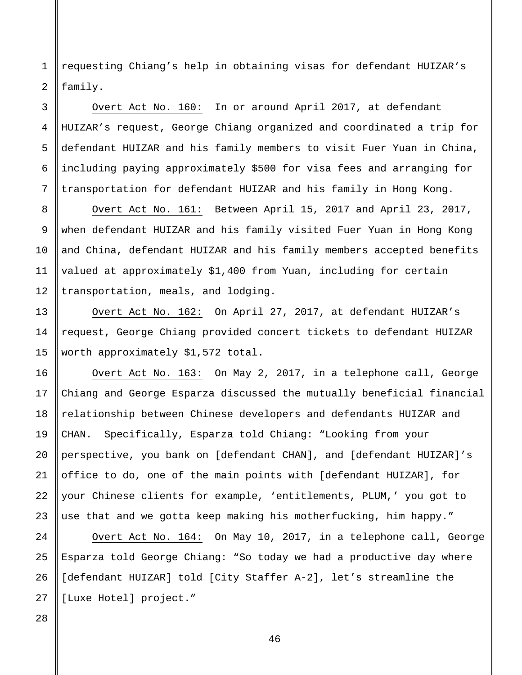1 2 requesting Chiang's help in obtaining visas for defendant HUIZAR's family.

# Overt Act No. 160: In or around April 2017, at defendant HUIZAR's request, George Chiang organized and coordinated a trip for defendant HUIZAR and his family members to visit Fuer Yuan in China, including paying approximately \$500 for visa fees and arranging for transportation for defendant HUIZAR and his family in Hong Kong.

Overt Act No. 161: Between April 15, 2017 and April 23, 2017, when defendant HUIZAR and his family visited Fuer Yuan in Hong Kong and China, defendant HUIZAR and his family members accepted benefits valued at approximately \$1,400 from Yuan, including for certain transportation, meals, and lodging.

Overt Act No. 162: On April 27, 2017, at defendant HUIZAR's request, George Chiang provided concert tickets to defendant HUIZAR worth approximately \$1,572 total.

Overt Act No. 163: On May 2, 2017, in a telephone call, George Chiang and George Esparza discussed the mutually beneficial financial relationship between Chinese developers and defendants HUIZAR and CHAN. Specifically, Esparza told Chiang: "Looking from your perspective, you bank on [defendant CHAN], and [defendant HUIZAR]'s office to do, one of the main points with [defendant HUIZAR], for your Chinese clients for example, 'entitlements, PLUM,' you got to use that and we gotta keep making his motherfucking, him happy."

Overt Act No. 164: On May 10, 2017, in a telephone call, George Esparza told George Chiang: "So today we had a productive day where [defendant HUIZAR] told [City Staffer A-2], let's streamline the [Luxe Hotel] project."

3

4

5

6

7

8

9

10

11

12

13

14

15

16

17

18

19

20

21

22

23

24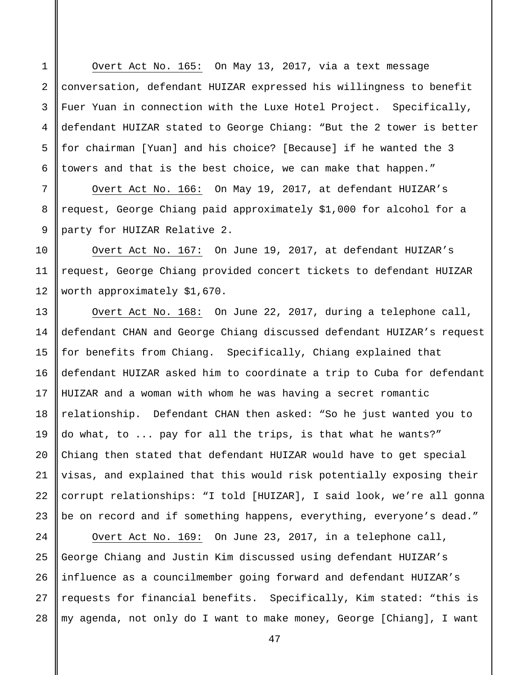Overt Act No. 165: On May 13, 2017, via a text message conversation, defendant HUIZAR expressed his willingness to benefit Fuer Yuan in connection with the Luxe Hotel Project. Specifically, defendant HUIZAR stated to George Chiang: "But the 2 tower is better for chairman [Yuan] and his choice? [Because] if he wanted the 3 towers and that is the best choice, we can make that happen."

Overt Act No. 166: On May 19, 2017, at defendant HUIZAR's request, George Chiang paid approximately \$1,000 for alcohol for a party for HUIZAR Relative 2.

Overt Act No. 167: On June 19, 2017, at defendant HUIZAR's request, George Chiang provided concert tickets to defendant HUIZAR worth approximately \$1,670.

Overt Act No. 168: On June 22, 2017, during a telephone call, defendant CHAN and George Chiang discussed defendant HUIZAR's request for benefits from Chiang. Specifically, Chiang explained that defendant HUIZAR asked him to coordinate a trip to Cuba for defendant HUIZAR and a woman with whom he was having a secret romantic relationship. Defendant CHAN then asked: "So he just wanted you to do what, to ... pay for all the trips, is that what he wants?" Chiang then stated that defendant HUIZAR would have to get special visas, and explained that this would risk potentially exposing their corrupt relationships: "I told [HUIZAR], I said look, we're all gonna be on record and if something happens, everything, everyone's dead."

28 Overt Act No. 169: On June 23, 2017, in a telephone call, George Chiang and Justin Kim discussed using defendant HUIZAR's influence as a councilmember going forward and defendant HUIZAR's requests for financial benefits. Specifically, Kim stated: "this is my agenda, not only do I want to make money, George [Chiang], I want

1

2

3

4

5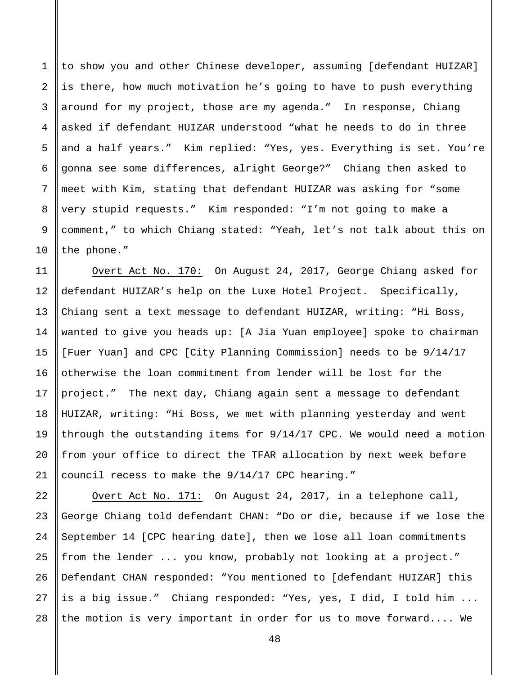1 2 3 4 5 6 7 8 9 10 to show you and other Chinese developer, assuming [defendant HUIZAR] is there, how much motivation he's going to have to push everything around for my project, those are my agenda." In response, Chiang asked if defendant HUIZAR understood "what he needs to do in three and a half years." Kim replied: "Yes, yes. Everything is set. You're gonna see some differences, alright George?" Chiang then asked to meet with Kim, stating that defendant HUIZAR was asking for "some very stupid requests." Kim responded: "I'm not going to make a comment," to which Chiang stated: "Yeah, let's not talk about this on the phone."

Overt Act No. 170: On August 24, 2017, George Chiang asked for defendant HUIZAR's help on the Luxe Hotel Project. Specifically, Chiang sent a text message to defendant HUIZAR, writing: "Hi Boss, wanted to give you heads up: [A Jia Yuan employee] spoke to chairman [Fuer Yuan] and CPC [City Planning Commission] needs to be 9/14/17 otherwise the loan commitment from lender will be lost for the project." The next day, Chiang again sent a message to defendant HUIZAR, writing: "Hi Boss, we met with planning yesterday and went through the outstanding items for 9/14/17 CPC. We would need a motion from your office to direct the TFAR allocation by next week before council recess to make the 9/14/17 CPC hearing."

22 23 24 25 26 27 28 Overt Act No. 171: On August 24, 2017, in a telephone call, George Chiang told defendant CHAN: "Do or die, because if we lose the September 14 [CPC hearing date], then we lose all loan commitments from the lender ... you know, probably not looking at a project." Defendant CHAN responded: "You mentioned to [defendant HUIZAR] this is a big issue." Chiang responded: "Yes, yes, I did, I told him ... the motion is very important in order for us to move forward.... We

11

12

13

14

15

16

17

18

19

20

21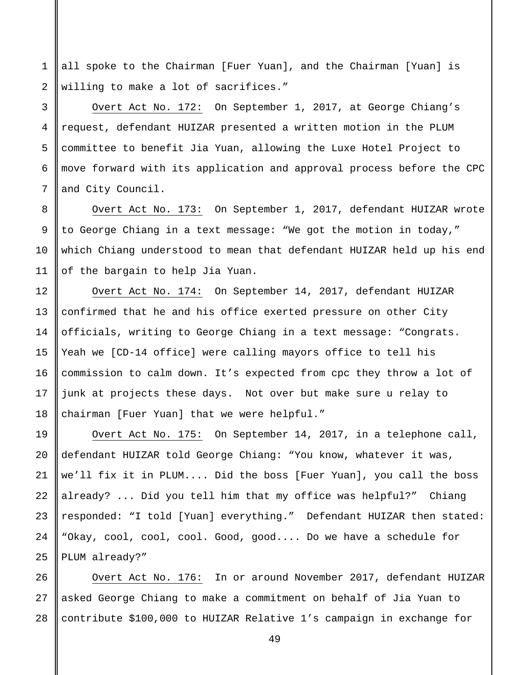all spoke to the Chairman [Fuer Yuan], and the Chairman [Yuan] is willing to make a lot of sacrifices."

Overt Act No. 172: On September 1, 2017, at George Chiang's request, defendant HUIZAR presented a written motion in the PLUM committee to benefit Jia Yuan, allowing the Luxe Hotel Project to move forward with its application and approval process before the CPC and City Council.

Overt Act No. 173: On September 1, 2017, defendant HUIZAR wrote to George Chiang in a text message: "We got the motion in today," which Chiang understood to mean that defendant HUIZAR held up his end of the bargain to help Jia Yuan.

Overt Act No. 174: On September 14, 2017, defendant HUIZAR confirmed that he and his office exerted pressure on other City officials, writing to George Chiang in a text message: "Congrats. Yeah we [CD-14 office] were calling mayors office to tell his commission to calm down. It's expected from cpc they throw a lot of junk at projects these days. Not over but make sure u relay to chairman [Fuer Yuan] that we were helpful."

Overt Act No. 175: On September 14, 2017, in a telephone call, defendant HUIZAR told George Chiang: "You know, whatever it was, we'll fix it in PLUM.... Did the boss [Fuer Yuan], you call the boss already? ... Did you tell him that my office was helpful?" Chiang responded: "I told [Yuan] everything." Defendant HUIZAR then stated: "Okay, cool, cool, cool. Good, good.... Do we have a schedule for PLUM already?"

27 28 Overt Act No. 176: In or around November 2017, defendant HUIZAR asked George Chiang to make a commitment on behalf of Jia Yuan to contribute \$100,000 to HUIZAR Relative 1's campaign in exchange for

1

2

3

4

5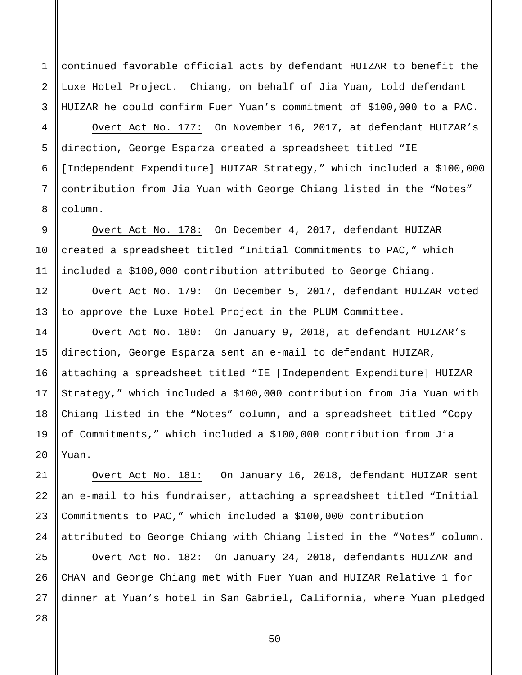continued favorable official acts by defendant HUIZAR to benefit the Luxe Hotel Project. Chiang, on behalf of Jia Yuan, told defendant HUIZAR he could confirm Fuer Yuan's commitment of \$100,000 to a PAC.

Overt Act No. 177: On November 16, 2017, at defendant HUIZAR's direction, George Esparza created a spreadsheet titled "IE [Independent Expenditure] HUIZAR Strategy," which included a \$100,000 contribution from Jia Yuan with George Chiang listed in the "Notes" column.

Overt Act No. 178: On December 4, 2017, defendant HUIZAR created a spreadsheet titled "Initial Commitments to PAC," which included a \$100,000 contribution attributed to George Chiang.

Overt Act No. 179: On December 5, 2017, defendant HUIZAR voted to approve the Luxe Hotel Project in the PLUM Committee.

Overt Act No. 180: On January 9, 2018, at defendant HUIZAR's direction, George Esparza sent an e-mail to defendant HUIZAR, attaching a spreadsheet titled "IE [Independent Expenditure] HUIZAR Strategy," which included a \$100,000 contribution from Jia Yuan with Chiang listed in the "Notes" column, and a spreadsheet titled "Copy of Commitments," which included a \$100,000 contribution from Jia Yuan.

Overt Act No. 181: On January 16, 2018, defendant HUIZAR sent an e-mail to his fundraiser, attaching a spreadsheet titled "Initial Commitments to PAC," which included a \$100,000 contribution attributed to George Chiang with Chiang listed in the "Notes" column.

Overt Act No. 182: On January 24, 2018, defendants HUIZAR and CHAN and George Chiang met with Fuer Yuan and HUIZAR Relative 1 for dinner at Yuan's hotel in San Gabriel, California, where Yuan pledged

28

1

2

3

4

5

6

7

8

9

10

11

12

13

14

15

16

17

18

19

20

21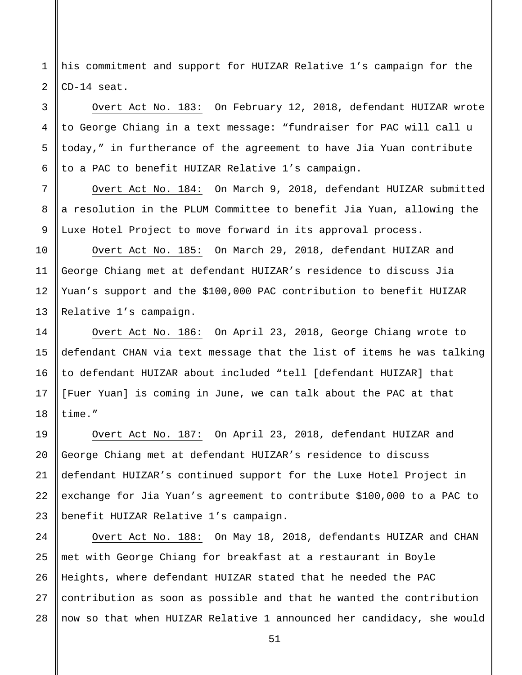1 2 his commitment and support for HUIZAR Relative 1's campaign for the CD-14 seat.

3

4

5

6

7

8

9

10

11

12

13

14

15

16

17

18

19

20

21

Overt Act No. 183: On February 12, 2018, defendant HUIZAR wrote to George Chiang in a text message: "fundraiser for PAC will call u today," in furtherance of the agreement to have Jia Yuan contribute to a PAC to benefit HUIZAR Relative 1's campaign.

Overt Act No. 184: On March 9, 2018, defendant HUIZAR submitted a resolution in the PLUM Committee to benefit Jia Yuan, allowing the Luxe Hotel Project to move forward in its approval process.

Overt Act No. 185: On March 29, 2018, defendant HUIZAR and George Chiang met at defendant HUIZAR's residence to discuss Jia Yuan's support and the \$100,000 PAC contribution to benefit HUIZAR Relative 1's campaign.

Overt Act No. 186: On April 23, 2018, George Chiang wrote to defendant CHAN via text message that the list of items he was talking to defendant HUIZAR about included "tell [defendant HUIZAR] that [Fuer Yuan] is coming in June, we can talk about the PAC at that time."

22 23 Overt Act No. 187: On April 23, 2018, defendant HUIZAR and George Chiang met at defendant HUIZAR's residence to discuss defendant HUIZAR's continued support for the Luxe Hotel Project in exchange for Jia Yuan's agreement to contribute \$100,000 to a PAC to benefit HUIZAR Relative 1's campaign.

24 25 26 27 28 Overt Act No. 188: On May 18, 2018, defendants HUIZAR and CHAN met with George Chiang for breakfast at a restaurant in Boyle Heights, where defendant HUIZAR stated that he needed the PAC contribution as soon as possible and that he wanted the contribution now so that when HUIZAR Relative 1 announced her candidacy, she would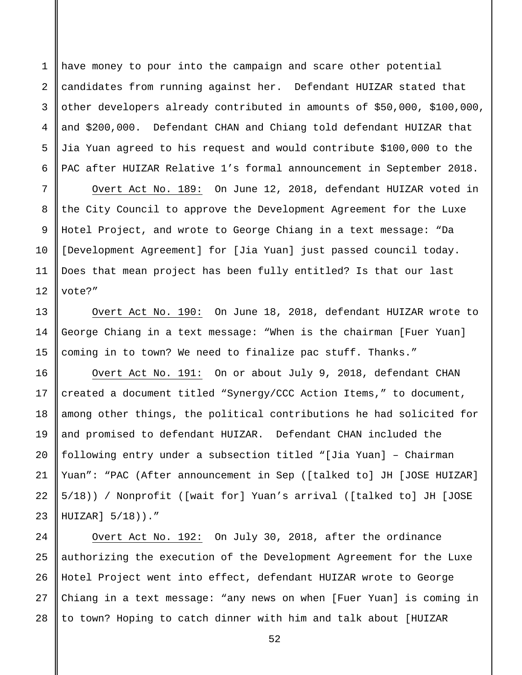1 2 3 4 5 6 have money to pour into the campaign and scare other potential candidates from running against her. Defendant HUIZAR stated that other developers already contributed in amounts of \$50,000, \$100,000, and \$200,000. Defendant CHAN and Chiang told defendant HUIZAR that Jia Yuan agreed to his request and would contribute \$100,000 to the PAC after HUIZAR Relative 1's formal announcement in September 2018.

Overt Act No. 189: On June 12, 2018, defendant HUIZAR voted in the City Council to approve the Development Agreement for the Luxe Hotel Project, and wrote to George Chiang in a text message: "Da [Development Agreement] for [Jia Yuan] just passed council today. Does that mean project has been fully entitled? Is that our last vote?"

Overt Act No. 190: On June 18, 2018, defendant HUIZAR wrote to George Chiang in a text message: "When is the chairman [Fuer Yuan] coming in to town? We need to finalize pac stuff. Thanks."

Overt Act No. 191: On or about July 9, 2018, defendant CHAN created a document titled "Synergy/CCC Action Items," to document, among other things, the political contributions he had solicited for and promised to defendant HUIZAR. Defendant CHAN included the following entry under a subsection titled "[Jia Yuan] – Chairman Yuan": "PAC (After announcement in Sep ([talked to] JH [JOSE HUIZAR] 5/18)) / Nonprofit ([wait for] Yuan's arrival ([talked to] JH [JOSE HUIZAR] 5/18))."

28 Overt Act No. 192: On July 30, 2018, after the ordinance authorizing the execution of the Development Agreement for the Luxe Hotel Project went into effect, defendant HUIZAR wrote to George Chiang in a text message: "any news on when [Fuer Yuan] is coming in to town? Hoping to catch dinner with him and talk about [HUIZAR

7

8

9

10

11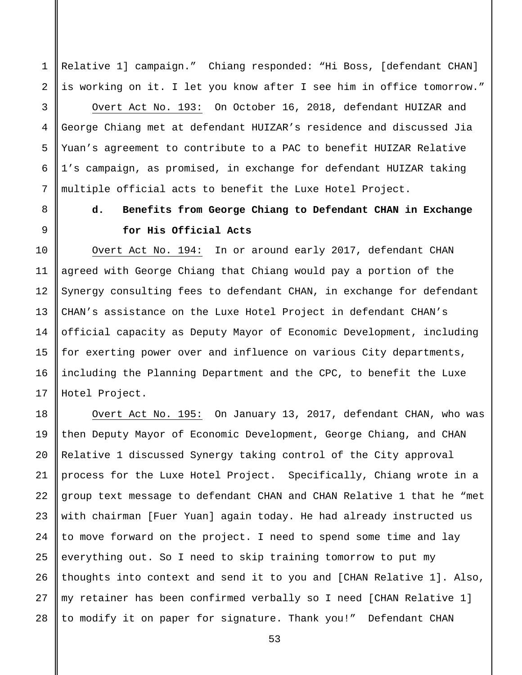Relative 1] campaign." Chiang responded: "Hi Boss, [defendant CHAN] is working on it. I let you know after I see him in office tomorrow."

1

2

3

4

5

6

7

8

9

10

11

12

13

14

15

16

17

Overt Act No. 193: On October 16, 2018, defendant HUIZAR and George Chiang met at defendant HUIZAR's residence and discussed Jia Yuan's agreement to contribute to a PAC to benefit HUIZAR Relative 1's campaign, as promised, in exchange for defendant HUIZAR taking multiple official acts to benefit the Luxe Hotel Project.

## **d. Benefits from George Chiang to Defendant CHAN in Exchange for His Official Acts**

Overt Act No. 194: In or around early 2017, defendant CHAN agreed with George Chiang that Chiang would pay a portion of the Synergy consulting fees to defendant CHAN, in exchange for defendant CHAN's assistance on the Luxe Hotel Project in defendant CHAN's official capacity as Deputy Mayor of Economic Development, including for exerting power over and influence on various City departments, including the Planning Department and the CPC, to benefit the Luxe Hotel Project.

18 19 20 21 22 23 24 25 26 27 28 Overt Act No. 195: On January 13, 2017, defendant CHAN, who was then Deputy Mayor of Economic Development, George Chiang, and CHAN Relative 1 discussed Synergy taking control of the City approval process for the Luxe Hotel Project. Specifically, Chiang wrote in a group text message to defendant CHAN and CHAN Relative 1 that he "met with chairman [Fuer Yuan] again today. He had already instructed us to move forward on the project. I need to spend some time and lay everything out. So I need to skip training tomorrow to put my thoughts into context and send it to you and [CHAN Relative 1]. Also, my retainer has been confirmed verbally so I need [CHAN Relative 1] to modify it on paper for signature. Thank you!" Defendant CHAN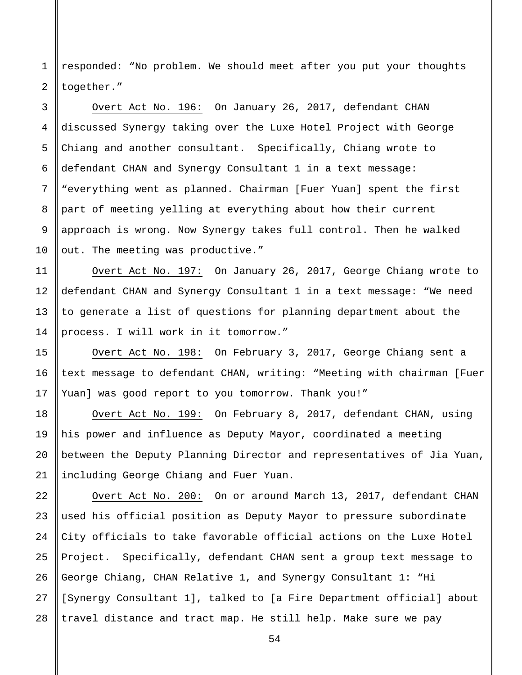1 2 responded: "No problem. We should meet after you put your thoughts together."

3 4 5 6 7 8 9 10 Overt Act No. 196: On January 26, 2017, defendant CHAN discussed Synergy taking over the Luxe Hotel Project with George Chiang and another consultant. Specifically, Chiang wrote to defendant CHAN and Synergy Consultant 1 in a text message: "everything went as planned. Chairman [Fuer Yuan] spent the first part of meeting yelling at everything about how their current approach is wrong. Now Synergy takes full control. Then he walked out. The meeting was productive."

Overt Act No. 197: On January 26, 2017, George Chiang wrote to defendant CHAN and Synergy Consultant 1 in a text message: "We need to generate a list of questions for planning department about the process. I will work in it tomorrow."

11

12

13

14

15

16

17

18

19

20

21

Overt Act No. 198: On February 3, 2017, George Chiang sent a text message to defendant CHAN, writing: "Meeting with chairman [Fuer Yuan] was good report to you tomorrow. Thank you!"

Overt Act No. 199: On February 8, 2017, defendant CHAN, using his power and influence as Deputy Mayor, coordinated a meeting between the Deputy Planning Director and representatives of Jia Yuan, including George Chiang and Fuer Yuan.

22 23 24 25 26 27 28 Overt Act No. 200: On or around March 13, 2017, defendant CHAN used his official position as Deputy Mayor to pressure subordinate City officials to take favorable official actions on the Luxe Hotel Project. Specifically, defendant CHAN sent a group text message to George Chiang, CHAN Relative 1, and Synergy Consultant 1: "Hi [Synergy Consultant 1], talked to [a Fire Department official] about travel distance and tract map. He still help. Make sure we pay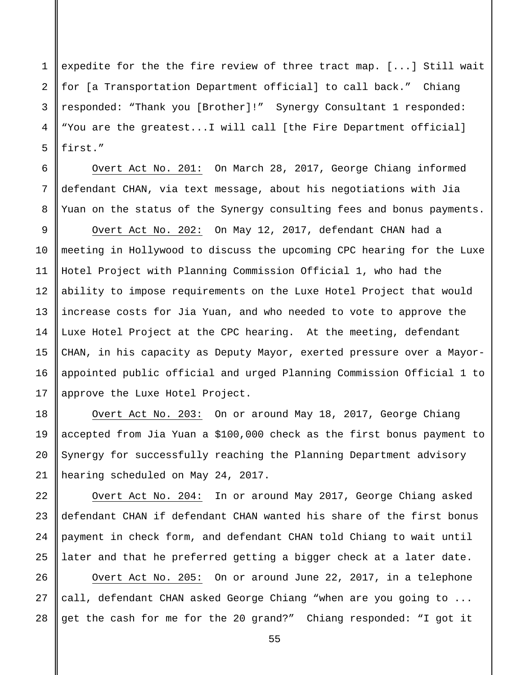1 2 3 4 5 expedite for the the fire review of three tract map. [...] Still wait for [a Transportation Department official] to call back." Chiang responded: "Thank you [Brother]!" Synergy Consultant 1 responded: "You are the greatest...I will call [the Fire Department official] first."

Overt Act No. 201: On March 28, 2017, George Chiang informed defendant CHAN, via text message, about his negotiations with Jia Yuan on the status of the Synergy consulting fees and bonus payments.

6

7

8

9

10

11

12

13

15

16

17

18

19

20

21

22

23

24

25

14 Overt Act No. 202: On May 12, 2017, defendant CHAN had a meeting in Hollywood to discuss the upcoming CPC hearing for the Luxe Hotel Project with Planning Commission Official 1, who had the ability to impose requirements on the Luxe Hotel Project that would increase costs for Jia Yuan, and who needed to vote to approve the Luxe Hotel Project at the CPC hearing. At the meeting, defendant CHAN, in his capacity as Deputy Mayor, exerted pressure over a Mayorappointed public official and urged Planning Commission Official 1 to approve the Luxe Hotel Project.

Overt Act No. 203: On or around May 18, 2017, George Chiang accepted from Jia Yuan a \$100,000 check as the first bonus payment to Synergy for successfully reaching the Planning Department advisory hearing scheduled on May 24, 2017.

Overt Act No. 204: In or around May 2017, George Chiang asked defendant CHAN if defendant CHAN wanted his share of the first bonus payment in check form, and defendant CHAN told Chiang to wait until later and that he preferred getting a bigger check at a later date.

26 27 28 Overt Act No. 205: On or around June 22, 2017, in a telephone call, defendant CHAN asked George Chiang "when are you going to ... get the cash for me for the 20 grand?" Chiang responded: "I got it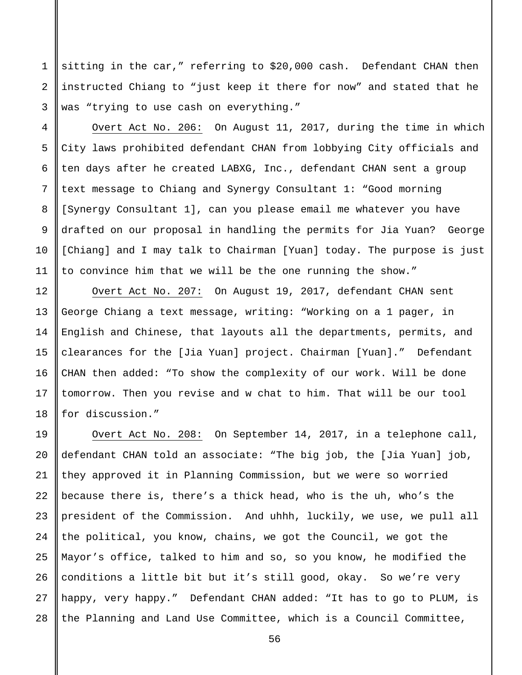sitting in the car," referring to \$20,000 cash. Defendant CHAN then instructed Chiang to "just keep it there for now" and stated that he was "trying to use cash on everything."

Overt Act No. 206: On August 11, 2017, during the time in which City laws prohibited defendant CHAN from lobbying City officials and ten days after he created LABXG, Inc., defendant CHAN sent a group text message to Chiang and Synergy Consultant 1: "Good morning [Synergy Consultant 1], can you please email me whatever you have drafted on our proposal in handling the permits for Jia Yuan? George [Chiang] and I may talk to Chairman [Yuan] today. The purpose is just to convince him that we will be the one running the show."

Overt Act No. 207: On August 19, 2017, defendant CHAN sent George Chiang a text message, writing: "Working on a 1 pager, in English and Chinese, that layouts all the departments, permits, and clearances for the [Jia Yuan] project. Chairman [Yuan]." Defendant CHAN then added: "To show the complexity of our work. Will be done tomorrow. Then you revise and w chat to him. That will be our tool for discussion."

22 23 24 25 26 27 28 Overt Act No. 208: On September 14, 2017, in a telephone call, defendant CHAN told an associate: "The big job, the [Jia Yuan] job, they approved it in Planning Commission, but we were so worried because there is, there's a thick head, who is the uh, who's the president of the Commission. And uhhh, luckily, we use, we pull all the political, you know, chains, we got the Council, we got the Mayor's office, talked to him and so, so you know, he modified the conditions a little bit but it's still good, okay. So we're very happy, very happy." Defendant CHAN added: "It has to go to PLUM, is the Planning and Land Use Committee, which is a Council Committee,

1

2

3

4

5

6

7

8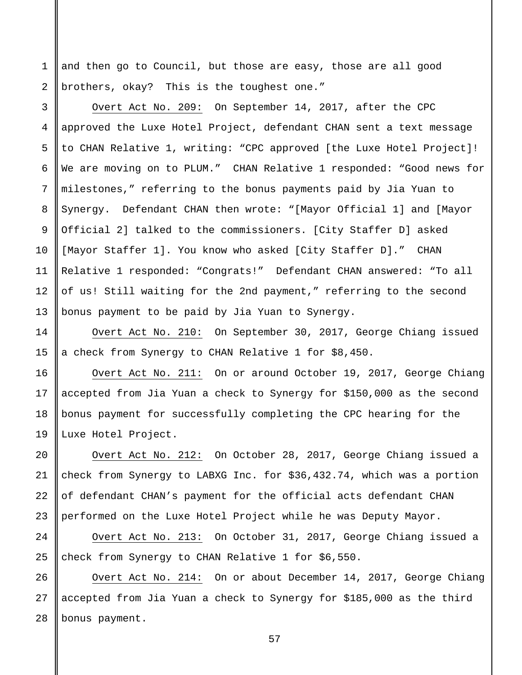and then go to Council, but those are easy, those are all good brothers, okay? This is the toughest one."

1

2

3

4

5

6

7

8

9

10

11

12

13

14

15

16

17

18

19

20

21

22

23

24

25

Overt Act No. 209: On September 14, 2017, after the CPC approved the Luxe Hotel Project, defendant CHAN sent a text message to CHAN Relative 1, writing: "CPC approved [the Luxe Hotel Project]! We are moving on to PLUM." CHAN Relative 1 responded: "Good news for milestones," referring to the bonus payments paid by Jia Yuan to Synergy. Defendant CHAN then wrote: "[Mayor Official 1] and [Mayor Official 2] talked to the commissioners. [City Staffer D] asked [Mayor Staffer 1]. You know who asked [City Staffer D]." CHAN Relative 1 responded: "Congrats!" Defendant CHAN answered: "To all of us! Still waiting for the 2nd payment," referring to the second bonus payment to be paid by Jia Yuan to Synergy.

Overt Act No. 210: On September 30, 2017, George Chiang issued a check from Synergy to CHAN Relative 1 for \$8,450.

Overt Act No. 211: On or around October 19, 2017, George Chiang accepted from Jia Yuan a check to Synergy for \$150,000 as the second bonus payment for successfully completing the CPC hearing for the Luxe Hotel Project.

Overt Act No. 212: On October 28, 2017, George Chiang issued a check from Synergy to LABXG Inc. for \$36,432.74, which was a portion of defendant CHAN's payment for the official acts defendant CHAN performed on the Luxe Hotel Project while he was Deputy Mayor.

Overt Act No. 213: On October 31, 2017, George Chiang issued a check from Synergy to CHAN Relative 1 for \$6,550.

26 27 28 Overt Act No. 214: On or about December 14, 2017, George Chiang accepted from Jia Yuan a check to Synergy for \$185,000 as the third bonus payment.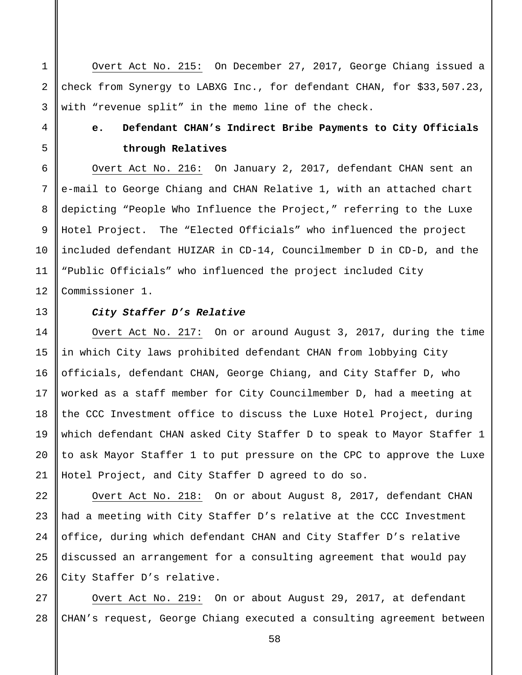Overt Act No. 215: On December 27, 2017, George Chiang issued a check from Synergy to LABXG Inc., for defendant CHAN, for \$33,507.23, with "revenue split" in the memo line of the check.

### **e. Defendant CHAN's Indirect Bribe Payments to City Officials through Relatives**

Overt Act No. 216: On January 2, 2017, defendant CHAN sent an e-mail to George Chiang and CHAN Relative 1, with an attached chart depicting "People Who Influence the Project," referring to the Luxe Hotel Project. The "Elected Officials" who influenced the project included defendant HUIZAR in CD-14, Councilmember D in CD-D, and the "Public Officials" who influenced the project included City Commissioner 1.

### *City Staffer D's Relative*

Overt Act No. 217: On or around August 3, 2017, during the time in which City laws prohibited defendant CHAN from lobbying City officials, defendant CHAN, George Chiang, and City Staffer D, who worked as a staff member for City Councilmember D, had a meeting at the CCC Investment office to discuss the Luxe Hotel Project, during which defendant CHAN asked City Staffer D to speak to Mayor Staffer 1 to ask Mayor Staffer 1 to put pressure on the CPC to approve the Luxe Hotel Project, and City Staffer D agreed to do so.

Overt Act No. 218: On or about August 8, 2017, defendant CHAN had a meeting with City Staffer D's relative at the CCC Investment office, during which defendant CHAN and City Staffer D's relative discussed an arrangement for a consulting agreement that would pay City Staffer D's relative.

28 Overt Act No. 219: On or about August 29, 2017, at defendant CHAN's request, George Chiang executed a consulting agreement between

1

2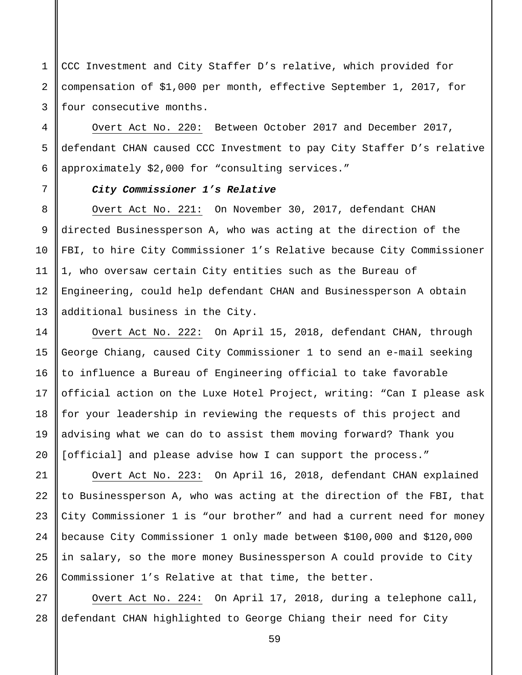1 2 3 CCC Investment and City Staffer D's relative, which provided for compensation of \$1,000 per month, effective September 1, 2017, for four consecutive months.

Overt Act No. 220: Between October 2017 and December 2017, defendant CHAN caused CCC Investment to pay City Staffer D's relative approximately \$2,000 for "consulting services."

### *City Commissioner 1's Relative*

Overt Act No. 221: On November 30, 2017, defendant CHAN directed Businessperson A, who was acting at the direction of the FBI, to hire City Commissioner 1's Relative because City Commissioner 1, who oversaw certain City entities such as the Bureau of Engineering, could help defendant CHAN and Businessperson A obtain additional business in the City.

Overt Act No. 222: On April 15, 2018, defendant CHAN, through George Chiang, caused City Commissioner 1 to send an e-mail seeking to influence a Bureau of Engineering official to take favorable official action on the Luxe Hotel Project, writing: "Can I please ask for your leadership in reviewing the requests of this project and advising what we can do to assist them moving forward? Thank you [official] and please advise how I can support the process."

21 22 23 24 25 26 Overt Act No. 223: On April 16, 2018, defendant CHAN explained to Businessperson A, who was acting at the direction of the FBI, that City Commissioner 1 is "our brother" and had a current need for money because City Commissioner 1 only made between \$100,000 and \$120,000 in salary, so the more money Businessperson A could provide to City Commissioner 1's Relative at that time, the better.

27 28 Overt Act No. 224: On April 17, 2018, during a telephone call, defendant CHAN highlighted to George Chiang their need for City

4

5

6

7

8

9

10

11

12

13

14

15

16

17

18

19

20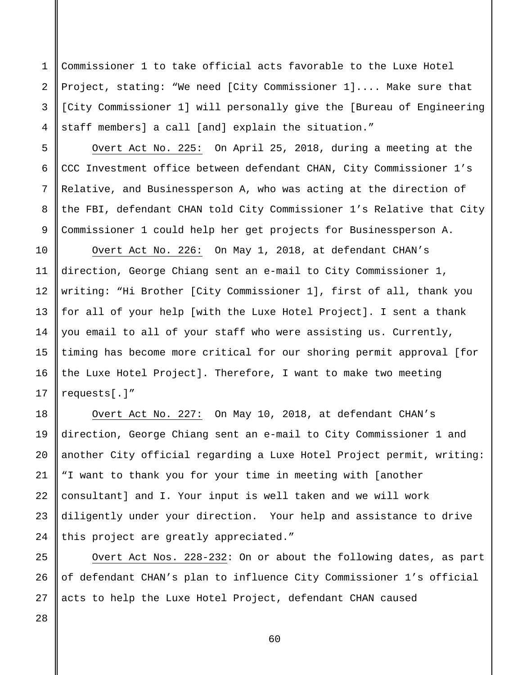Commissioner 1 to take official acts favorable to the Luxe Hotel Project, stating: "We need [City Commissioner 1].... Make sure that [City Commissioner 1] will personally give the [Bureau of Engineering staff members] a call [and] explain the situation."

Overt Act No. 225: On April 25, 2018, during a meeting at the CCC Investment office between defendant CHAN, City Commissioner 1's Relative, and Businessperson A, who was acting at the direction of the FBI, defendant CHAN told City Commissioner 1's Relative that City Commissioner 1 could help her get projects for Businessperson A.

10 11 12 13 14 15 16 17 Overt Act No. 226: On May 1, 2018, at defendant CHAN's direction, George Chiang sent an e-mail to City Commissioner 1, writing: "Hi Brother [City Commissioner 1], first of all, thank you for all of your help [with the Luxe Hotel Project]. I sent a thank you email to all of your staff who were assisting us. Currently, timing has become more critical for our shoring permit approval [for the Luxe Hotel Project]. Therefore, I want to make two meeting requests[.]"

Overt Act No. 227: On May 10, 2018, at defendant CHAN's direction, George Chiang sent an e-mail to City Commissioner 1 and another City official regarding a Luxe Hotel Project permit, writing: "I want to thank you for your time in meeting with [another consultant] and I. Your input is well taken and we will work diligently under your direction. Your help and assistance to drive this project are greatly appreciated."

25 Overt Act Nos. 228-232: On or about the following dates, as part of defendant CHAN's plan to influence City Commissioner 1's official acts to help the Luxe Hotel Project, defendant CHAN caused

26 27

28

18

19

20

21

22

23

24

1

2

3

4

5

6

7

8

9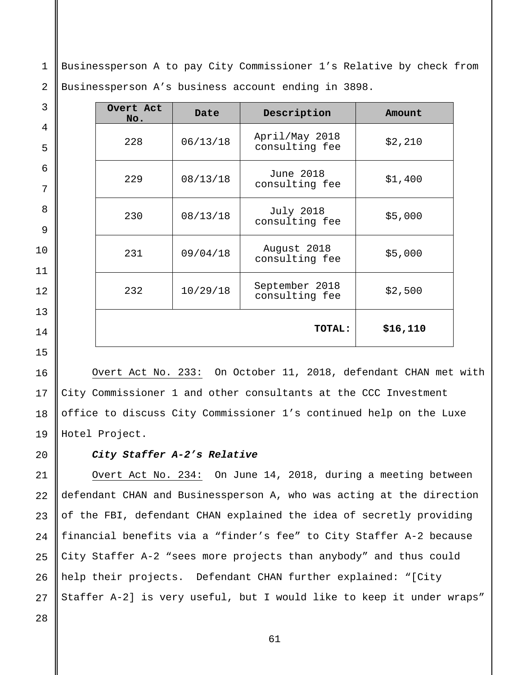1 2 Businessperson A to pay City Commissioner 1's Relative by check from Businessperson A's business account ending in 3898.

| Overt Act<br>No. | Date     | Description                        | Amount    |
|------------------|----------|------------------------------------|-----------|
| 228              | 06/13/18 | April/May 2018<br>consulting fee   | \$2,210   |
| 229              | 08/13/18 | June 2018<br>consulting fee        | \$1,400   |
| 230              | 08/13/18 | <b>July 2018</b><br>consulting fee | \$5,000   |
| 231              | 09/04/18 | August 2018<br>consulting fee      | \$5,000   |
| 232              | 10/29/18 | September 2018<br>consulting fee   | \$2,500   |
|                  |          | TOTAL:                             | \$16, 110 |

Overt Act No. 233: On October 11, 2018, defendant CHAN met with City Commissioner 1 and other consultants at the CCC Investment office to discuss City Commissioner 1's continued help on the Luxe Hotel Project.

### *City Staffer A-2's Relative*

21 22 23 24 25 26 27 Overt Act No. 234: On June 14, 2018, during a meeting between defendant CHAN and Businessperson A, who was acting at the direction of the FBI, defendant CHAN explained the idea of secretly providing financial benefits via a "finder's fee" to City Staffer A-2 because City Staffer A-2 "sees more projects than anybody" and thus could help their projects. Defendant CHAN further explained: "[City Staffer A-2] is very useful, but I would like to keep it under wraps"

28

3

4

5

6

7

8

9

10

11

12

13

14

15

16

17

18

19

 $2.0$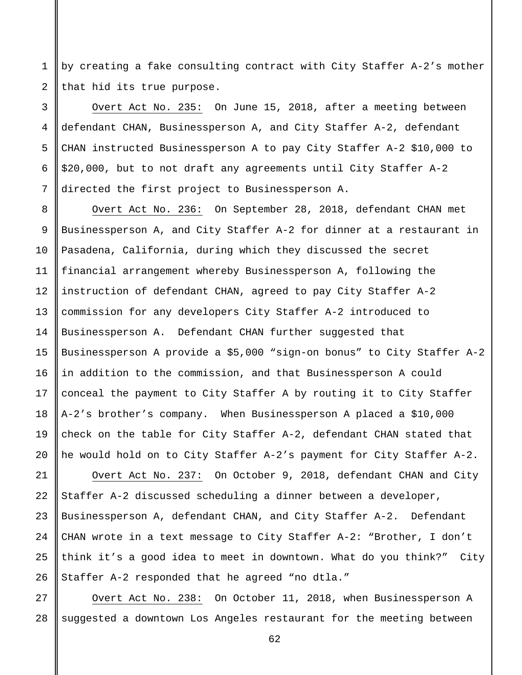1 2 by creating a fake consulting contract with City Staffer A-2's mother that hid its true purpose.

3 4 5 6 7 Overt Act No. 235: On June 15, 2018, after a meeting between defendant CHAN, Businessperson A, and City Staffer A-2, defendant CHAN instructed Businessperson A to pay City Staffer A-2 \$10,000 to \$20,000, but to not draft any agreements until City Staffer A-2 directed the first project to Businessperson A.

8

9

10

11

12

13

14

15

16

17

18

19

20

Overt Act No. 236: On September 28, 2018, defendant CHAN met Businessperson A, and City Staffer A-2 for dinner at a restaurant in Pasadena, California, during which they discussed the secret financial arrangement whereby Businessperson A, following the instruction of defendant CHAN, agreed to pay City Staffer A-2 commission for any developers City Staffer A-2 introduced to Businessperson A. Defendant CHAN further suggested that Businessperson A provide a \$5,000 "sign-on bonus" to City Staffer A-2 in addition to the commission, and that Businessperson A could conceal the payment to City Staffer A by routing it to City Staffer A-2's brother's company. When Businessperson A placed a \$10,000 check on the table for City Staffer A-2, defendant CHAN stated that he would hold on to City Staffer A-2's payment for City Staffer A-2.

21 22 23 24 25 26 Overt Act No. 237: On October 9, 2018, defendant CHAN and City Staffer A-2 discussed scheduling a dinner between a developer, Businessperson A, defendant CHAN, and City Staffer A-2. Defendant CHAN wrote in a text message to City Staffer A-2: "Brother, I don't think it's a good idea to meet in downtown. What do you think?" City Staffer A-2 responded that he agreed "no dtla."

27 28 Overt Act No. 238: On October 11, 2018, when Businessperson A suggested a downtown Los Angeles restaurant for the meeting between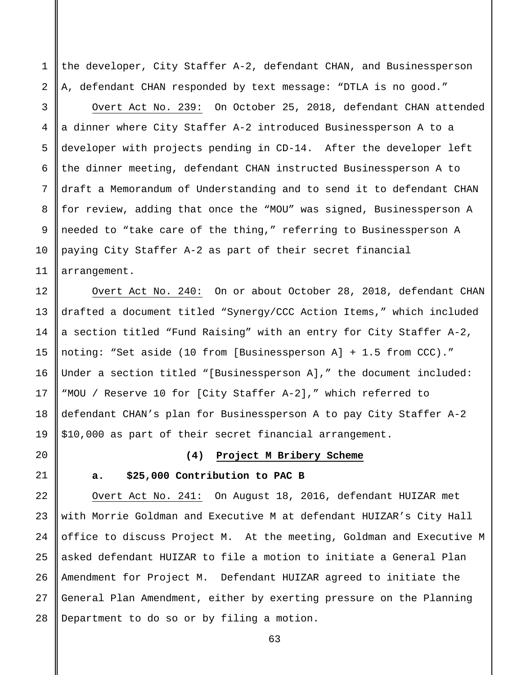the developer, City Staffer A-2, defendant CHAN, and Businessperson A, defendant CHAN responded by text message: "DTLA is no good."

Overt Act No. 239: On October 25, 2018, defendant CHAN attended a dinner where City Staffer A-2 introduced Businessperson A to a developer with projects pending in CD-14. After the developer left the dinner meeting, defendant CHAN instructed Businessperson A to draft a Memorandum of Understanding and to send it to defendant CHAN for review, adding that once the "MOU" was signed, Businessperson A needed to "take care of the thing," referring to Businessperson A paying City Staffer A-2 as part of their secret financial arrangement.

Overt Act No. 240: On or about October 28, 2018, defendant CHAN drafted a document titled "Synergy/CCC Action Items," which included a section titled "Fund Raising" with an entry for City Staffer A-2, noting: "Set aside (10 from [Businessperson A] + 1.5 from CCC)." Under a section titled "[Businessperson A]," the document included: "MOU / Reserve 10 for [City Staffer A-2]," which referred to defendant CHAN's plan for Businessperson A to pay City Staffer A-2 \$10,000 as part of their secret financial arrangement.

20

1

2

3

4

5

6

7

8

9

10

11

12

13

14

15

16

17

18

19

21

### **(4) Project M Bribery Scheme**

### **a. \$25,000 Contribution to PAC B**

22 23 24 25 26 27 28 Overt Act No. 241: On August 18, 2016, defendant HUIZAR met with Morrie Goldman and Executive M at defendant HUIZAR's City Hall office to discuss Project M. At the meeting, Goldman and Executive M asked defendant HUIZAR to file a motion to initiate a General Plan Amendment for Project M. Defendant HUIZAR agreed to initiate the General Plan Amendment, either by exerting pressure on the Planning Department to do so or by filing a motion.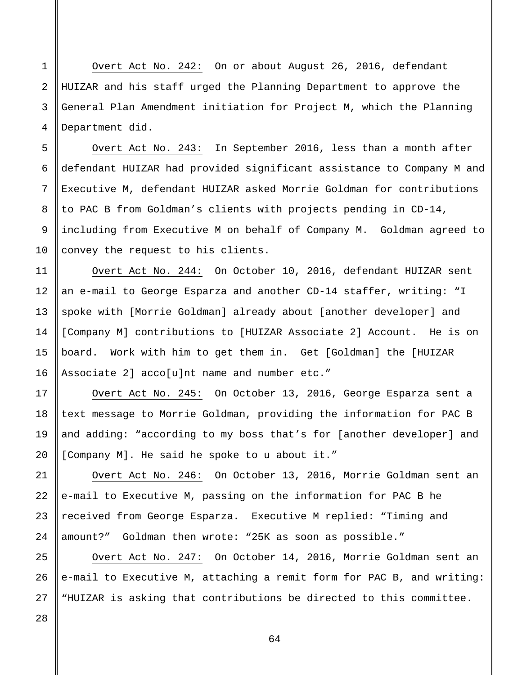Overt Act No. 242: On or about August 26, 2016, defendant HUIZAR and his staff urged the Planning Department to approve the General Plan Amendment initiation for Project M, which the Planning Department did.

Overt Act No. 243: In September 2016, less than a month after defendant HUIZAR had provided significant assistance to Company M and Executive M, defendant HUIZAR asked Morrie Goldman for contributions to PAC B from Goldman's clients with projects pending in CD-14, including from Executive M on behalf of Company M. Goldman agreed to convey the request to his clients.

Overt Act No. 244: On October 10, 2016, defendant HUIZAR sent an e-mail to George Esparza and another CD-14 staffer, writing: "I spoke with [Morrie Goldman] already about [another developer] and [Company M] contributions to [HUIZAR Associate 2] Account. He is on board. Work with him to get them in. Get [Goldman] the [HUIZAR Associate 2] acco[u]nt name and number etc."

Overt Act No. 245: On October 13, 2016, George Esparza sent a text message to Morrie Goldman, providing the information for PAC B and adding: "according to my boss that's for [another developer] and [Company M]. He said he spoke to u about it."

Overt Act No. 246: On October 13, 2016, Morrie Goldman sent an e-mail to Executive M, passing on the information for PAC B he received from George Esparza. Executive M replied: "Timing and amount?" Goldman then wrote: "25K as soon as possible."

Overt Act No. 247: On October 14, 2016, Morrie Goldman sent an e-mail to Executive M, attaching a remit form for PAC B, and writing: "HUIZAR is asking that contributions be directed to this committee.

28

1

2

3

4

5

6

7

8

9

10

11

12

13

14

15

16

17

18

19

20

21

22

23

24

25

26

27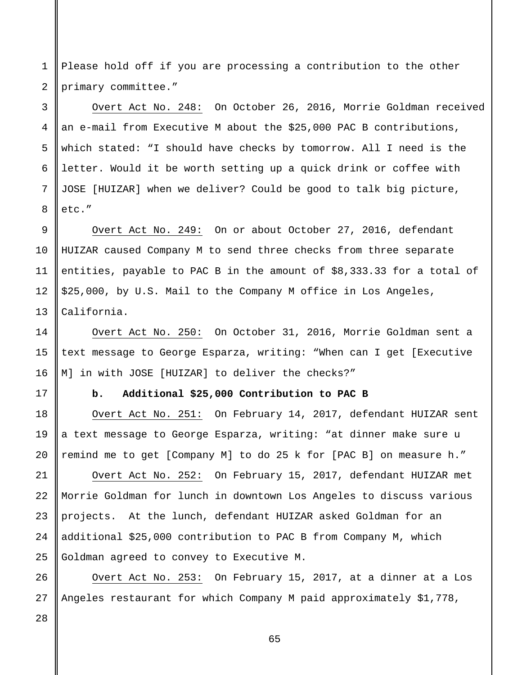1 2 Please hold off if you are processing a contribution to the other primary committee."

Overt Act No. 248: On October 26, 2016, Morrie Goldman received an e-mail from Executive M about the \$25,000 PAC B contributions, which stated: "I should have checks by tomorrow. All I need is the letter. Would it be worth setting up a quick drink or coffee with JOSE [HUIZAR] when we deliver? Could be good to talk big picture, etc."

Overt Act No. 249: On or about October 27, 2016, defendant HUIZAR caused Company M to send three checks from three separate entities, payable to PAC B in the amount of \$8,333.33 for a total of \$25,000, by U.S. Mail to the Company M office in Los Angeles, California.

Overt Act No. 250: On October 31, 2016, Morrie Goldman sent a text message to George Esparza, writing: "When can I get [Executive M] in with JOSE [HUIZAR] to deliver the checks?"

3

4

5

6

7

8

9

10

11

12

13

14

15

16

17

18

19

20

21

22

23

25

26

27

### **b. Additional \$25,000 Contribution to PAC B**

Overt Act No. 251: On February 14, 2017, defendant HUIZAR sent a text message to George Esparza, writing: "at dinner make sure u remind me to get [Company M] to do 25 k for [PAC B] on measure h."

24 Overt Act No. 252: On February 15, 2017, defendant HUIZAR met Morrie Goldman for lunch in downtown Los Angeles to discuss various projects. At the lunch, defendant HUIZAR asked Goldman for an additional \$25,000 contribution to PAC B from Company M, which Goldman agreed to convey to Executive M.

Overt Act No. 253: On February 15, 2017, at a dinner at a Los Angeles restaurant for which Company M paid approximately \$1,778,

28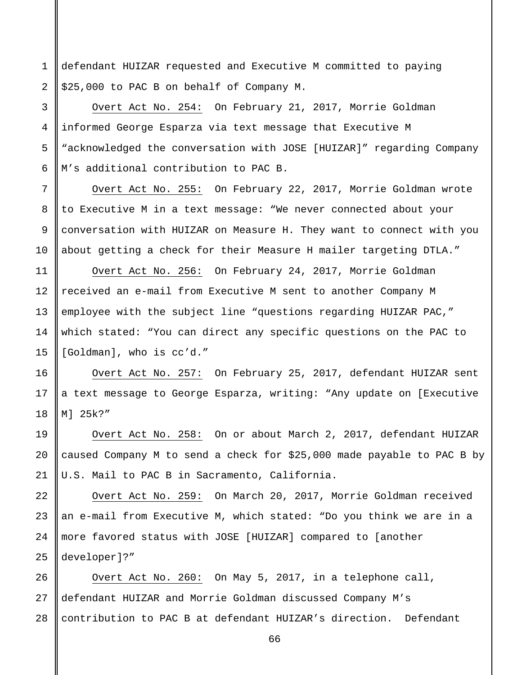1 2 defendant HUIZAR requested and Executive M committed to paying \$25,000 to PAC B on behalf of Company M.

3

4

5

6

7

8

9

10

11

12

13

14

15

19

20

21

Overt Act No. 254: On February 21, 2017, Morrie Goldman informed George Esparza via text message that Executive M "acknowledged the conversation with JOSE [HUIZAR]" regarding Company M's additional contribution to PAC B.

Overt Act No. 255: On February 22, 2017, Morrie Goldman wrote to Executive M in a text message: "We never connected about your conversation with HUIZAR on Measure H. They want to connect with you about getting a check for their Measure H mailer targeting DTLA."

Overt Act No. 256: On February 24, 2017, Morrie Goldman received an e-mail from Executive M sent to another Company M employee with the subject line "questions regarding HUIZAR PAC," which stated: "You can direct any specific questions on the PAC to [Goldman], who is cc'd."

16 17 18 Overt Act No. 257: On February 25, 2017, defendant HUIZAR sent a text message to George Esparza, writing: "Any update on [Executive M] 25k?"

Overt Act No. 258: On or about March 2, 2017, defendant HUIZAR caused Company M to send a check for \$25,000 made payable to PAC B by U.S. Mail to PAC B in Sacramento, California.

22 23 24 25 Overt Act No. 259: On March 20, 2017, Morrie Goldman received an e-mail from Executive M, which stated: "Do you think we are in a more favored status with JOSE [HUIZAR] compared to [another developer]?"

26 27 28 Overt Act No. 260: On May 5, 2017, in a telephone call, defendant HUIZAR and Morrie Goldman discussed Company M's contribution to PAC B at defendant HUIZAR's direction. Defendant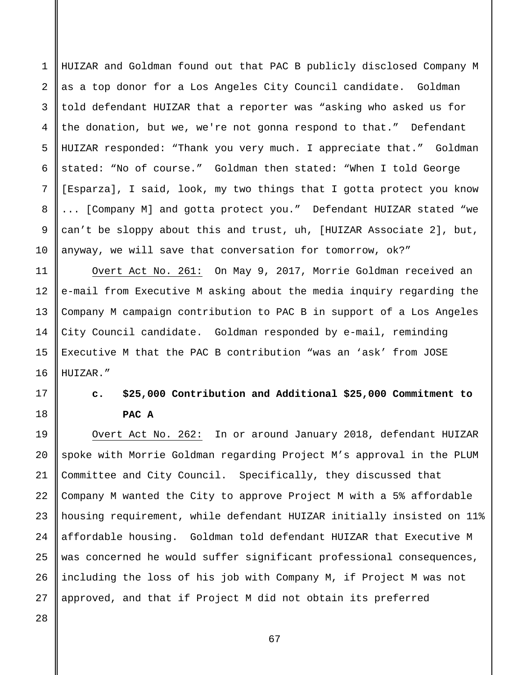HUIZAR and Goldman found out that PAC B publicly disclosed Company M as a top donor for a Los Angeles City Council candidate. Goldman told defendant HUIZAR that a reporter was "asking who asked us for the donation, but we, we're not gonna respond to that." Defendant HUIZAR responded: "Thank you very much. I appreciate that." Goldman stated: "No of course." Goldman then stated: "When I told George [Esparza], I said, look, my two things that I gotta protect you know ... [Company M] and gotta protect you." Defendant HUIZAR stated "we can't be sloppy about this and trust, uh, [HUIZAR Associate 2], but, anyway, we will save that conversation for tomorrow, ok?"

Overt Act No. 261: On May 9, 2017, Morrie Goldman received an e-mail from Executive M asking about the media inquiry regarding the Company M campaign contribution to PAC B in support of a Los Angeles City Council candidate. Goldman responded by e-mail, reminding Executive M that the PAC B contribution "was an 'ask' from JOSE HUIZAR."

# **c. \$25,000 Contribution and Additional \$25,000 Commitment to PAC A**

19 20 21 22 23 24 25 26 27 Overt Act No. 262: In or around January 2018, defendant HUIZAR spoke with Morrie Goldman regarding Project M's approval in the PLUM Committee and City Council. Specifically, they discussed that Company M wanted the City to approve Project M with a 5% affordable housing requirement, while defendant HUIZAR initially insisted on 11% affordable housing. Goldman told defendant HUIZAR that Executive M was concerned he would suffer significant professional consequences, including the loss of his job with Company M, if Project M was not approved, and that if Project M did not obtain its preferred

28

1

2

3

4

5

6

7

8

9

10

11

12

13

14

15

16

17

18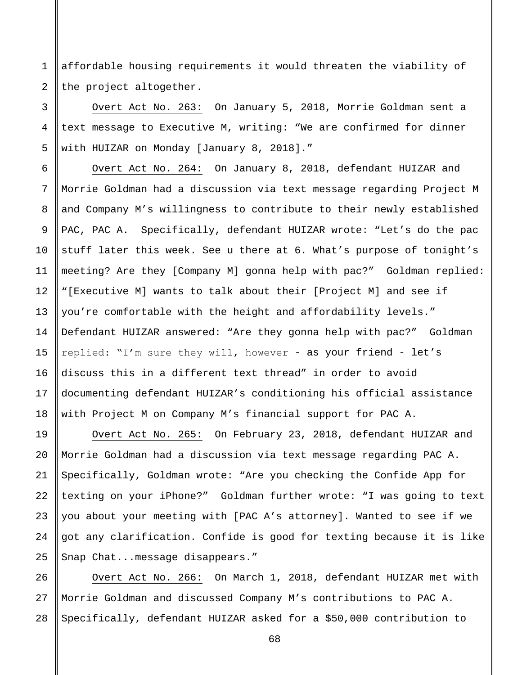1 2 affordable housing requirements it would threaten the viability of the project altogether.

Overt Act No. 263: On January 5, 2018, Morrie Goldman sent a text message to Executive M, writing: "We are confirmed for dinner with HUIZAR on Monday [January 8, 2018]."

Overt Act No. 264: On January 8, 2018, defendant HUIZAR and Morrie Goldman had a discussion via text message regarding Project M and Company M's willingness to contribute to their newly established PAC, PAC A. Specifically, defendant HUIZAR wrote: "Let's do the pac stuff later this week. See u there at 6. What's purpose of tonight's meeting? Are they [Company M] gonna help with pac?" Goldman replied: "[Executive M] wants to talk about their [Project M] and see if you're comfortable with the height and affordability levels." Defendant HUIZAR answered: "Are they gonna help with pac?" Goldman replied: "I'm sure they will, however - as your friend - let's discuss this in a different text thread" in order to avoid documenting defendant HUIZAR's conditioning his official assistance with Project M on Company M's financial support for PAC A.

Overt Act No. 265: On February 23, 2018, defendant HUIZAR and Morrie Goldman had a discussion via text message regarding PAC A. Specifically, Goldman wrote: "Are you checking the Confide App for texting on your iPhone?" Goldman further wrote: "I was going to text you about your meeting with [PAC A's attorney]. Wanted to see if we got any clarification. Confide is good for texting because it is like Snap Chat...message disappears."

28 Overt Act No. 266: On March 1, 2018, defendant HUIZAR met with Morrie Goldman and discussed Company M's contributions to PAC A. Specifically, defendant HUIZAR asked for a \$50,000 contribution to

3

4

5

6

7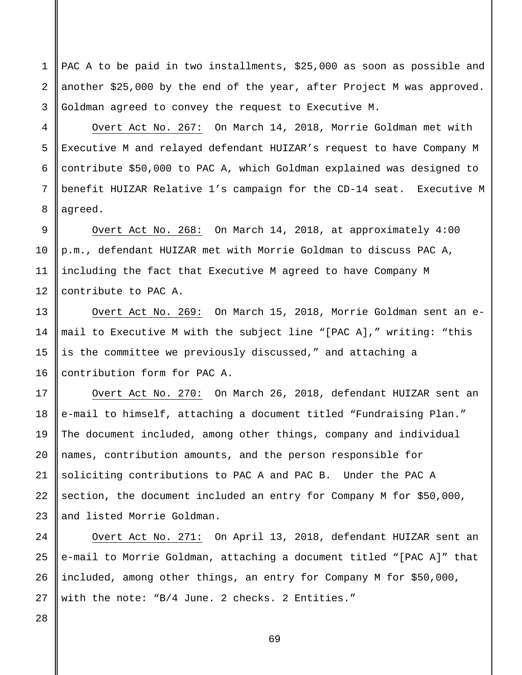PAC A to be paid in two installments, \$25,000 as soon as possible and another \$25,000 by the end of the year, after Project M was approved. Goldman agreed to convey the request to Executive M.

4 5 6 7 8 Overt Act No. 267: On March 14, 2018, Morrie Goldman met with Executive M and relayed defendant HUIZAR's request to have Company M contribute \$50,000 to PAC A, which Goldman explained was designed to benefit HUIZAR Relative 1's campaign for the CD-14 seat. Executive M agreed.

Overt Act No. 268: On March 14, 2018, at approximately 4:00 p.m., defendant HUIZAR met with Morrie Goldman to discuss PAC A, including the fact that Executive M agreed to have Company M contribute to PAC A.

Overt Act No. 269: On March 15, 2018, Morrie Goldman sent an email to Executive M with the subject line "[PAC A]," writing: "this is the committee we previously discussed," and attaching a contribution form for PAC A.

Overt Act No. 270: On March 26, 2018, defendant HUIZAR sent an e-mail to himself, attaching a document titled "Fundraising Plan." The document included, among other things, company and individual names, contribution amounts, and the person responsible for soliciting contributions to PAC A and PAC B. Under the PAC A section, the document included an entry for Company M for \$50,000, and listed Morrie Goldman.

Overt Act No. 271: On April 13, 2018, defendant HUIZAR sent an e-mail to Morrie Goldman, attaching a document titled "[PAC A]" that included, among other things, an entry for Company M for \$50,000, with the note: "B/4 June. 2 checks. 2 Entities."

1

2

3

9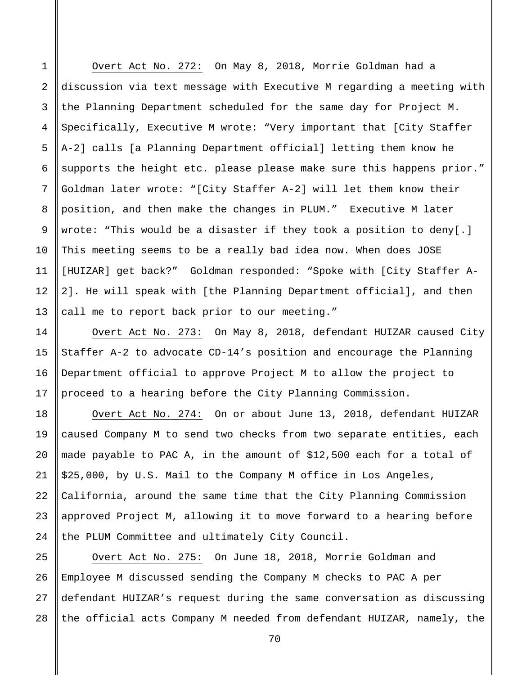1 2 3 4 5 6 7 8 9 10 11 12 13 Overt Act No. 272: On May 8, 2018, Morrie Goldman had a discussion via text message with Executive M regarding a meeting with the Planning Department scheduled for the same day for Project M. Specifically, Executive M wrote: "Very important that [City Staffer A-2] calls [a Planning Department official] letting them know he supports the height etc. please please make sure this happens prior." Goldman later wrote: "[City Staffer A-2] will let them know their position, and then make the changes in PLUM." Executive M later wrote: "This would be a disaster if they took a position to deny[.] This meeting seems to be a really bad idea now. When does JOSE [HUIZAR] get back?" Goldman responded: "Spoke with [City Staffer A-2]. He will speak with [the Planning Department official], and then call me to report back prior to our meeting."

14 15 16 17 Overt Act No. 273: On May 8, 2018, defendant HUIZAR caused City Staffer A-2 to advocate CD-14's position and encourage the Planning Department official to approve Project M to allow the project to proceed to a hearing before the City Planning Commission.

18

19

20

21

22

23

24

Overt Act No. 274: On or about June 13, 2018, defendant HUIZAR caused Company M to send two checks from two separate entities, each made payable to PAC A, in the amount of \$12,500 each for a total of \$25,000, by U.S. Mail to the Company M office in Los Angeles, California, around the same time that the City Planning Commission approved Project M, allowing it to move forward to a hearing before the PLUM Committee and ultimately City Council.

25 26 27 28 Overt Act No. 275: On June 18, 2018, Morrie Goldman and Employee M discussed sending the Company M checks to PAC A per defendant HUIZAR's request during the same conversation as discussing the official acts Company M needed from defendant HUIZAR, namely, the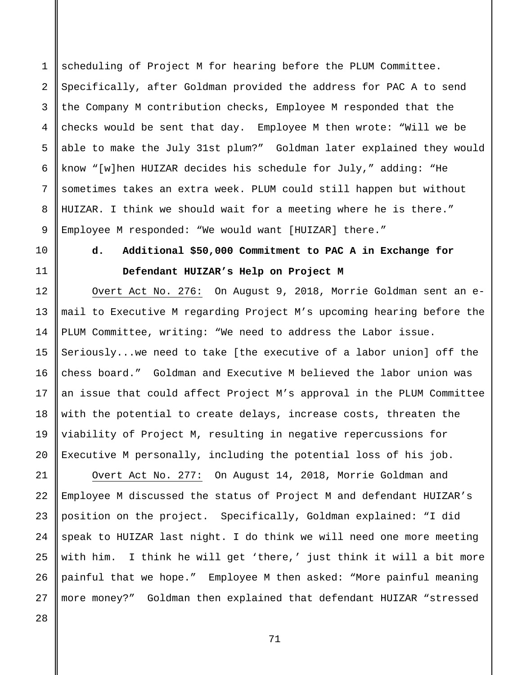1 2 3 4 5 6 7 8 9 scheduling of Project M for hearing before the PLUM Committee. Specifically, after Goldman provided the address for PAC A to send the Company M contribution checks, Employee M responded that the checks would be sent that day. Employee M then wrote: "Will we be able to make the July 31st plum?" Goldman later explained they would know "[w]hen HUIZAR decides his schedule for July," adding: "He sometimes takes an extra week. PLUM could still happen but without HUIZAR. I think we should wait for a meeting where he is there." Employee M responded: "We would want [HUIZAR] there."

10

11

12

13

14

15

16

17

18

19

20

## **d. Additional \$50,000 Commitment to PAC A in Exchange for Defendant HUIZAR's Help on Project M**

Overt Act No. 276: On August 9, 2018, Morrie Goldman sent an email to Executive M regarding Project M's upcoming hearing before the PLUM Committee, writing: "We need to address the Labor issue. Seriously...we need to take [the executive of a labor union] off the chess board." Goldman and Executive M believed the labor union was an issue that could affect Project M's approval in the PLUM Committee with the potential to create delays, increase costs, threaten the viability of Project M, resulting in negative repercussions for Executive M personally, including the potential loss of his job.

21 22 23 24 25 26 27 Overt Act No. 277: On August 14, 2018, Morrie Goldman and Employee M discussed the status of Project M and defendant HUIZAR's position on the project. Specifically, Goldman explained: "I did speak to HUIZAR last night. I do think we will need one more meeting with him. I think he will get 'there,' just think it will a bit more painful that we hope." Employee M then asked: "More painful meaning more money?" Goldman then explained that defendant HUIZAR "stressed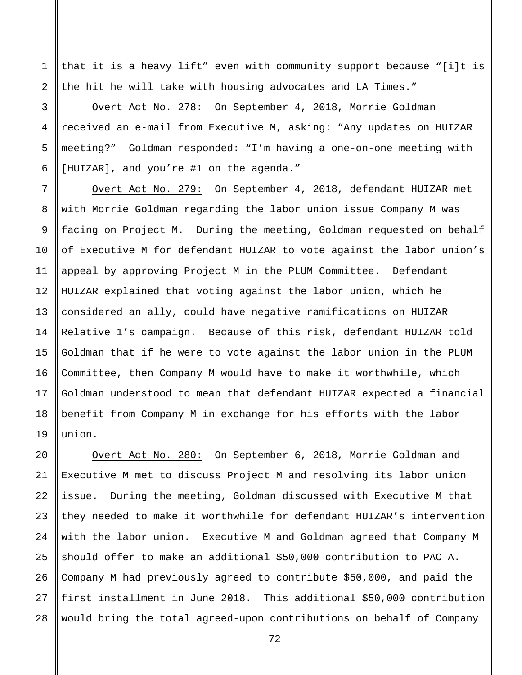that it is a heavy lift" even with community support because "[i]t is the hit he will take with housing advocates and LA Times."

1

2

3

4

5

6

7

8

9

10

11

12

13

14

15

16

17

18

19

Overt Act No. 278: On September 4, 2018, Morrie Goldman received an e-mail from Executive M, asking: "Any updates on HUIZAR meeting?" Goldman responded: "I'm having a one-on-one meeting with [HUIZAR], and you're #1 on the agenda."

Overt Act No. 279: On September 4, 2018, defendant HUIZAR met with Morrie Goldman regarding the labor union issue Company M was facing on Project M. During the meeting, Goldman requested on behalf of Executive M for defendant HUIZAR to vote against the labor union's appeal by approving Project M in the PLUM Committee. Defendant HUIZAR explained that voting against the labor union, which he considered an ally, could have negative ramifications on HUIZAR Relative 1's campaign. Because of this risk, defendant HUIZAR told Goldman that if he were to vote against the labor union in the PLUM Committee, then Company M would have to make it worthwhile, which Goldman understood to mean that defendant HUIZAR expected a financial benefit from Company M in exchange for his efforts with the labor union.

20 21 22 23 24 25 26 27 28 Overt Act No. 280: On September 6, 2018, Morrie Goldman and Executive M met to discuss Project M and resolving its labor union issue. During the meeting, Goldman discussed with Executive M that they needed to make it worthwhile for defendant HUIZAR's intervention with the labor union. Executive M and Goldman agreed that Company M should offer to make an additional \$50,000 contribution to PAC A. Company M had previously agreed to contribute \$50,000, and paid the first installment in June 2018. This additional \$50,000 contribution would bring the total agreed-upon contributions on behalf of Company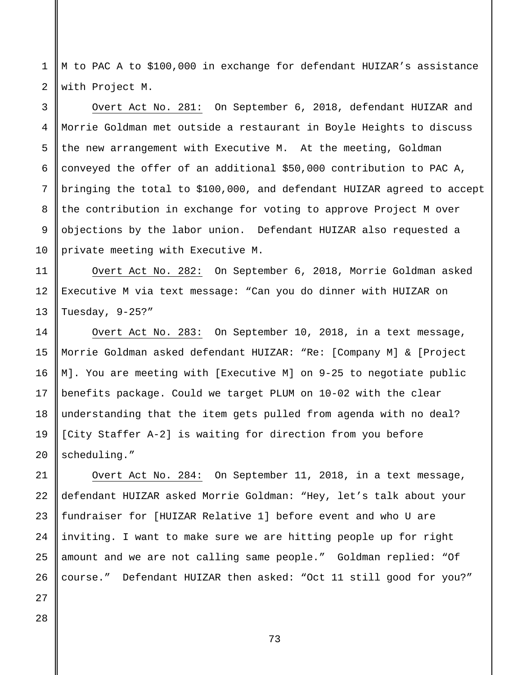1 2 M to PAC A to \$100,000 in exchange for defendant HUIZAR's assistance with Project M.

Overt Act No. 281: On September 6, 2018, defendant HUIZAR and Morrie Goldman met outside a restaurant in Boyle Heights to discuss the new arrangement with Executive M. At the meeting, Goldman conveyed the offer of an additional \$50,000 contribution to PAC A, bringing the total to \$100,000, and defendant HUIZAR agreed to accept the contribution in exchange for voting to approve Project M over objections by the labor union. Defendant HUIZAR also requested a private meeting with Executive M.

Overt Act No. 282: On September 6, 2018, Morrie Goldman asked Executive M via text message: "Can you do dinner with HUIZAR on Tuesday, 9-25?"

Overt Act No. 283: On September 10, 2018, in a text message, Morrie Goldman asked defendant HUIZAR: "Re: [Company M] & [Project M]. You are meeting with [Executive M] on 9-25 to negotiate public benefits package. Could we target PLUM on 10-02 with the clear understanding that the item gets pulled from agenda with no deal? [City Staffer A-2] is waiting for direction from you before scheduling."

Overt Act No. 284: On September 11, 2018, in a text message, defendant HUIZAR asked Morrie Goldman: "Hey, let's talk about your fundraiser for [HUIZAR Relative 1] before event and who U are inviting. I want to make sure we are hitting people up for right amount and we are not calling same people." Goldman replied: "Of course." Defendant HUIZAR then asked: "Oct 11 still good for you?"

28

3

4

5

6

7

8

9

10

11

12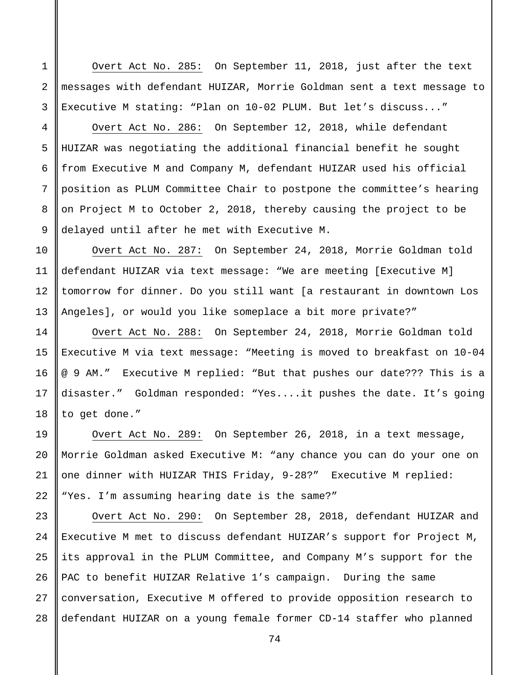Overt Act No. 285: On September 11, 2018, just after the text messages with defendant HUIZAR, Morrie Goldman sent a text message to Executive M stating: "Plan on 10-02 PLUM. But let's discuss..."

Overt Act No. 286: On September 12, 2018, while defendant HUIZAR was negotiating the additional financial benefit he sought from Executive M and Company M, defendant HUIZAR used his official position as PLUM Committee Chair to postpone the committee's hearing on Project M to October 2, 2018, thereby causing the project to be delayed until after he met with Executive M.

10 11 12 13 Overt Act No. 287: On September 24, 2018, Morrie Goldman told defendant HUIZAR via text message: "We are meeting [Executive M] tomorrow for dinner. Do you still want [a restaurant in downtown Los Angeles], or would you like someplace a bit more private?"

Overt Act No. 288: On September 24, 2018, Morrie Goldman told Executive M via text message: "Meeting is moved to breakfast on 10-04 @ 9 AM." Executive M replied: "But that pushes our date??? This is a disaster." Goldman responded: "Yes....it pushes the date. It's going to get done."

Overt Act No. 289: On September 26, 2018, in a text message, Morrie Goldman asked Executive M: "any chance you can do your one on one dinner with HUIZAR THIS Friday, 9-28?" Executive M replied: "Yes. I'm assuming hearing date is the same?"

23 24 25 26 27 28 Overt Act No. 290: On September 28, 2018, defendant HUIZAR and Executive M met to discuss defendant HUIZAR's support for Project M, its approval in the PLUM Committee, and Company M's support for the PAC to benefit HUIZAR Relative 1's campaign. During the same conversation, Executive M offered to provide opposition research to defendant HUIZAR on a young female former CD-14 staffer who planned

3 4 5

6

7

8

9

14

15

16

17

18

19

20

21

22

1

2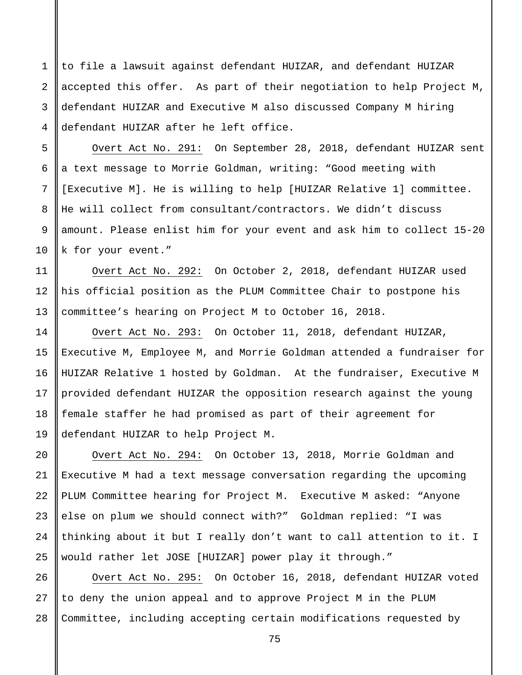1 2 3 4 to file a lawsuit against defendant HUIZAR, and defendant HUIZAR accepted this offer. As part of their negotiation to help Project M, defendant HUIZAR and Executive M also discussed Company M hiring defendant HUIZAR after he left office.

5

6

7

8

9

10

11

12

13

14

15

16

17

18

19

20

21

22

23

24

25

Overt Act No. 291: On September 28, 2018, defendant HUIZAR sent a text message to Morrie Goldman, writing: "Good meeting with [Executive M]. He is willing to help [HUIZAR Relative 1] committee. He will collect from consultant/contractors. We didn't discuss amount. Please enlist him for your event and ask him to collect 15-20 k for your event."

Overt Act No. 292: On October 2, 2018, defendant HUIZAR used his official position as the PLUM Committee Chair to postpone his committee's hearing on Project M to October 16, 2018.

Overt Act No. 293: On October 11, 2018, defendant HUIZAR, Executive M, Employee M, and Morrie Goldman attended a fundraiser for HUIZAR Relative 1 hosted by Goldman. At the fundraiser, Executive M provided defendant HUIZAR the opposition research against the young female staffer he had promised as part of their agreement for defendant HUIZAR to help Project M.

Overt Act No. 294: On October 13, 2018, Morrie Goldman and Executive M had a text message conversation regarding the upcoming PLUM Committee hearing for Project M. Executive M asked: "Anyone else on plum we should connect with?" Goldman replied: "I was thinking about it but I really don't want to call attention to it. I would rather let JOSE [HUIZAR] power play it through."

26 27 28 Overt Act No. 295: On October 16, 2018, defendant HUIZAR voted to deny the union appeal and to approve Project M in the PLUM Committee, including accepting certain modifications requested by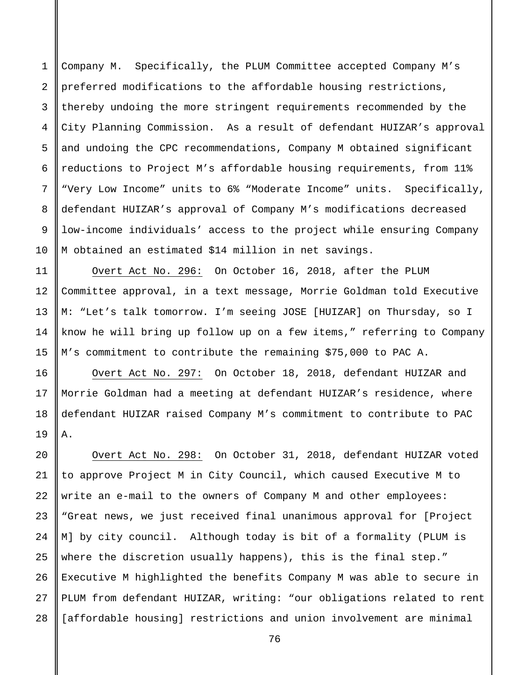1 2 3 4 5 6 7 8 9 10 Company M. Specifically, the PLUM Committee accepted Company M's preferred modifications to the affordable housing restrictions, thereby undoing the more stringent requirements recommended by the City Planning Commission. As a result of defendant HUIZAR's approval and undoing the CPC recommendations, Company M obtained significant reductions to Project M's affordable housing requirements, from 11% "Very Low Income" units to 6% "Moderate Income" units. Specifically, defendant HUIZAR's approval of Company M's modifications decreased low-income individuals' access to the project while ensuring Company M obtained an estimated \$14 million in net savings.

Overt Act No. 296: On October 16, 2018, after the PLUM Committee approval, in a text message, Morrie Goldman told Executive M: "Let's talk tomorrow. I'm seeing JOSE [HUIZAR] on Thursday, so I know he will bring up follow up on a few items," referring to Company M's commitment to contribute the remaining \$75,000 to PAC A.

11

12

13

14

15

16

17

18

19

Overt Act No. 297: On October 18, 2018, defendant HUIZAR and Morrie Goldman had a meeting at defendant HUIZAR's residence, where defendant HUIZAR raised Company M's commitment to contribute to PAC A.

20 21 22 23 24 25 26 27 28 Overt Act No. 298: On October 31, 2018, defendant HUIZAR voted to approve Project M in City Council, which caused Executive M to write an e-mail to the owners of Company M and other employees: "Great news, we just received final unanimous approval for [Project M] by city council. Although today is bit of a formality (PLUM is where the discretion usually happens), this is the final step." Executive M highlighted the benefits Company M was able to secure in PLUM from defendant HUIZAR, writing: "our obligations related to rent [affordable housing] restrictions and union involvement are minimal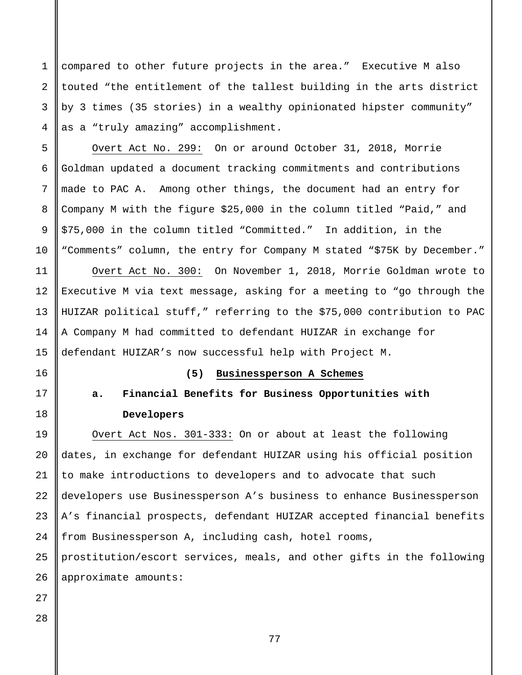compared to other future projects in the area." Executive M also touted "the entitlement of the tallest building in the arts district by 3 times (35 stories) in a wealthy opinionated hipster community" as a "truly amazing" accomplishment.

Overt Act No. 299: On or around October 31, 2018, Morrie Goldman updated a document tracking commitments and contributions made to PAC A. Among other things, the document had an entry for Company M with the figure \$25,000 in the column titled "Paid," and \$75,000 in the column titled "Committed." In addition, in the "Comments" column, the entry for Company M stated "\$75K by December." Overt Act No. 300: On November 1, 2018, Morrie Goldman wrote to Executive M via text message, asking for a meeting to "go through the HUIZAR political stuff," referring to the \$75,000 contribution to PAC A Company M had committed to defendant HUIZAR in exchange for defendant HUIZAR's now successful help with Project M.

## 16

1

2

3

4

5

6

7

8

9

10

11

12

13

14

15

# 17 18

### **(5) Businessperson A Schemes**

# **a. Financial Benefits for Business Opportunities with Developers**

19 20 21 22 23 24 25 26 Overt Act Nos. 301-333: On or about at least the following dates, in exchange for defendant HUIZAR using his official position to make introductions to developers and to advocate that such developers use Businessperson A's business to enhance Businessperson A's financial prospects, defendant HUIZAR accepted financial benefits from Businessperson A, including cash, hotel rooms, prostitution/escort services, meals, and other gifts in the following approximate amounts:

28

27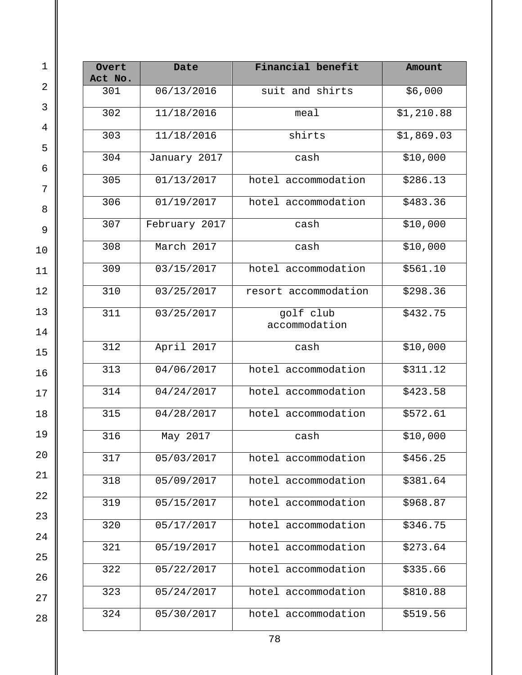| Overt<br>Act No. | Date          | Financial benefit          | Amount     |
|------------------|---------------|----------------------------|------------|
| 301              | 06/13/2016    | suit and shirts            | \$6,000    |
| 302              | 11/18/2016    | meal                       | \$1,210.88 |
| 303              | 11/18/2016    | shirts                     | \$1,869.03 |
| 304              | January 2017  | cash                       | \$10,000   |
| 305              | 01/13/2017    | hotel accommodation        | \$286.13   |
| 306              | 01/19/2017    | hotel accommodation        | \$483.36   |
| 307              | February 2017 | cash                       | \$10,000   |
| 308              | March 2017    | cash                       | \$10,000   |
| 309              | 03/15/2017    | hotel accommodation        | \$561.10   |
| 310              | 03/25/2017    | resort accommodation       | \$298.36   |
| 311              | 03/25/2017    | golf club<br>accommodation | \$432.75   |
| 312              | April 2017    | cash                       | \$10,000   |
| 313              | 04/06/2017    | hotel accommodation        | \$311.12   |
| 314              | 04/24/2017    | hotel accommodation        | \$423.58   |
| 315              | 04/28/2017    | hotel accommodation        | \$572.61   |
| 316              | May 2017      | cash                       | \$10,000   |
| 317              | 05/03/2017    | hotel accommodation        | \$456.25   |
| 318              | 05/09/2017    | hotel accommodation        | \$381.64   |
| 319              | 05/15/2017    | hotel accommodation        | \$968.87   |
| 320              | 05/17/2017    | hotel accommodation        | \$346.75   |
| 321              | 05/19/2017    | hotel accommodation        | \$273.64   |
| 322              | 05/22/2017    | hotel accommodation        | \$335.66   |
| 323              | 05/24/2017    | hotel accommodation        | \$810.88   |
| 324              | 05/30/2017    | hotel accommodation        | \$519.56   |

 $\mathbb I$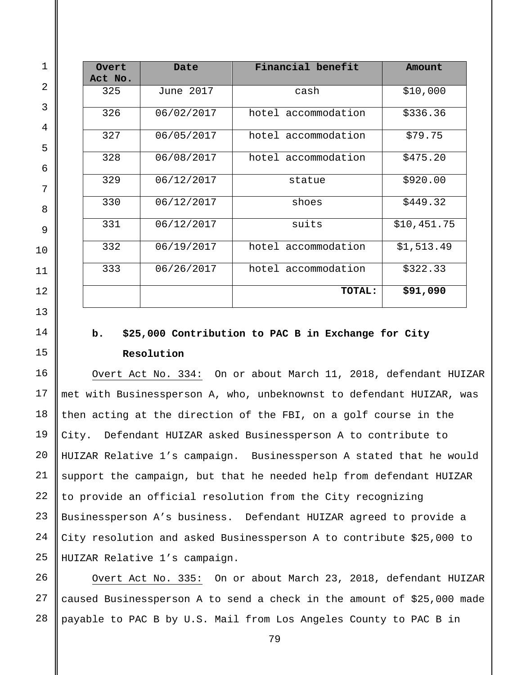| Overt   | Date       | Financial benefit   | Amount      |
|---------|------------|---------------------|-------------|
| Act No. |            |                     |             |
| 325     | June 2017  | cash                | \$10,000    |
| 326     | 06/02/2017 | hotel accommodation | \$336.36    |
| 327     | 06/05/2017 | hotel accommodation | \$79.75     |
| 328     | 06/08/2017 | hotel accommodation | \$475.20    |
| 329     | 06/12/2017 | statue              | \$920.00    |
| 330     | 06/12/2017 | shoes               | \$449.32    |
| 331     | 06/12/2017 | suits               | \$10,451.75 |
| 332     | 06/19/2017 | hotel accommodation | \$1,513.49  |
| 333     | 06/26/2017 | hotel accommodation | \$322.33    |
|         |            | <b>TOTAL:</b>       | \$91,090    |

# **b. \$25,000 Contribution to PAC B in Exchange for City Resolution**

Overt Act No. 334: On or about March 11, 2018, defendant HUIZAR met with Businessperson A, who, unbeknownst to defendant HUIZAR, was then acting at the direction of the FBI, on a golf course in the City. Defendant HUIZAR asked Businessperson A to contribute to HUIZAR Relative 1's campaign. Businessperson A stated that he would support the campaign, but that he needed help from defendant HUIZAR to provide an official resolution from the City recognizing Businessperson A's business. Defendant HUIZAR agreed to provide a City resolution and asked Businessperson A to contribute \$25,000 to HUIZAR Relative 1's campaign.

 Overt Act No. 335: On or about March 23, 2018, defendant HUIZAR caused Businessperson A to send a check in the amount of \$25,000 made payable to PAC B by U.S. Mail from Los Angeles County to PAC B in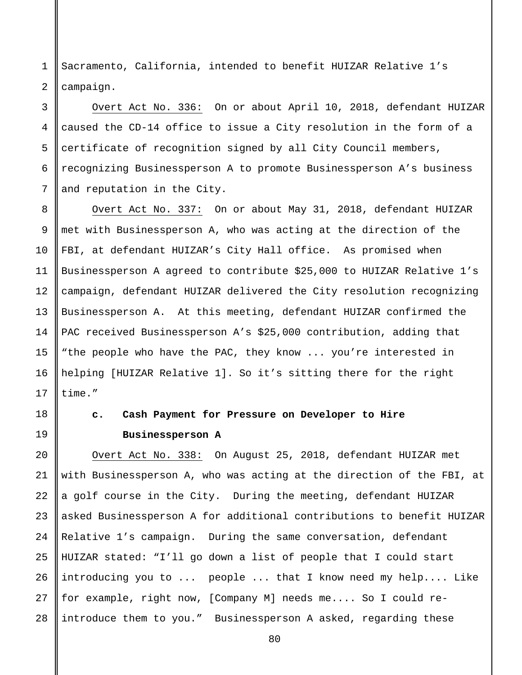1 2 Sacramento, California, intended to benefit HUIZAR Relative 1's campaign.

3 4 5 6 7 Overt Act No. 336: On or about April 10, 2018, defendant HUIZAR caused the CD-14 office to issue a City resolution in the form of a certificate of recognition signed by all City Council members, recognizing Businessperson A to promote Businessperson A's business and reputation in the City.

14 Overt Act No. 337: On or about May 31, 2018, defendant HUIZAR met with Businessperson A, who was acting at the direction of the FBI, at defendant HUIZAR's City Hall office. As promised when Businessperson A agreed to contribute \$25,000 to HUIZAR Relative 1's campaign, defendant HUIZAR delivered the City resolution recognizing Businessperson A. At this meeting, defendant HUIZAR confirmed the PAC received Businessperson A's \$25,000 contribution, adding that "the people who have the PAC, they know ... you're interested in helping [HUIZAR Relative 1]. So it's sitting there for the right time."

8

9

10

11

12

13

15

16

17

18

19

# **c. Cash Payment for Pressure on Developer to Hire Businessperson A**

20 21 22 23 24 25 26 27 28 Overt Act No. 338: On August 25, 2018, defendant HUIZAR met with Businessperson A, who was acting at the direction of the FBI, at a golf course in the City. During the meeting, defendant HUIZAR asked Businessperson A for additional contributions to benefit HUIZAR Relative 1's campaign. During the same conversation, defendant HUIZAR stated: "I'll go down a list of people that I could start introducing you to ... people ... that I know need my help.... Like for example, right now, [Company M] needs me.... So I could reintroduce them to you." Businessperson A asked, regarding these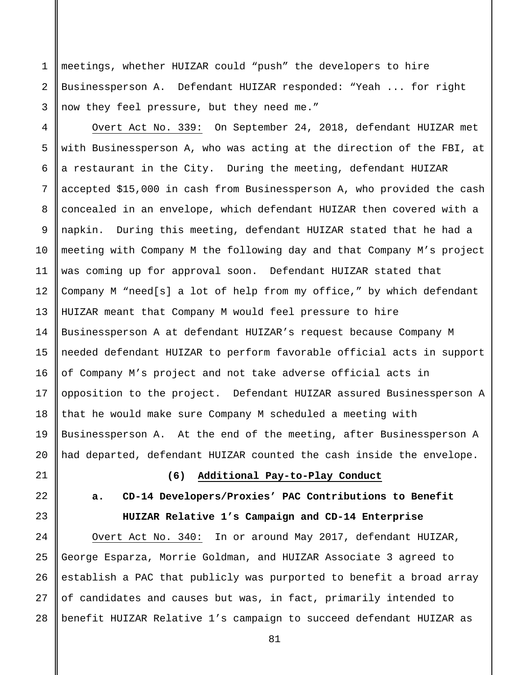meetings, whether HUIZAR could "push" the developers to hire Businessperson A. Defendant HUIZAR responded: "Yeah ... for right now they feel pressure, but they need me."

4 5 6 7 8 9 10 11 12 13 14 15 16 17 18 Overt Act No. 339: On September 24, 2018, defendant HUIZAR met with Businessperson A, who was acting at the direction of the FBI, at a restaurant in the City. During the meeting, defendant HUIZAR accepted \$15,000 in cash from Businessperson A, who provided the cash concealed in an envelope, which defendant HUIZAR then covered with a napkin. During this meeting, defendant HUIZAR stated that he had a meeting with Company M the following day and that Company M's project was coming up for approval soon. Defendant HUIZAR stated that Company M "need[s] a lot of help from my office," by which defendant HUIZAR meant that Company M would feel pressure to hire Businessperson A at defendant HUIZAR's request because Company M needed defendant HUIZAR to perform favorable official acts in support of Company M's project and not take adverse official acts in opposition to the project. Defendant HUIZAR assured Businessperson A that he would make sure Company M scheduled a meeting with Businessperson A. At the end of the meeting, after Businessperson A had departed, defendant HUIZAR counted the cash inside the envelope.

1

2

3

## **(6) Additional Pay-to-Play Conduct**

# **a. CD-14 Developers/Proxies' PAC Contributions to Benefit HUIZAR Relative 1's Campaign and CD-14 Enterprise**

25 26 27 28 Overt Act No. 340: In or around May 2017, defendant HUIZAR, George Esparza, Morrie Goldman, and HUIZAR Associate 3 agreed to establish a PAC that publicly was purported to benefit a broad array of candidates and causes but was, in fact, primarily intended to benefit HUIZAR Relative 1's campaign to succeed defendant HUIZAR as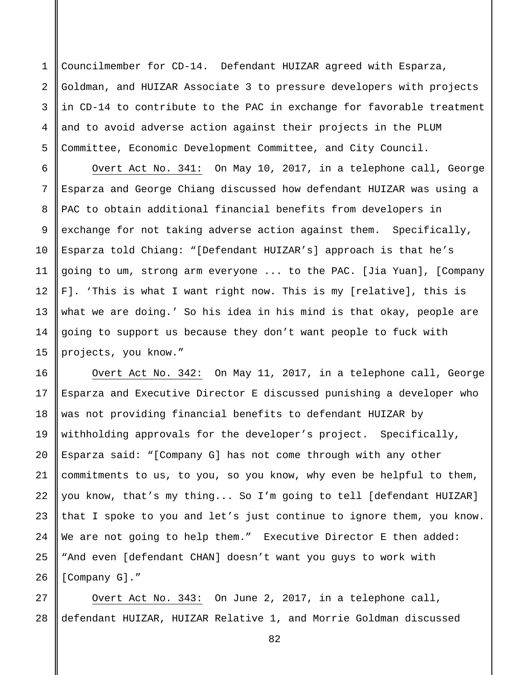1 2 3 4 5 Councilmember for CD-14. Defendant HUIZAR agreed with Esparza, Goldman, and HUIZAR Associate 3 to pressure developers with projects in CD-14 to contribute to the PAC in exchange for favorable treatment and to avoid adverse action against their projects in the PLUM Committee, Economic Development Committee, and City Council.

6

7

8

9

10

11

12

13

14

15

Overt Act No. 341: On May 10, 2017, in a telephone call, George Esparza and George Chiang discussed how defendant HUIZAR was using a PAC to obtain additional financial benefits from developers in exchange for not taking adverse action against them. Specifically, Esparza told Chiang: "[Defendant HUIZAR's] approach is that he's going to um, strong arm everyone ... to the PAC. [Jia Yuan], [Company F]. 'This is what I want right now. This is my [relative], this is what we are doing.' So his idea in his mind is that okay, people are going to support us because they don't want people to fuck with projects, you know."

16 17 18 19 20 21 22 23 24 25 26 Overt Act No. 342: On May 11, 2017, in a telephone call, George Esparza and Executive Director E discussed punishing a developer who was not providing financial benefits to defendant HUIZAR by withholding approvals for the developer's project. Specifically, Esparza said: "[Company G] has not come through with any other commitments to us, to you, so you know, why even be helpful to them, you know, that's my thing... So I'm going to tell [defendant HUIZAR] that I spoke to you and let's just continue to ignore them, you know. We are not going to help them." Executive Director E then added: "And even [defendant CHAN] doesn't want you guys to work with [Company G]."

27 28 Overt Act No. 343: On June 2, 2017, in a telephone call, defendant HUIZAR, HUIZAR Relative 1, and Morrie Goldman discussed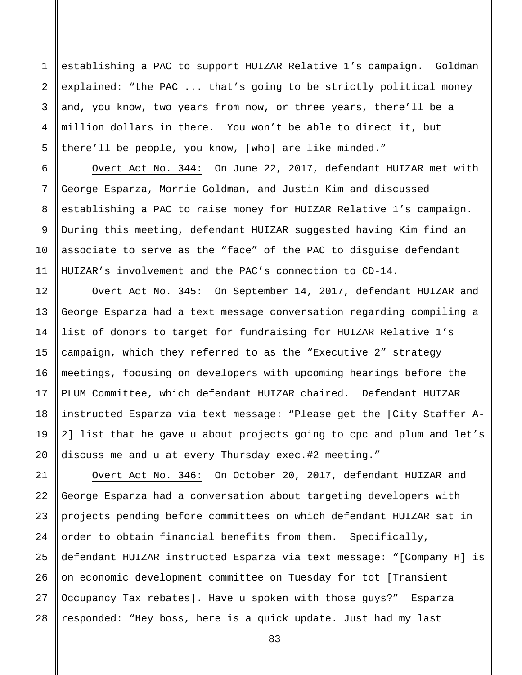establishing a PAC to support HUIZAR Relative 1's campaign. Goldman explained: "the PAC ... that's going to be strictly political money and, you know, two years from now, or three years, there'll be a million dollars in there. You won't be able to direct it, but there'll be people, you know, [who] are like minded."

1

2

3

4

5

6

7

8

9

10

11

12

13

14

15

16

17

18

19

20

Overt Act No. 344: On June 22, 2017, defendant HUIZAR met with George Esparza, Morrie Goldman, and Justin Kim and discussed establishing a PAC to raise money for HUIZAR Relative 1's campaign. During this meeting, defendant HUIZAR suggested having Kim find an associate to serve as the "face" of the PAC to disguise defendant HUIZAR's involvement and the PAC's connection to CD-14.

Overt Act No. 345: On September 14, 2017, defendant HUIZAR and George Esparza had a text message conversation regarding compiling a list of donors to target for fundraising for HUIZAR Relative 1's campaign, which they referred to as the "Executive 2" strategy meetings, focusing on developers with upcoming hearings before the PLUM Committee, which defendant HUIZAR chaired. Defendant HUIZAR instructed Esparza via text message: "Please get the [City Staffer A-2] list that he gave u about projects going to cpc and plum and let's discuss me and u at every Thursday exec.#2 meeting."

21 22 23 24 25 26 27 28 Overt Act No. 346: On October 20, 2017, defendant HUIZAR and George Esparza had a conversation about targeting developers with projects pending before committees on which defendant HUIZAR sat in order to obtain financial benefits from them. Specifically, defendant HUIZAR instructed Esparza via text message: "[Company H] is on economic development committee on Tuesday for tot [Transient Occupancy Tax rebates]. Have u spoken with those guys?" Esparza responded: "Hey boss, here is a quick update. Just had my last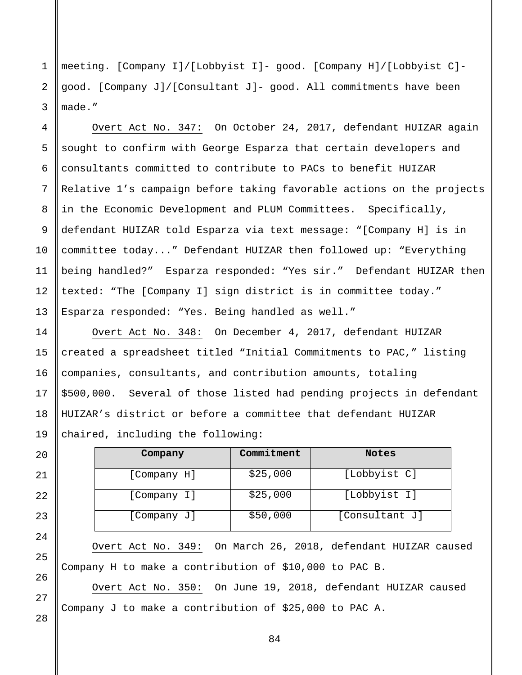1 2 3 meeting. [Company I]/[Lobbyist I]- good. [Company H]/[Lobbyist C] good. [Company J]/[Consultant J]- good. All commitments have been made."

4 5 6 7 8 9 10 11 12 13 Overt Act No. 347: On October 24, 2017, defendant HUIZAR again sought to confirm with George Esparza that certain developers and consultants committed to contribute to PACs to benefit HUIZAR Relative 1's campaign before taking favorable actions on the projects in the Economic Development and PLUM Committees. Specifically, defendant HUIZAR told Esparza via text message: "[Company H] is in committee today..." Defendant HUIZAR then followed up: "Everything being handled?" Esparza responded: "Yes sir." Defendant HUIZAR then texted: "The [Company I] sign district is in committee today." Esparza responded: "Yes. Being handled as well."

Overt Act No. 348: On December 4, 2017, defendant HUIZAR created a spreadsheet titled "Initial Commitments to PAC," listing companies, consultants, and contribution amounts, totaling \$500,000. Several of those listed had pending projects in defendant HUIZAR's district or before a committee that defendant HUIZAR chaired, including the following:

| Company     | Commitment | <b>Notes</b>   |
|-------------|------------|----------------|
| [Company H] | \$25,000   | [Lobbyist C]   |
| [Company I] | \$25,000   | [Lobbyist I]   |
| [Company J] | \$50,000   | [Consultant J] |

Overt Act No. 349: On March 26, 2018, defendant HUIZAR caused Company H to make a contribution of \$10,000 to PAC B.

Overt Act No. 350: On June 19, 2018, defendant HUIZAR caused Company J to make a contribution of \$25,000 to PAC A.

27

28

14

15

16

17

18

19

20

21

22

23

24

25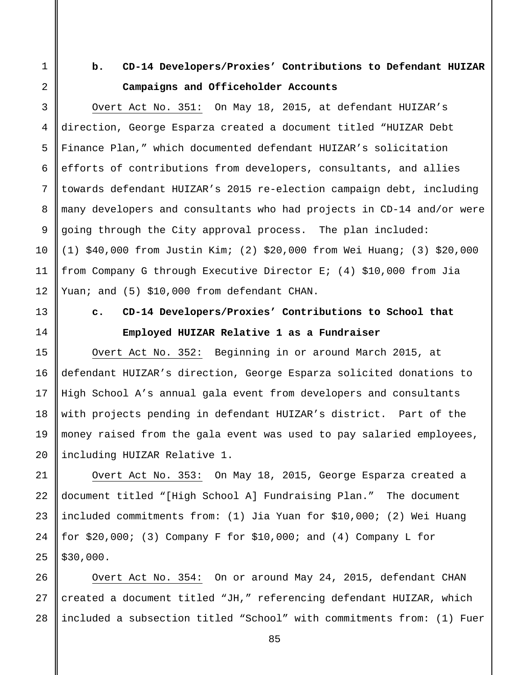1

2

3

4

5

6

7

8

9

10

11

12

13

14

15

16

17

18

19

20

21

22

25

# **b. CD-14 Developers/Proxies' Contributions to Defendant HUIZAR Campaigns and Officeholder Accounts**

Overt Act No. 351: On May 18, 2015, at defendant HUIZAR's direction, George Esparza created a document titled "HUIZAR Debt Finance Plan," which documented defendant HUIZAR's solicitation efforts of contributions from developers, consultants, and allies towards defendant HUIZAR's 2015 re-election campaign debt, including many developers and consultants who had projects in CD-14 and/or were going through the City approval process. The plan included: (1) \$40,000 from Justin Kim; (2) \$20,000 from Wei Huang; (3) \$20,000 from Company G through Executive Director E; (4) \$10,000 from Jia Yuan; and (5) \$10,000 from defendant CHAN.

# **c. CD-14 Developers/Proxies' Contributions to School that Employed HUIZAR Relative 1 as a Fundraiser**

Overt Act No. 352: Beginning in or around March 2015, at defendant HUIZAR's direction, George Esparza solicited donations to High School A's annual gala event from developers and consultants with projects pending in defendant HUIZAR's district. Part of the money raised from the gala event was used to pay salaried employees, including HUIZAR Relative 1.

23 24 Overt Act No. 353: On May 18, 2015, George Esparza created a document titled "[High School A] Fundraising Plan." The document included commitments from: (1) Jia Yuan for \$10,000; (2) Wei Huang for  $$20,000$ ; (3) Company F for  $$10,000$ ; and (4) Company L for \$30,000.

26 27 28 Overt Act No. 354: On or around May 24, 2015, defendant CHAN created a document titled "JH," referencing defendant HUIZAR, which included a subsection titled "School" with commitments from: (1) Fuer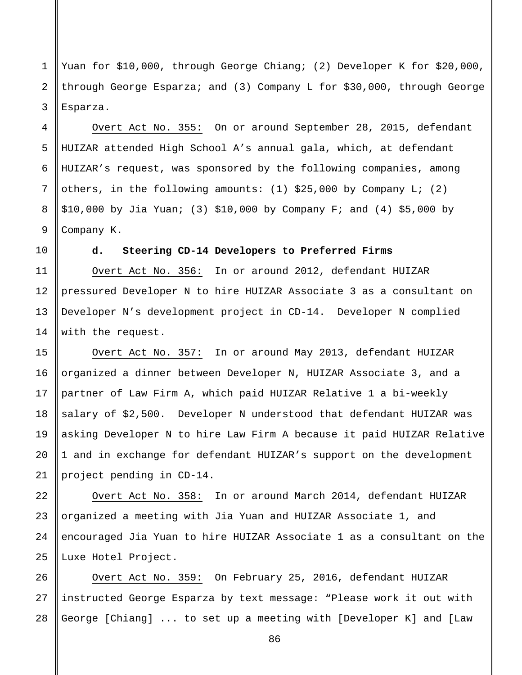1 2 3 Yuan for \$10,000, through George Chiang; (2) Developer K for \$20,000, through George Esparza; and (3) Company L for \$30,000, through George Esparza.

Overt Act No. 355: On or around September 28, 2015, defendant HUIZAR attended High School A's annual gala, which, at defendant HUIZAR's request, was sponsored by the following companies, among others, in the following amounts: (1) \$25,000 by Company L; (2) \$10,000 by Jia Yuan; (3) \$10,000 by Company F; and (4) \$5,000 by Company K.

4

5

6

7

8

9

10

11

12

13

14

15

16

17

18

19

20

21

# **d. Steering CD-14 Developers to Preferred Firms**

Overt Act No. 356: In or around 2012, defendant HUIZAR pressured Developer N to hire HUIZAR Associate 3 as a consultant on Developer N's development project in CD-14. Developer N complied with the request.

Overt Act No. 357: In or around May 2013, defendant HUIZAR organized a dinner between Developer N, HUIZAR Associate 3, and a partner of Law Firm A, which paid HUIZAR Relative 1 a bi-weekly salary of \$2,500. Developer N understood that defendant HUIZAR was asking Developer N to hire Law Firm A because it paid HUIZAR Relative 1 and in exchange for defendant HUIZAR's support on the development project pending in CD-14.

22 23 24 25 Overt Act No. 358: In or around March 2014, defendant HUIZAR organized a meeting with Jia Yuan and HUIZAR Associate 1, and encouraged Jia Yuan to hire HUIZAR Associate 1 as a consultant on the Luxe Hotel Project.

26 27 28 Overt Act No. 359: On February 25, 2016, defendant HUIZAR instructed George Esparza by text message: "Please work it out with George [Chiang] ... to set up a meeting with [Developer K] and [Law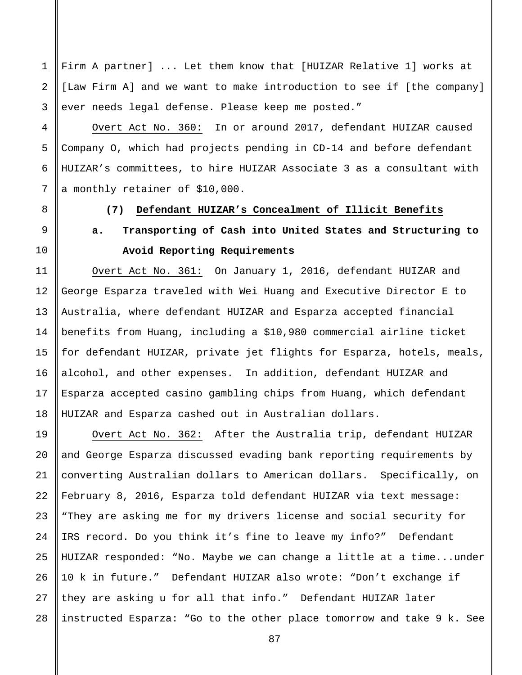Firm A partner] ... Let them know that [HUIZAR Relative 1] works at [Law Firm A] and we want to make introduction to see if [the company] ever needs legal defense. Please keep me posted."

Overt Act No. 360: In or around 2017, defendant HUIZAR caused Company O, which had projects pending in CD-14 and before defendant HUIZAR's committees, to hire HUIZAR Associate 3 as a consultant with a monthly retainer of \$10,000.

1

2

3

4

5

6

7

8

9

10

11

12

13

14

15

16

17

18

## **(7) Defendant HUIZAR's Concealment of Illicit Benefits**

**a. Transporting of Cash into United States and Structuring to Avoid Reporting Requirements**

Overt Act No. 361: On January 1, 2016, defendant HUIZAR and George Esparza traveled with Wei Huang and Executive Director E to Australia, where defendant HUIZAR and Esparza accepted financial benefits from Huang, including a \$10,980 commercial airline ticket for defendant HUIZAR, private jet flights for Esparza, hotels, meals, alcohol, and other expenses. In addition, defendant HUIZAR and Esparza accepted casino gambling chips from Huang, which defendant HUIZAR and Esparza cashed out in Australian dollars.

19 20 24 25 26 27 Overt Act No. 362: After the Australia trip, defendant HUIZAR and George Esparza discussed evading bank reporting requirements by converting Australian dollars to American dollars. Specifically, on February 8, 2016, Esparza told defendant HUIZAR via text message: "They are asking me for my drivers license and social security for IRS record. Do you think it's fine to leave my info?" Defendant HUIZAR responded: "No. Maybe we can change a little at a time...under 10 k in future." Defendant HUIZAR also wrote: "Don't exchange if they are asking u for all that info." Defendant HUIZAR later instructed Esparza: "Go to the other place tomorrow and take 9 k. See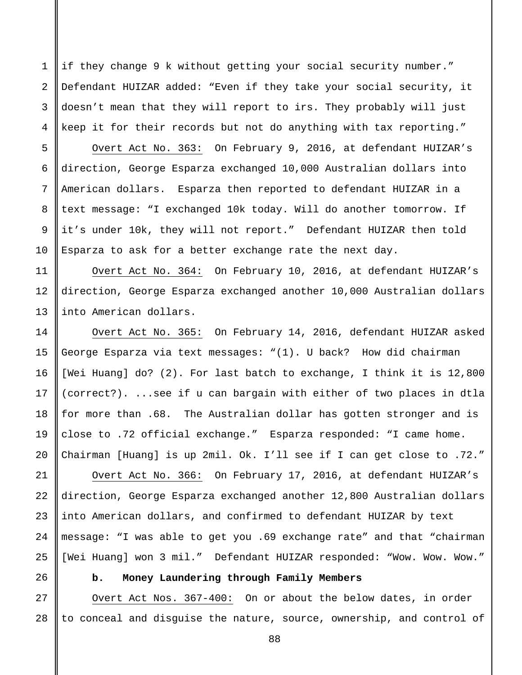if they change 9 k without getting your social security number." Defendant HUIZAR added: "Even if they take your social security, it doesn't mean that they will report to irs. They probably will just keep it for their records but not do anything with tax reporting."

Overt Act No. 363: On February 9, 2016, at defendant HUIZAR's direction, George Esparza exchanged 10,000 Australian dollars into American dollars. Esparza then reported to defendant HUIZAR in a text message: "I exchanged 10k today. Will do another tomorrow. If it's under 10k, they will not report." Defendant HUIZAR then told Esparza to ask for a better exchange rate the next day.

Overt Act No. 364: On February 10, 2016, at defendant HUIZAR's direction, George Esparza exchanged another 10,000 Australian dollars into American dollars.

Overt Act No. 365: On February 14, 2016, defendant HUIZAR asked George Esparza via text messages: "(1). U back? How did chairman [Wei Huang] do? (2). For last batch to exchange, I think it is 12,800 (correct?). ...see if u can bargain with either of two places in dtla for more than .68. The Australian dollar has gotten stronger and is close to .72 official exchange." Esparza responded: "I came home. Chairman [Huang] is up 2mil. Ok. I'll see if I can get close to .72."

21 22 23 24 25 Overt Act No. 366: On February 17, 2016, at defendant HUIZAR's direction, George Esparza exchanged another 12,800 Australian dollars into American dollars, and confirmed to defendant HUIZAR by text message: "I was able to get you .69 exchange rate" and that "chairman [Wei Huang] won 3 mil." Defendant HUIZAR responded: "Wow. Wow. Wow."

1

2

3

4

5

6

7

8

9

10

11

12

13

14

15

16

17

18

19

20

26

# **b. Money Laundering through Family Members**

27 28 Overt Act Nos. 367-400: On or about the below dates, in order to conceal and disguise the nature, source, ownership, and control of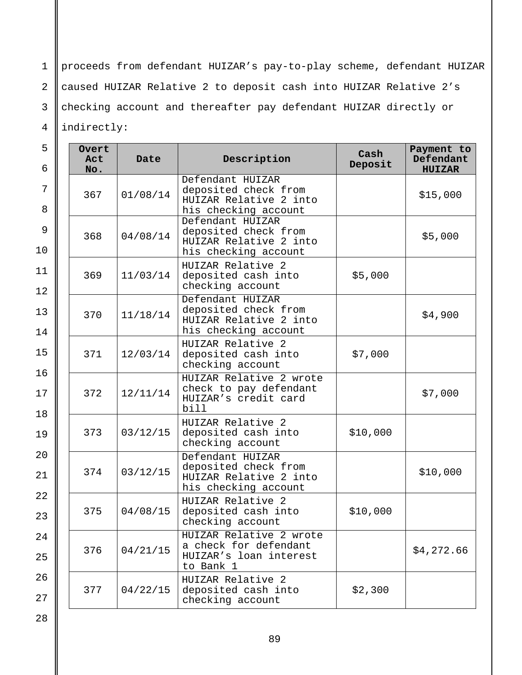1 2 3 4 proceeds from defendant HUIZAR's pay-to-play scheme, defendant HUIZAR caused HUIZAR Relative 2 to deposit cash into HUIZAR Relative 2's checking account and thereafter pay defendant HUIZAR directly or indirectly:

| 5<br>6         | Overt<br>Act<br>No. | Date     | Description                                                                                | Cash<br>Deposit | Payment to<br>Defendant<br><b>HUIZAR</b> |
|----------------|---------------------|----------|--------------------------------------------------------------------------------------------|-----------------|------------------------------------------|
| 7<br>8         | 367                 | 01/08/14 | Defendant HUIZAR<br>deposited check from<br>HUIZAR Relative 2 into<br>his checking account |                 | \$15,000                                 |
| 9<br>10        | 368                 | 04/08/14 | Defendant HUIZAR<br>deposited check from<br>HUIZAR Relative 2 into<br>his checking account |                 | \$5,000                                  |
| 11<br>12       | 369                 | 11/03/14 | HUIZAR Relative 2<br>deposited cash into<br>checking account                               | \$5,000         |                                          |
| 13<br>14       | 370                 | 11/18/14 | Defendant HUIZAR<br>deposited check from<br>HUIZAR Relative 2 into<br>his checking account |                 | \$4,900                                  |
| 15             | 371                 | 12/03/14 | HUIZAR Relative 2<br>deposited cash into<br>checking account                               | \$7,000         |                                          |
| 16<br>17<br>18 | 372                 | 12/11/14 | HUIZAR Relative 2 wrote<br>check to pay defendant<br>HUIZAR's credit card<br>bill          |                 | \$7,000                                  |
| 19             | 373                 | 03/12/15 | HUIZAR Relative 2<br>deposited cash into<br>checking account                               | \$10,000        |                                          |
| 20<br>21       | 374                 | 03/12/15 | Defendant HUIZAR<br>deposited check from<br>HUIZAR Relative 2 into<br>his checking account |                 | \$10,000                                 |
| 22<br>23       | 375                 | 04/08/15 | HUIZAR Relative 2<br>deposited cash into<br>checking account                               | \$10,000        |                                          |
| 24<br>25       | 376                 | 04/21/15 | HUIZAR Relative 2 wrote<br>a check for defendant<br>HUIZAR's loan interest<br>to Bank 1    |                 | \$4,272.66                               |
| 26<br>27       | 377                 | 04/22/15 | HUIZAR Relative 2<br>deposited cash into<br>checking account                               | \$2,300         |                                          |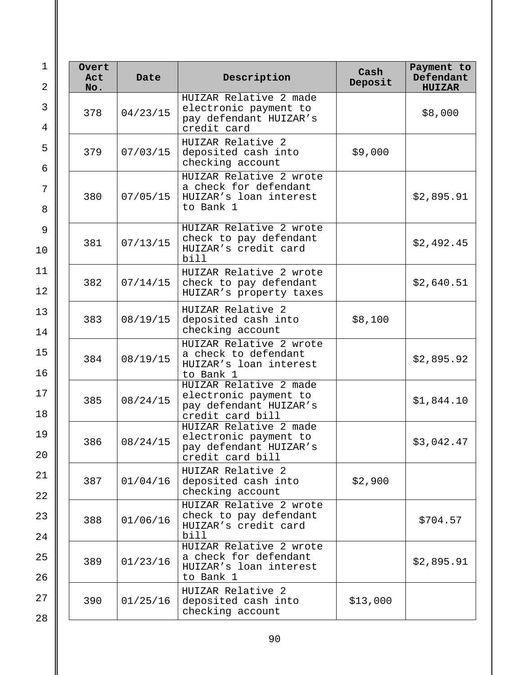| Overt<br>Act<br>No. | Date     | Description                                                                                   | Cash<br>Deposit | Payment to<br>Defendant<br><b>HUIZAR</b> |
|---------------------|----------|-----------------------------------------------------------------------------------------------|-----------------|------------------------------------------|
| 378                 | 04/23/15 | HUIZAR Relative 2 made<br>electronic payment to<br>pay defendant HUIZAR's<br>credit card      |                 | \$8,000                                  |
| 379                 | 07/03/15 | HUIZAR Relative 2<br>deposited cash into<br>checking account                                  | \$9,000         |                                          |
| 380                 | 07/05/15 | HUIZAR Relative 2 wrote<br>a check for defendant<br>HUIZAR's loan interest<br>to Bank 1       |                 | \$2,895.91                               |
| 381                 | 07/13/15 | HUIZAR Relative 2 wrote<br>check to pay defendant<br>HUIZAR's credit card<br>bill             |                 | \$2,492.45                               |
| 382                 | 07/14/15 | HUIZAR Relative 2 wrote<br>check to pay defendant<br>HUIZAR's property taxes                  |                 | \$2,640.51                               |
| 383                 | 08/19/15 | HUIZAR Relative 2<br>deposited cash into<br>checking account                                  | \$8,100         |                                          |
| 384                 | 08/19/15 | HUIZAR Relative 2 wrote<br>a check to defendant<br>HUIZAR's loan interest<br>to Bank 1        |                 | \$2,895.92                               |
| 385                 | 08/24/15 | HUIZAR Relative 2 made<br>electronic payment to<br>pay defendant HUIZAR's<br>credit card bill |                 | \$1,844.10                               |
| 386                 | 08/24/15 | HUIZAR Relative 2 made<br>electronic payment to<br>pay defendant HUIZAR's<br>credit card bill |                 | \$3,042.47                               |
| 387                 | 01/04/16 | HUIZAR Relative 2<br>deposited cash into<br>checking account                                  | \$2,900         |                                          |
| 388                 | 01/06/16 | HUIZAR Relative 2 wrote<br>check to pay defendant<br>HUIZAR's credit card<br>bill             |                 | \$704.57                                 |
| 389                 | 01/23/16 | HUIZAR Relative 2 wrote<br>a check for defendant<br>HUIZAR's loan interest<br>to Bank 1       |                 | \$2,895.91                               |
| 390                 | 01/25/16 | HUIZAR Relative 2<br>deposited cash into<br>checking account                                  | \$13,000        |                                          |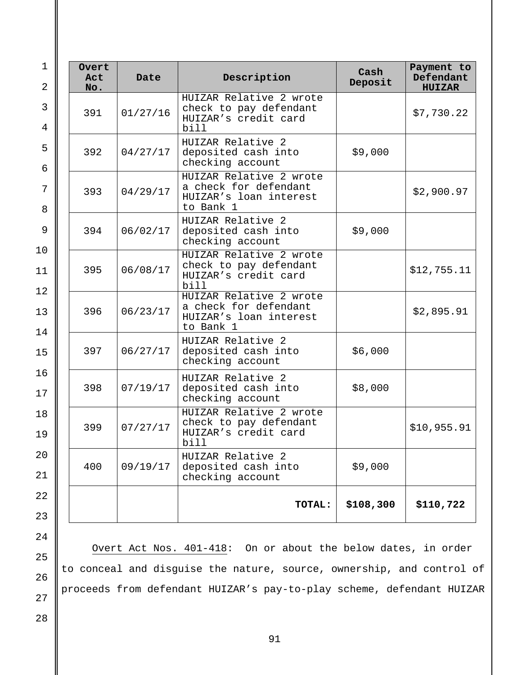| $\mathbf{1}$<br>$\overline{2}$ | Overt<br>Act<br>No. | Date     | Description                                                                             | Cash<br>Deposit | Payment to<br>Defendant<br><b>HUIZAR</b> |
|--------------------------------|---------------------|----------|-----------------------------------------------------------------------------------------|-----------------|------------------------------------------|
| 3<br>$\overline{4}$            | 391                 | 01/27/16 | HUIZAR Relative 2 wrote<br>check to pay defendant<br>HUIZAR's credit card<br>bill       |                 | \$7,730.22                               |
| 5<br>6                         | 392                 | 04/27/17 | HUIZAR Relative 2<br>deposited cash into<br>checking account                            | \$9,000         |                                          |
| 7<br>8                         | 393                 | 04/29/17 | HUIZAR Relative 2 wrote<br>a check for defendant<br>HUIZAR's loan interest<br>to Bank 1 |                 | \$2,900.97                               |
| 9                              | 394                 | 06/02/17 | HUIZAR Relative 2<br>deposited cash into<br>checking account                            | \$9,000         |                                          |
| 10<br>11                       | 395                 | 06/08/17 | HUIZAR Relative 2 wrote<br>check to pay defendant<br>HUIZAR's credit card<br>bill       |                 | \$12,755.11                              |
| 12<br>13<br>14                 | 396                 | 06/23/17 | HUIZAR Relative 2 wrote<br>a check for defendant<br>HUIZAR's loan interest<br>to Bank 1 |                 | \$2,895.91                               |
| 15                             | 397                 | 06/27/17 | HUIZAR Relative 2<br>deposited cash into<br>checking account                            | \$6,000         |                                          |
| 16<br>17                       | 398                 | 07/19/17 | HUIZAR Relative 2<br>deposited cash into<br>checking account                            | \$8,000         |                                          |
| 18<br>19                       | 399                 | 07/27/17 | HUIZAR Relative 2 wrote<br>check to pay defendant<br>HUIZAR's credit card<br>bill       |                 | \$10,955.91                              |
| 20<br>21                       | 400                 | 09/19/17 | HUIZAR Relative 2<br>deposited cash into<br>checking account                            | \$9,000         |                                          |
| 22<br>23                       |                     |          | TOTAL:                                                                                  | \$108,300       | \$110,722                                |

Overt Act Nos. 401-418: On or about the below dates, in order to conceal and disguise the nature, source, ownership, and control of proceeds from defendant HUIZAR's pay-to-play scheme, defendant HUIZAR

 $2<sub>0</sub>$ 21  $2<sup>2</sup>$  $\overline{2}$ 24

25

26

28

27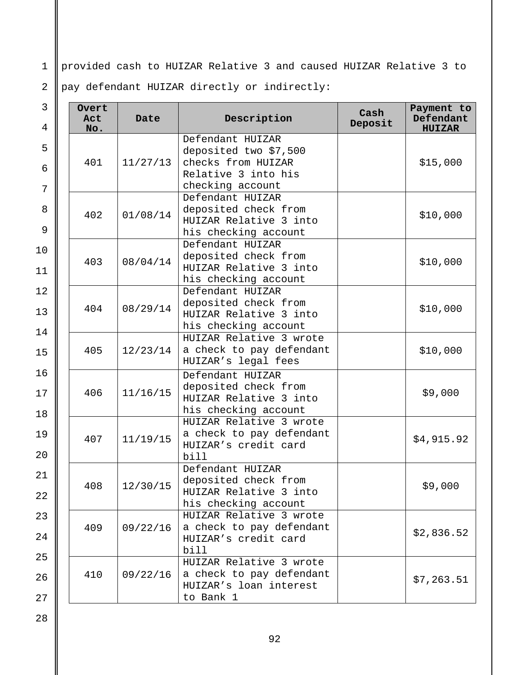1 provided cash to HUIZAR Relative 3 and caused HUIZAR Relative 3 to

pay defendant HUIZAR directly or indirectly:

| 3<br>4                   | Overt<br>Description<br>Act<br>Date<br>No. |                  | Cash<br>Deposit                                                                                            | Payment to<br>Defendant<br><b>HUIZAR</b> |            |
|--------------------------|--------------------------------------------|------------------|------------------------------------------------------------------------------------------------------------|------------------------------------------|------------|
| 5<br>$6\phantom{1}$<br>7 | 401                                        | 11/27/13         | Defendant HUIZAR<br>deposited two \$7,500<br>checks from HUIZAR<br>Relative 3 into his<br>checking account |                                          | \$15,000   |
| 8<br>9                   | 402                                        | 01/08/14         | Defendant HUIZAR<br>deposited check from<br>HUIZAR Relative 3 into<br>his checking account                 |                                          | \$10,000   |
| 10<br>11                 | 403                                        | 08/04/14         | Defendant HUIZAR<br>deposited check from<br>HUIZAR Relative 3 into<br>his checking account                 |                                          | \$10,000   |
| 12<br>13<br>14           | 404                                        | 08/29/14         | Defendant HUIZAR<br>deposited check from<br>HUIZAR Relative 3 into<br>his checking account                 |                                          | \$10,000   |
| 15                       | 405                                        | 12/23/14         | HUIZAR Relative 3 wrote<br>a check to pay defendant<br>HUIZAR's legal fees                                 |                                          | \$10,000   |
| 16<br>17<br>18           | 406                                        | 11/16/15         | Defendant HUIZAR<br>deposited check from<br>HUIZAR Relative 3 into<br>his checking account                 |                                          | \$9,000    |
| 19<br>20                 | 407                                        | 11/19/15         | HUIZAR Relative 3 wrote<br>a check to pay defendant<br>HUIZAR's credit card<br>bill                        |                                          | \$4,915.92 |
| 21<br>22                 |                                            | $408$   12/30/15 | Defendant HUIZAR<br>deposited check from<br>HUIZAR Relative 3 into<br>his checking account                 |                                          | \$9,000    |
| 23<br>24                 | 409                                        | 09/22/16         | HUIZAR Relative 3 wrote<br>a check to pay defendant<br>HUIZAR's credit card<br>bill                        |                                          | \$2,836.52 |
| 25<br>26<br>27           | 410                                        | 09/22/16         | HUIZAR Relative 3 wrote<br>a check to pay defendant<br>HUIZAR's loan interest<br>to Bank 1                 |                                          | \$7,263.51 |

2

 $1<sub>4</sub>$ 

 $1($ 

18

 $\overline{2}$ 21

 $\overline{2}$ 

 $2^{\prime}$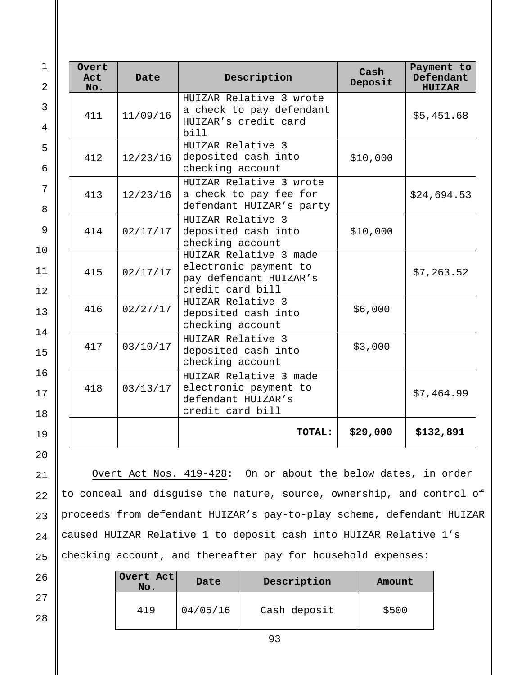| $\mathbf{1}$<br>2              | Overt<br>Act<br>No. | Date     | Description                                                                                   | Cash<br>Deposit | Payment to<br>Defendant<br><b>HUIZAR</b> |
|--------------------------------|---------------------|----------|-----------------------------------------------------------------------------------------------|-----------------|------------------------------------------|
| $\mathbf{3}$<br>$\overline{4}$ | 411                 | 11/09/16 | HUIZAR Relative 3 wrote<br>a check to pay defendant<br>HUIZAR's credit card                   |                 | \$5,451.68                               |
| 5<br>6                         | 412                 | 12/23/16 | bill<br>HUIZAR Relative 3<br>deposited cash into<br>checking account                          | \$10,000        |                                          |
| 7<br>8                         | 413                 | 12/23/16 | HUIZAR Relative 3 wrote<br>a check to pay fee for<br>defendant HUIZAR's party                 |                 | \$24,694.53                              |
| 9                              | 414                 | 02/17/17 | HUIZAR Relative 3<br>deposited cash into<br>checking account                                  | \$10,000        |                                          |
| 10<br>11<br>12                 | 415                 | 02/17/17 | HUIZAR Relative 3 made<br>electronic payment to<br>pay defendant HUIZAR's<br>credit card bill |                 | \$7,263.52                               |
| 13                             | 416                 | 02/27/17 | HUIZAR Relative 3<br>deposited cash into<br>checking account                                  | \$6,000         |                                          |
| 14<br>15                       | 417                 | 03/10/17 | HUIZAR Relative 3<br>deposited cash into<br>checking account                                  | \$3,000         |                                          |
| 16<br>17<br>18                 | 418                 | 03/13/17 | HUIZAR Relative 3 made<br>electronic payment to<br>defendant HUIZAR's<br>credit card bill     |                 | \$7,464.99                               |
| 19<br>20                       |                     |          | TOTAL:                                                                                        | \$29,000        | \$132,891                                |

21 22 23 24 25 Overt Act Nos. 419-428: On or about the below dates, in order to conceal and disguise the nature, source, ownership, and control of proceeds from defendant HUIZAR's pay-to-play scheme, defendant HUIZAR caused HUIZAR Relative 1 to deposit cash into HUIZAR Relative 1's checking account, and thereafter pay for household expenses:

| Overt Act<br>No. | Date     | Description  | Amount |  |
|------------------|----------|--------------|--------|--|
| 419              | 04/05/16 | Cash deposit | \$500  |  |

93

28

26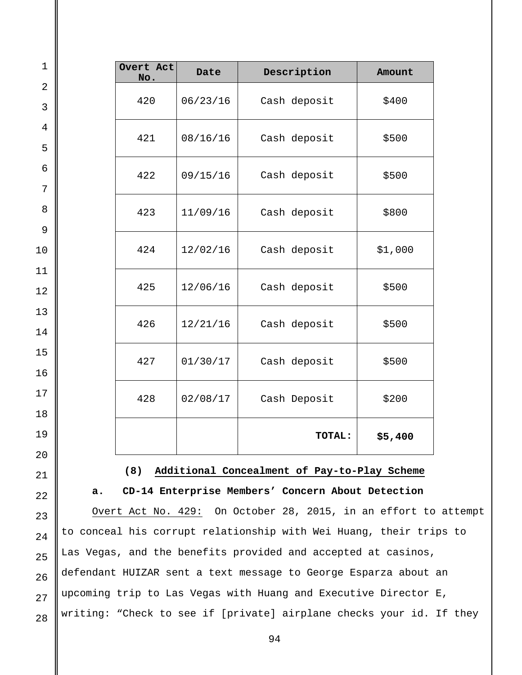| $\mathbf 1$         |                                                                                                                               | Overt Act<br>No. | Date     | Description                                                        | Amount  |  |  |
|---------------------|-------------------------------------------------------------------------------------------------------------------------------|------------------|----------|--------------------------------------------------------------------|---------|--|--|
| $\overline{2}$<br>3 |                                                                                                                               | 420              | 06/23/16 | Cash deposit                                                       | \$400   |  |  |
| $\overline{4}$      |                                                                                                                               | 421              | 08/16/16 | Cash deposit                                                       | \$500   |  |  |
| 5<br>6              |                                                                                                                               | 422              | 09/15/16 | Cash deposit                                                       | \$500   |  |  |
| 7<br>8              |                                                                                                                               | 423              | 11/09/16 | Cash deposit                                                       | \$800   |  |  |
| $\mathsf 9$<br>10   |                                                                                                                               | 424              | 12/02/16 | Cash deposit                                                       | \$1,000 |  |  |
| 11<br>12            |                                                                                                                               | 425              | 12/06/16 | Cash deposit                                                       | \$500   |  |  |
| 13<br>14            |                                                                                                                               | 426              | 12/21/16 | Cash deposit                                                       | \$500   |  |  |
| 15<br>16            |                                                                                                                               | 427              | 01/30/17 | Cash deposit                                                       | \$500   |  |  |
| 17                  |                                                                                                                               | 428              | 02/08/17 | Cash Deposit                                                       | \$200   |  |  |
| 18<br>19            |                                                                                                                               |                  |          | TOTAL:                                                             | \$5,400 |  |  |
| 20                  |                                                                                                                               |                  |          |                                                                    |         |  |  |
| 21                  | (8)<br>Additional Concealment of Pay-to-Play Scheme                                                                           |                  |          |                                                                    |         |  |  |
| 22                  | CD-14 Enterprise Members' Concern About Detection<br>a.<br>On October 28, 2015, in an effort to attempt<br>Overt Act No. 429: |                  |          |                                                                    |         |  |  |
| 23                  |                                                                                                                               |                  |          | to conceal his corrupt relationship with Wei Huang, their trips to |         |  |  |
| 24<br>25            |                                                                                                                               |                  |          | Las Vegas, and the benefits provided and accepted at casinos,      |         |  |  |

defendant HUIZAR sent a text message to George Esparza about an II upcoming trip to Las Vegas with Huang and Executive Director E, writing: "Check to see if [private] airplane checks your id. If they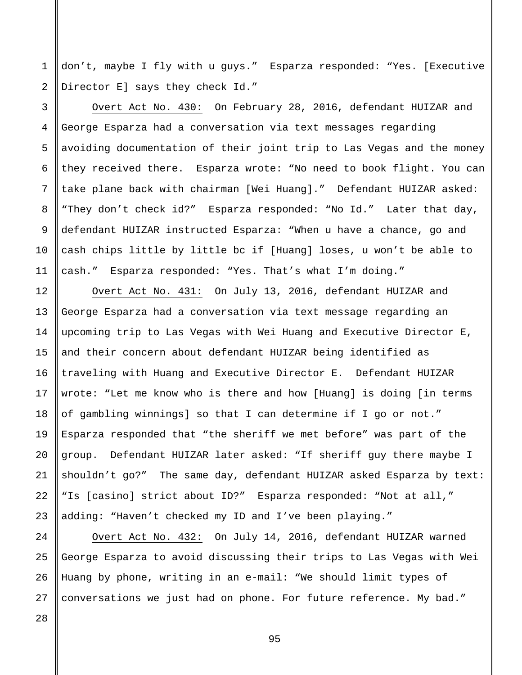1 2 don't, maybe I fly with u guys." Esparza responded: "Yes. [Executive Director E] says they check Id."

Overt Act No. 430: On February 28, 2016, defendant HUIZAR and George Esparza had a conversation via text messages regarding avoiding documentation of their joint trip to Las Vegas and the money they received there. Esparza wrote: "No need to book flight. You can take plane back with chairman [Wei Huang]." Defendant HUIZAR asked: "They don't check id?" Esparza responded: "No Id." Later that day, defendant HUIZAR instructed Esparza: "When u have a chance, go and cash chips little by little bc if [Huang] loses, u won't be able to cash." Esparza responded: "Yes. That's what I'm doing."

Overt Act No. 431: On July 13, 2016, defendant HUIZAR and George Esparza had a conversation via text message regarding an upcoming trip to Las Vegas with Wei Huang and Executive Director E, and their concern about defendant HUIZAR being identified as traveling with Huang and Executive Director E. Defendant HUIZAR wrote: "Let me know who is there and how [Huang] is doing [in terms of gambling winnings] so that I can determine if I go or not." Esparza responded that "the sheriff we met before" was part of the group. Defendant HUIZAR later asked: "If sheriff guy there maybe I shouldn't go?" The same day, defendant HUIZAR asked Esparza by text: "Is [casino] strict about ID?" Esparza responded: "Not at all," adding: "Haven't checked my ID and I've been playing."

Overt Act No. 432: On July 14, 2016, defendant HUIZAR warned George Esparza to avoid discussing their trips to Las Vegas with Wei Huang by phone, writing in an e-mail: "We should limit types of conversations we just had on phone. For future reference. My bad."

26 27 28

3

4

5

6

7

8

9

10

11

12

13

14

15

16

17

18

19

20

21

22

23

24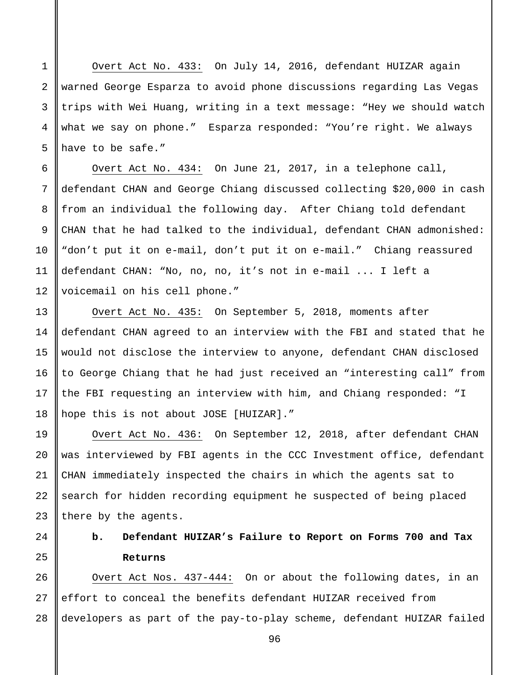Overt Act No. 433: On July 14, 2016, defendant HUIZAR again warned George Esparza to avoid phone discussions regarding Las Vegas trips with Wei Huang, writing in a text message: "Hey we should watch what we say on phone." Esparza responded: "You're right. We always have to be safe."

Overt Act No. 434: On June 21, 2017, in a telephone call, defendant CHAN and George Chiang discussed collecting \$20,000 in cash from an individual the following day. After Chiang told defendant CHAN that he had talked to the individual, defendant CHAN admonished: "don't put it on e-mail, don't put it on e-mail." Chiang reassured defendant CHAN: "No, no, no, it's not in e-mail ... I left a voicemail on his cell phone."

Overt Act No. 435: On September 5, 2018, moments after defendant CHAN agreed to an interview with the FBI and stated that he would not disclose the interview to anyone, defendant CHAN disclosed to George Chiang that he had just received an "interesting call" from the FBI requesting an interview with him, and Chiang responded: "I hope this is not about JOSE [HUIZAR]."

Overt Act No. 436: On September 12, 2018, after defendant CHAN was interviewed by FBI agents in the CCC Investment office, defendant CHAN immediately inspected the chairs in which the agents sat to search for hidden recording equipment he suspected of being placed there by the agents.

# **b. Defendant HUIZAR's Failure to Report on Forms 700 and Tax Returns**

26 27 28 Overt Act Nos. 437-444: On or about the following dates, in an effort to conceal the benefits defendant HUIZAR received from developers as part of the pay-to-play scheme, defendant HUIZAR failed

96

1

2

3

4

5

6

7

8

9

10

11

12

13

14

15

16

17

18

19

20

21

22

23

24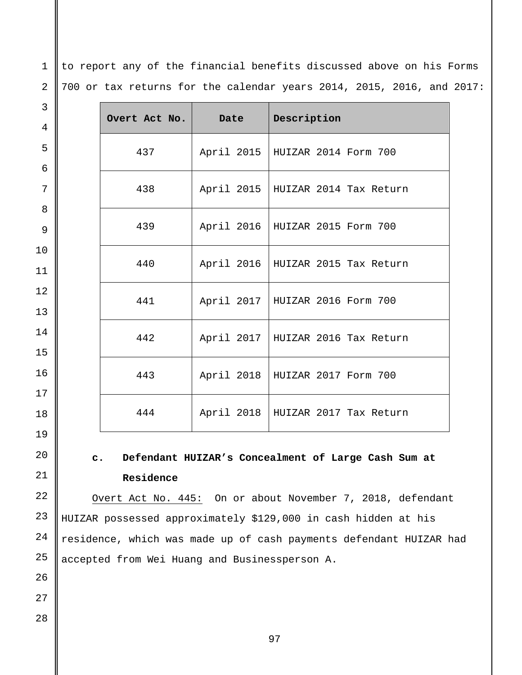to report any of the financial benefits discussed above on his Forms 700 or tax returns for the calendar years 2014, 2015, 2016, and 2017:

| 3  |               |            |                                     |
|----|---------------|------------|-------------------------------------|
| 4  | Overt Act No. | Date       | Description                         |
| 5  | 437           |            | April 2015   HUIZAR 2014 Form 700   |
| 6  |               |            |                                     |
| 7  | 438           | April 2015 | HUIZAR 2014 Tax Return              |
| 8  |               |            |                                     |
| 9  | 439           |            | April 2016   HUIZAR 2015 Form 700   |
| 10 |               |            |                                     |
| 11 | 440           |            | April 2016   HUIZAR 2015 Tax Return |
| 12 | 441           |            | April 2017   HUIZAR 2016 Form 700   |
| 13 |               |            |                                     |
| 14 | 442           |            | April 2017   HUIZAR 2016 Tax Return |
| 15 |               |            |                                     |
| 16 | 443           | April 2018 | HUIZAR 2017 Form 700                |
| 17 |               |            |                                     |
| 18 | 444           | April 2018 | HUIZAR 2017 Tax Return              |
| 19 |               |            |                                     |

**c. Defendant HUIZAR's Concealment of Large Cash Sum at Residence**

Overt Act No. 445: On or about November 7, 2018, defendant HUIZAR possessed approximately \$129,000 in cash hidden at his residence, which was made up of cash payments defendant HUIZAR had accepted from Wei Huang and Businessperson A.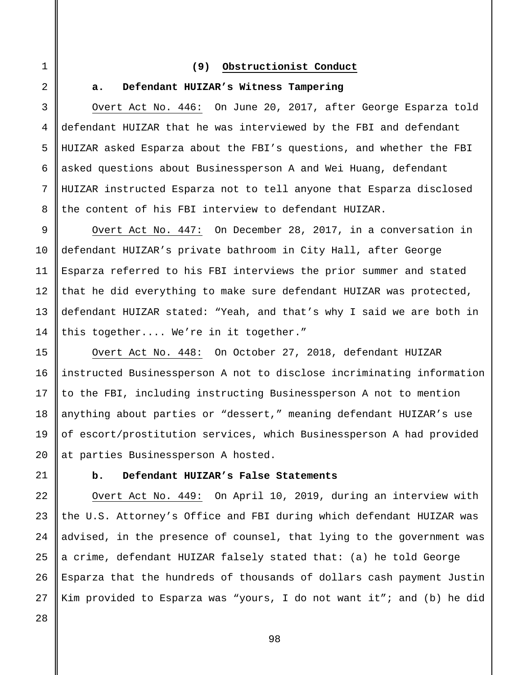### **(9) Obstructionist Conduct**

## 2

3

4

5

6

7

8

9

10

11

12

13

14

15

16

17

18

19

20

21

1

## **a. Defendant HUIZAR's Witness Tampering**

Overt Act No. 446: On June 20, 2017, after George Esparza told defendant HUIZAR that he was interviewed by the FBI and defendant HUIZAR asked Esparza about the FBI's questions, and whether the FBI asked questions about Businessperson A and Wei Huang, defendant HUIZAR instructed Esparza not to tell anyone that Esparza disclosed the content of his FBI interview to defendant HUIZAR.

Overt Act No. 447: On December 28, 2017, in a conversation in defendant HUIZAR's private bathroom in City Hall, after George Esparza referred to his FBI interviews the prior summer and stated that he did everything to make sure defendant HUIZAR was protected, defendant HUIZAR stated: "Yeah, and that's why I said we are both in this together.... We're in it together."

Overt Act No. 448: On October 27, 2018, defendant HUIZAR instructed Businessperson A not to disclose incriminating information to the FBI, including instructing Businessperson A not to mention anything about parties or "dessert," meaning defendant HUIZAR's use of escort/prostitution services, which Businessperson A had provided at parties Businessperson A hosted.

## **b. Defendant HUIZAR's False Statements**

22 23 24 25 26 Overt Act No. 449: On April 10, 2019, during an interview with the U.S. Attorney's Office and FBI during which defendant HUIZAR was advised, in the presence of counsel, that lying to the government was a crime, defendant HUIZAR falsely stated that: (a) he told George Esparza that the hundreds of thousands of dollars cash payment Justin Kim provided to Esparza was "yours, I do not want it"; and (b) he did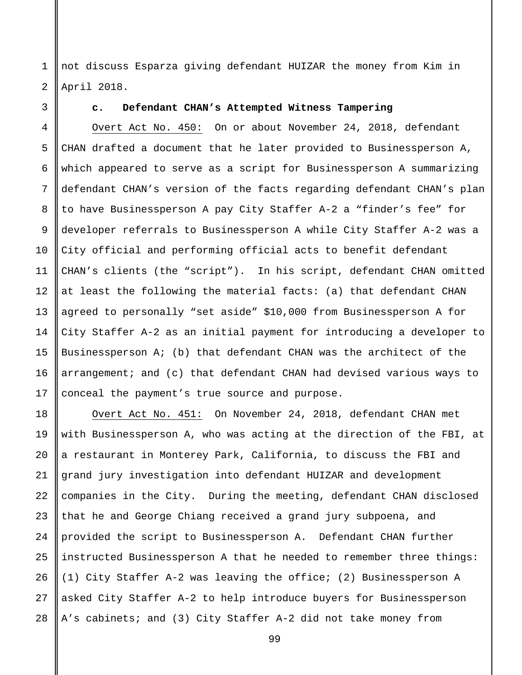1 2 not discuss Esparza giving defendant HUIZAR the money from Kim in April 2018.

3

## **c. Defendant CHAN's Attempted Witness Tampering**

4 5 6 7 8 9 10 11 12 13 14 15 16 17 Overt Act No. 450: On or about November 24, 2018, defendant CHAN drafted a document that he later provided to Businessperson A, which appeared to serve as a script for Businessperson A summarizing defendant CHAN's version of the facts regarding defendant CHAN's plan to have Businessperson A pay City Staffer A-2 a "finder's fee" for developer referrals to Businessperson A while City Staffer A-2 was a City official and performing official acts to benefit defendant CHAN's clients (the "script"). In his script, defendant CHAN omitted at least the following the material facts: (a) that defendant CHAN agreed to personally "set aside" \$10,000 from Businessperson A for City Staffer A-2 as an initial payment for introducing a developer to Businessperson A; (b) that defendant CHAN was the architect of the arrangement; and (c) that defendant CHAN had devised various ways to conceal the payment's true source and purpose.

18 19 20 21 22 23 24 25 26 27 28 Overt Act No. 451: On November 24, 2018, defendant CHAN met with Businessperson A, who was acting at the direction of the FBI, at a restaurant in Monterey Park, California, to discuss the FBI and grand jury investigation into defendant HUIZAR and development companies in the City. During the meeting, defendant CHAN disclosed that he and George Chiang received a grand jury subpoena, and provided the script to Businessperson A. Defendant CHAN further instructed Businessperson A that he needed to remember three things: (1) City Staffer A-2 was leaving the office; (2) Businessperson A asked City Staffer A-2 to help introduce buyers for Businessperson A's cabinets; and (3) City Staffer A-2 did not take money from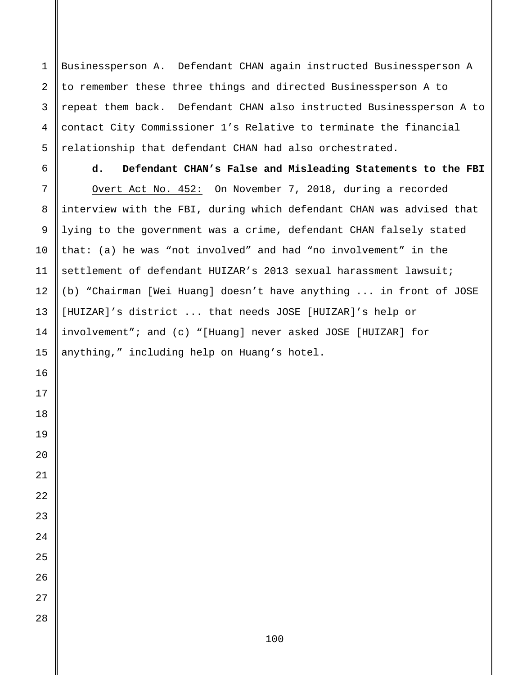Businessperson A. Defendant CHAN again instructed Businessperson A to remember these three things and directed Businessperson A to repeat them back. Defendant CHAN also instructed Businessperson A to contact City Commissioner 1's Relative to terminate the financial relationship that defendant CHAN had also orchestrated.

**d. Defendant CHAN's False and Misleading Statements to the FBI** Overt Act No. 452: On November 7, 2018, during a recorded interview with the FBI, during which defendant CHAN was advised that lying to the government was a crime, defendant CHAN falsely stated that: (a) he was "not involved" and had "no involvement" in the settlement of defendant HUIZAR's 2013 sexual harassment lawsuit; (b) "Chairman [Wei Huang] doesn't have anything ... in front of JOSE [HUIZAR]'s district ... that needs JOSE [HUIZAR]'s help or involvement"; and (c) "[Huang] never asked JOSE [HUIZAR] for anything," including help on Huang's hotel.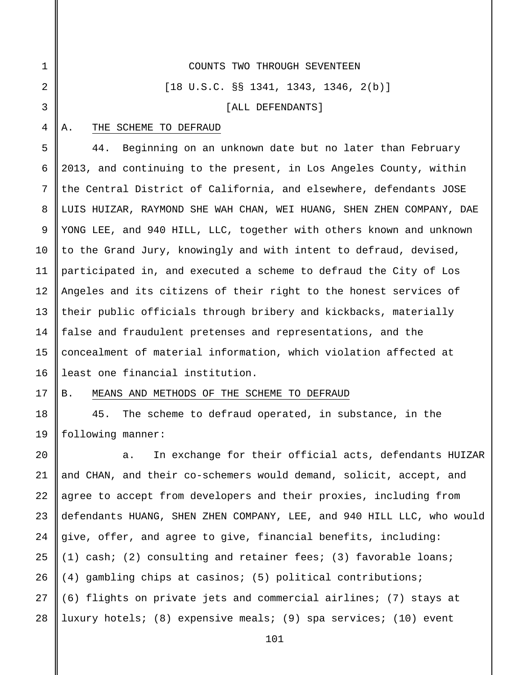1 2 3 4 5 6 7 8 COUNTS TWO THROUGH SEVENTEEN [18 U.S.C. §§ 1341, 1343, 1346, 2(b)] [ALL DEFENDANTS] A. THE SCHEME TO DEFRAUD 44. Beginning on an unknown date but no later than February 2013, and continuing to the present, in Los Angeles County, within the Central District of California, and elsewhere, defendants JOSE LUIS HUIZAR, RAYMOND SHE WAH CHAN, WEI HUANG, SHEN ZHEN COMPANY, DAE

9 10 11 12 13 14 15 16 YONG LEE, and 940 HILL, LLC, together with others known and unknown to the Grand Jury, knowingly and with intent to defraud, devised, participated in, and executed a scheme to defraud the City of Los Angeles and its citizens of their right to the honest services of their public officials through bribery and kickbacks, materially false and fraudulent pretenses and representations, and the concealment of material information, which violation affected at least one financial institution.

17

18

19

### B. MEANS AND METHODS OF THE SCHEME TO DEFRAUD

45. The scheme to defraud operated, in substance, in the following manner:

 $2.0$ 21 22 23 24 25 26 27 28 a. In exchange for their official acts, defendants HUIZAR and CHAN, and their co-schemers would demand, solicit, accept, and agree to accept from developers and their proxies, including from defendants HUANG, SHEN ZHEN COMPANY, LEE, and 940 HILL LLC, who would give, offer, and agree to give, financial benefits, including: (1) cash; (2) consulting and retainer fees; (3) favorable loans; (4) gambling chips at casinos; (5) political contributions; (6) flights on private jets and commercial airlines; (7) stays at luxury hotels; (8) expensive meals; (9) spa services; (10) event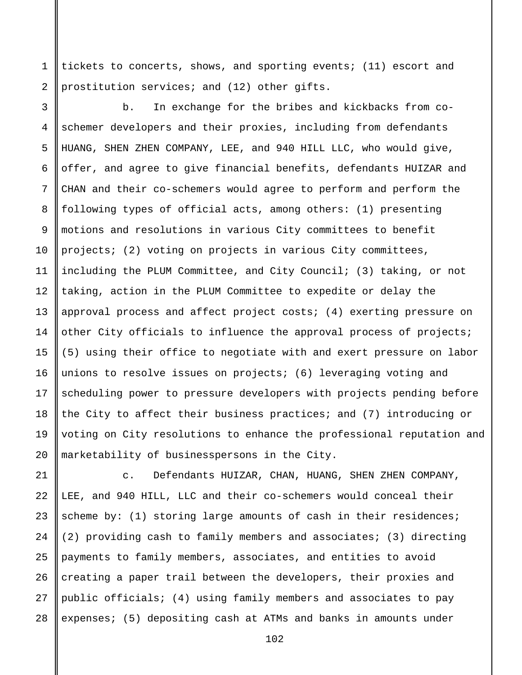tickets to concerts, shows, and sporting events; (11) escort and prostitution services; and (12) other gifts.

1

2

3 4 5 6 7 8 9 10 11 12 13 14 15 16 17 18 19 20 b. In exchange for the bribes and kickbacks from coschemer developers and their proxies, including from defendants HUANG, SHEN ZHEN COMPANY, LEE, and 940 HILL LLC, who would give, offer, and agree to give financial benefits, defendants HUIZAR and CHAN and their co-schemers would agree to perform and perform the following types of official acts, among others: (1) presenting motions and resolutions in various City committees to benefit projects; (2) voting on projects in various City committees, including the PLUM Committee, and City Council; (3) taking, or not taking, action in the PLUM Committee to expedite or delay the approval process and affect project costs; (4) exerting pressure on other City officials to influence the approval process of projects; (5) using their office to negotiate with and exert pressure on labor unions to resolve issues on projects; (6) leveraging voting and scheduling power to pressure developers with projects pending before the City to affect their business practices; and (7) introducing or voting on City resolutions to enhance the professional reputation and marketability of businesspersons in the City.

21 22 23 24 25 26 27 28 c. Defendants HUIZAR, CHAN, HUANG, SHEN ZHEN COMPANY, LEE, and 940 HILL, LLC and their co-schemers would conceal their scheme by: (1) storing large amounts of cash in their residences; (2) providing cash to family members and associates; (3) directing payments to family members, associates, and entities to avoid creating a paper trail between the developers, their proxies and public officials; (4) using family members and associates to pay expenses; (5) depositing cash at ATMs and banks in amounts under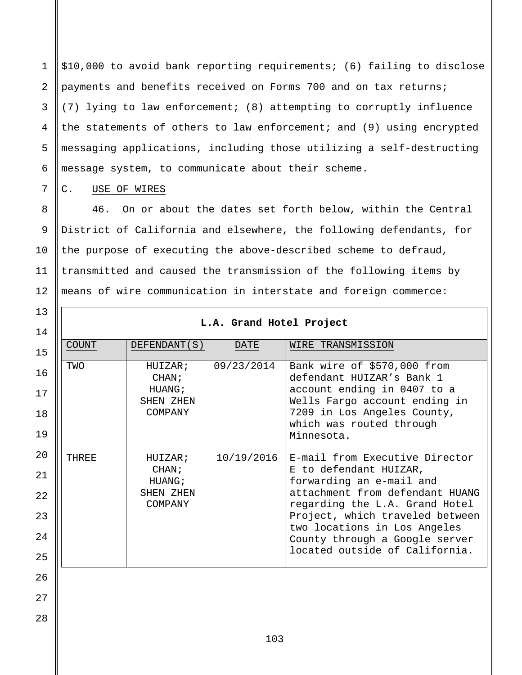1 2 3 4 5 6 \$10,000 to avoid bank reporting requirements; (6) failing to disclose payments and benefits received on Forms 700 and on tax returns; (7) lying to law enforcement; (8) attempting to corruptly influence the statements of others to law enforcement; and (9) using encrypted messaging applications, including those utilizing a self-destructing message system, to communicate about their scheme.

C. USE OF WIRES

7

8

9

10

11

12

13

46. On or about the dates set forth below, within the Central District of California and elsewhere, the following defendants, for the purpose of executing the above-described scheme to defraud, transmitted and caused the transmission of the following items by means of wire communication in interstate and foreign commerce:

| 14 |              |                      | L.A. Grand Hotel Project |                                                                   |
|----|--------------|----------------------|--------------------------|-------------------------------------------------------------------|
| 15 | <b>COUNT</b> | DEFENDANT (S)        | DATE                     | WIRE TRANSMISSION                                                 |
| 16 | TWO          | HUIZAR;<br>CHAN;     | 09/23/2014               | Bank wire of \$570,000 from<br>defendant HUIZAR's Bank 1          |
| 17 |              | HUANG;<br>SHEN ZHEN  |                          | account ending in 0407 to a<br>Wells Fargo account ending in      |
| 18 |              | COMPANY              |                          | 7209 in Los Angeles County,<br>which was routed through           |
| 19 |              |                      |                          | Minnesota.                                                        |
| 20 | <b>THREE</b> | HUIZAR;              | 10/19/2016               | E-mail from Executive Director                                    |
| 21 |              | CHAN;<br>HUANG;      |                          | E to defendant HUIZAR,<br>forwarding an e-mail and                |
| 22 |              | SHEN ZHEN<br>COMPANY |                          | attachment from defendant HUANG<br>regarding the L.A. Grand Hotel |
| 23 |              |                      |                          | Project, which traveled between<br>two locations in Los Angeles   |
| 24 |              |                      |                          | County through a Google server<br>located outside of California.  |
| 25 |              |                      |                          |                                                                   |
| 26 |              |                      |                          |                                                                   |
| 27 |              |                      |                          |                                                                   |
| 28 |              |                      |                          |                                                                   |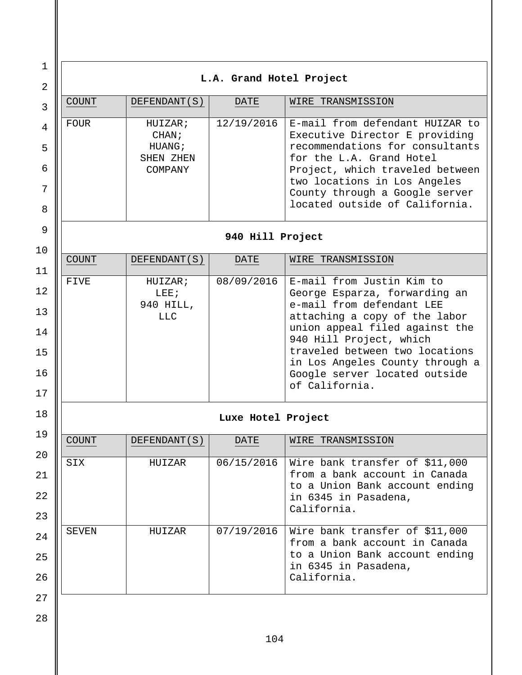1 2 3 4 5 6 7 8 9 10 11 12 13 14 15 16 17 18 19  $2.0$ 21 22 23 24 25 26 27 28 **L.A. Grand Hotel Project** COUNT DEFENDANT(S) DATE WIRE TRANSMISSION FOUR HUIZAR; CHAN; HUANG; SHEN ZHEN COMPANY 12/19/2016 E-mail from defendant HUIZAR to Executive Director E providing recommendations for consultants for the L.A. Grand Hotel Project, which traveled between two locations in Los Angeles County through a Google server located outside of California. **940 Hill Project** COUNT DEFENDANT(S) DATE WIRE TRANSMISSION FIVE | HUIZAR; LEE; 940 HILL, LLC  $08/09/2016$  E-mail from Justin Kim to George Esparza, forwarding an e-mail from defendant LEE attaching a copy of the labor union appeal filed against the 940 Hill Project, which traveled between two locations in Los Angeles County through a Google server located outside of California. **Luxe Hotel Project** COUNT DEFENDANT(S) DATE WIRE TRANSMISSION SIX HUIZAR 06/15/2016 Wire bank transfer of \$11,000 from a bank account in Canada to a Union Bank account ending in 6345 in Pasadena, California. SEVEN HUIZAR 07/19/2016 Wire bank transfer of \$11,000 from a bank account in Canada to a Union Bank account ending in 6345 in Pasadena, California.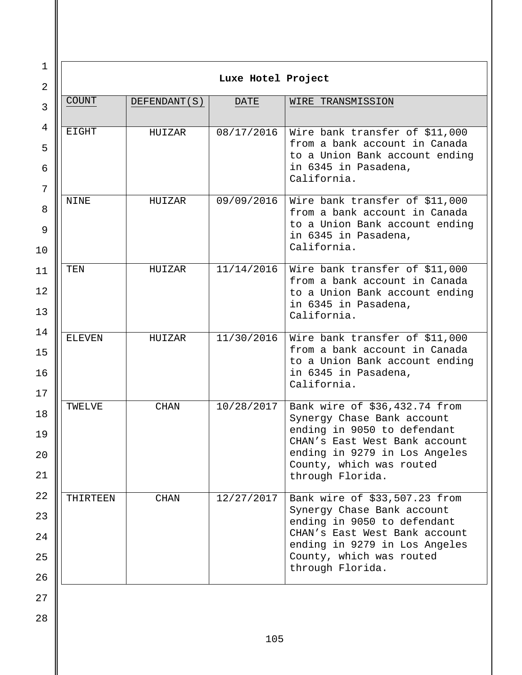| $\mathbf 1$    | Luxe Hotel Project |               |            |                                                                 |  |
|----------------|--------------------|---------------|------------|-----------------------------------------------------------------|--|
| $\overline{2}$ |                    |               |            |                                                                 |  |
| 3              | <b>COUNT</b>       | DEFENDANT (S) | DATE       | WIRE TRANSMISSION                                               |  |
| 4              | <b>EIGHT</b>       | HUIZAR        | 08/17/2016 | Wire bank transfer of \$11,000                                  |  |
| 5              |                    |               |            | from a bank account in Canada<br>to a Union Bank account ending |  |
| 6<br>7         |                    |               |            | in 6345 in Pasadena,<br>California.                             |  |
| 8              | NINE               | HUIZAR        | 09/09/2016 | Wire bank transfer of \$11,000<br>from a bank account in Canada |  |
| 9              |                    |               |            | to a Union Bank account ending<br>in 6345 in Pasadena,          |  |
| 10             |                    |               |            | California.                                                     |  |
| 11             | TEN                | HUIZAR        | 11/14/2016 | Wire bank transfer of \$11,000<br>from a bank account in Canada |  |
| 12             |                    |               |            | to a Union Bank account ending<br>in 6345 in Pasadena,          |  |
| 13<br>14       |                    |               |            | California.                                                     |  |
| 15             | <b>ELEVEN</b>      | HUIZAR        | 11/30/2016 | Wire bank transfer of \$11,000<br>from a bank account in Canada |  |
| 16             |                    |               |            | to a Union Bank account ending<br>in 6345 in Pasadena,          |  |
| 17             |                    |               |            | California.                                                     |  |
| 18             | TWELVE             | <b>CHAN</b>   | 10/28/2017 | Bank wire of \$36,432.74 from<br>Synergy Chase Bank account     |  |
| 19             |                    |               |            | ending in 9050 to defendant<br>CHAN's East West Bank account    |  |
| 20             |                    |               |            | ending in 9279 in Los Angeles<br>County, which was routed       |  |
| 21             |                    |               |            | through Florida.                                                |  |
| 22             | THIRTEEN           | <b>CHAN</b>   | 12/27/2017 | Bank wire of \$33,507.23 from<br>Synergy Chase Bank account     |  |
| 23             |                    |               |            | ending in 9050 to defendant<br>CHAN's East West Bank account    |  |
| 24<br>25       |                    |               |            | ending in 9279 in Los Angeles<br>County, which was routed       |  |
| 26             |                    |               |            | through Florida.                                                |  |
| 27             |                    |               |            |                                                                 |  |
| 28             |                    |               |            |                                                                 |  |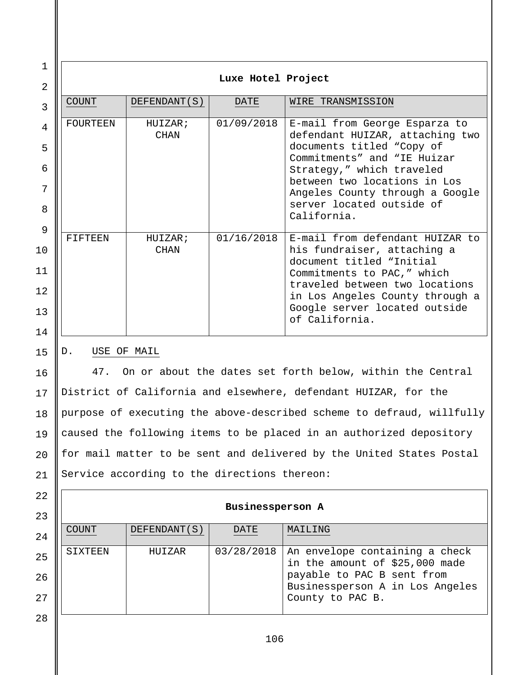1 2 3 4 5 6 7 8 9 10 11 12 13 14 15 16 **Luxe Hotel Project** COUNT DEFENDANT(S) DATE WIRE TRANSMISSION FOURTEEN HUIZAR; CHAN 01/09/2018 E-mail from George Esparza to defendant HUIZAR, attaching two documents titled "Copy of Commitments" and "IE Huizar Strategy," which traveled between two locations in Los Angeles County through a Google server located outside of California. FIFTEEN HUIZAR; CHAN 01/16/2018 E-mail from defendant HUIZAR to his fundraiser, attaching a document titled "Initial Commitments to PAC," which traveled between two locations in Los Angeles County through a Google server located outside of California. D. USE OF MAIL 47. On or about the dates set forth below, within the Central

17 18 19  $2.0$ 21 District of California and elsewhere, defendant HUIZAR, for the purpose of executing the above-described scheme to defraud, willfully caused the following items to be placed in an authorized depository for mail matter to be sent and delivered by the United States Postal Service according to the directions thereon:

## **Businessperson A**

| 23 |              |               |      |                                                                               |
|----|--------------|---------------|------|-------------------------------------------------------------------------------|
| 24 | <b>COUNT</b> | DEFENDANT (S) | DATE | MAILING                                                                       |
| 25 | SIXTEEN      | HUIZAR        |      | $03/28/2018$ An envelope containing a check<br>in the amount of \$25,000 made |
| 26 |              |               |      | payable to PAC B sent from<br>Businessperson A in Los Angeles                 |
| 27 |              |               |      | County to PAC B.                                                              |

28

22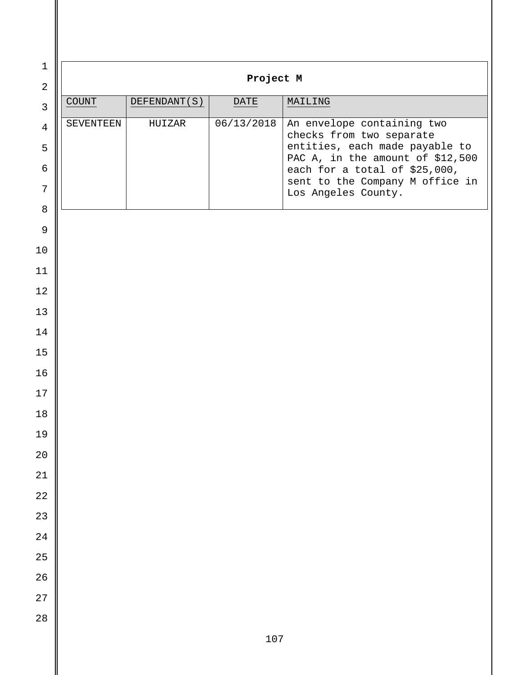| $\mathbf 1$<br>$\overline{2}$ | Project M        |              |            |                                                                   |  |
|-------------------------------|------------------|--------------|------------|-------------------------------------------------------------------|--|
| $\mathfrak{Z}$                | $\texttt{COUNT}$ | DEFENDANT(S) | DATE       | MAILING                                                           |  |
| $\overline{4}$                | SEVENTEEN        | HUIZAR       | 06/13/2018 | An envelope containing two                                        |  |
| 5                             |                  |              |            | checks from two separate<br>entities, each made payable to        |  |
| $\epsilon$                    |                  |              |            | PAC A, in the amount of \$12,500<br>each for a total of \$25,000, |  |
| 7                             |                  |              |            | sent to the Company M office in<br>Los Angeles County.            |  |
| $8\,$                         |                  |              |            |                                                                   |  |
| $\mathsf 9$                   |                  |              |            |                                                                   |  |
| 10                            |                  |              |            |                                                                   |  |
| 11                            |                  |              |            |                                                                   |  |
| 12                            |                  |              |            |                                                                   |  |
| 13                            |                  |              |            |                                                                   |  |
| 14<br>15                      |                  |              |            |                                                                   |  |
| 16                            |                  |              |            |                                                                   |  |
| 17                            |                  |              |            |                                                                   |  |
| 18                            |                  |              |            |                                                                   |  |
| 19                            |                  |              |            |                                                                   |  |
| $20\,$                        |                  |              |            |                                                                   |  |
| $2\sqrt{1}$                   |                  |              |            |                                                                   |  |
| $2\sqrt{2}$                   |                  |              |            |                                                                   |  |
| $23\,$                        |                  |              |            |                                                                   |  |
| $2\sqrt{4}$                   |                  |              |            |                                                                   |  |
| $25\,$                        |                  |              |            |                                                                   |  |
| $26\,$                        |                  |              |            |                                                                   |  |
| $2\,7$                        |                  |              |            |                                                                   |  |
| $2\sqrt{8}$                   |                  |              |            |                                                                   |  |
|                               |                  |              | 107        |                                                                   |  |

 $\mathsf{I}$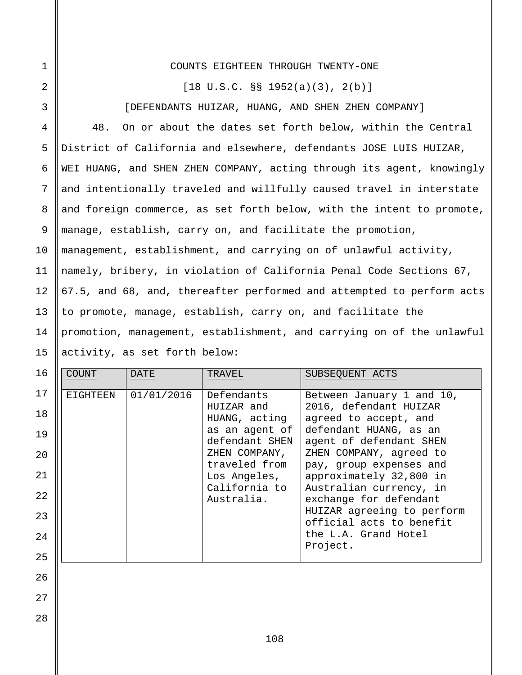## COUNTS EIGHTEEN THROUGH TWENTY-ONE

1

2

3

4

5

6

7

8

9

10

11

12

13

14

15

28

 $[18 \text{ U.S.C. }$   $\S$ §  $1952(a)(3)$ ,  $2(b)$ ]

[DEFENDANTS HUIZAR, HUANG, AND SHEN ZHEN COMPANY]

48. On or about the dates set forth below, within the Central District of California and elsewhere, defendants JOSE LUIS HUIZAR, WEI HUANG, and SHEN ZHEN COMPANY, acting through its agent, knowingly and intentionally traveled and willfully caused travel in interstate and foreign commerce, as set forth below, with the intent to promote, manage, establish, carry on, and facilitate the promotion, management, establishment, and carrying on of unlawful activity, namely, bribery, in violation of California Penal Code Sections 67, 67.5, and 68, and, thereafter performed and attempted to perform acts to promote, manage, establish, carry on, and facilitate the promotion, management, establishment, and carrying on of the unlawful activity, as set forth below:

| 16 | <b>COUNT</b> | <b>DATE</b> | TRAVEL                           | SUBSEQUENT ACTS                                        |
|----|--------------|-------------|----------------------------------|--------------------------------------------------------|
| 17 | EIGHTEEN     | 01/01/2016  | Defendants                       | Between January 1 and 10,                              |
| 18 |              |             | HUIZAR and<br>HUANG, acting      | 2016, defendant HUIZAR<br>agreed to accept, and        |
| 19 |              |             | as an agent of<br>defendant SHEN | defendant HUANG, as an<br>agent of defendant SHEN      |
| 20 |              |             | ZHEN COMPANY,                    | ZHEN COMPANY, agreed to                                |
| 21 |              |             | traveled from<br>Los Angeles,    | pay, group expenses and<br>approximately 32,800 in     |
| 22 |              |             | California to<br>Australia.      | Australian currency, in<br>exchange for defendant      |
| 23 |              |             |                                  | HUIZAR agreeing to perform<br>official acts to benefit |
| 24 |              |             |                                  | the L.A. Grand Hotel<br>Project.                       |
| 25 |              |             |                                  |                                                        |
| 26 |              |             |                                  |                                                        |
| 27 |              |             |                                  |                                                        |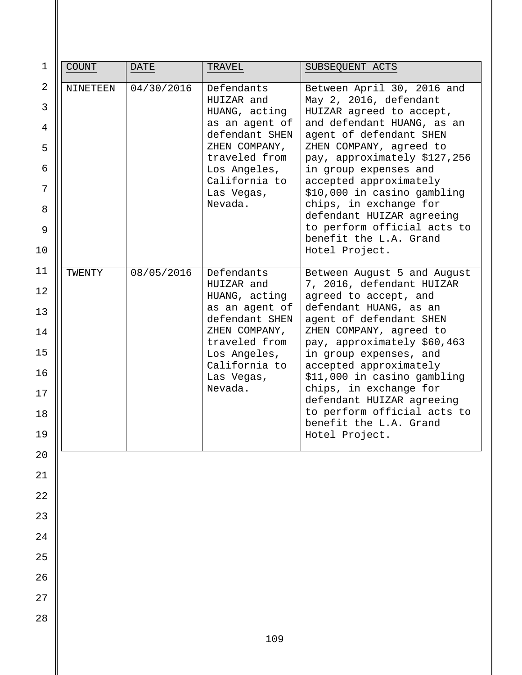| $\mathbf 1$              | <b>COUNT</b>    | <b>DATE</b> | TRAVEL                                                      | SUBSEQUENT ACTS                                                                                                |
|--------------------------|-----------------|-------------|-------------------------------------------------------------|----------------------------------------------------------------------------------------------------------------|
| 2<br>$\mathfrak{Z}$<br>4 | <b>NINETEEN</b> | 04/30/2016  | Defendants<br>HUIZAR and<br>HUANG, acting<br>as an agent of | Between April 30, 2016 and<br>May 2, 2016, defendant<br>HUIZAR agreed to accept,<br>and defendant HUANG, as an |
| 5                        |                 |             | defendant SHEN<br>ZHEN COMPANY,                             | agent of defendant SHEN<br>ZHEN COMPANY, agreed to                                                             |
| 6                        |                 |             | traveled from<br>Los Angeles,                               | pay, approximately \$127,256<br>in group expenses and                                                          |
| 7                        |                 |             | California to<br>Las Vegas,<br>Nevada.                      | accepted approximately<br>\$10,000 in casino gambling<br>chips, in exchange for                                |
| 8<br>9                   |                 |             |                                                             | defendant HUIZAR agreeing<br>to perform official acts to<br>benefit the L.A. Grand                             |
| 10                       |                 |             |                                                             | Hotel Project.                                                                                                 |
| 11                       | TWENTY          | 08/05/2016  | Defendants                                                  | Between August 5 and August                                                                                    |
| 12                       |                 |             | HUIZAR and<br>HUANG, acting                                 | 7, 2016, defendant HUIZAR<br>agreed to accept, and                                                             |
| 13<br>14                 |                 |             | as an agent of<br>defendant SHEN<br>ZHEN COMPANY,           | defendant HUANG, as an<br>agent of defendant SHEN<br>ZHEN COMPANY, agreed to                                   |
| 15                       |                 |             | traveled from<br>Los Angeles,                               | pay, approximately \$60,463<br>in group expenses, and                                                          |
| 16                       |                 |             | California to<br>Las Vegas,                                 | accepted approximately<br>\$11,000 in casino gambling                                                          |
| 17                       |                 |             | Nevada.                                                     | chips, in exchange for                                                                                         |
| 18                       |                 |             |                                                             | defendant HUIZAR agreeing<br>to perform official acts to                                                       |
| 19                       |                 |             |                                                             | benefit the L.A. Grand<br>Hotel Project.                                                                       |
| $20$                     |                 |             |                                                             |                                                                                                                |
| 21                       |                 |             |                                                             |                                                                                                                |
| 22                       |                 |             |                                                             |                                                                                                                |
| 23                       |                 |             |                                                             |                                                                                                                |
| $2\sqrt{4}$              |                 |             |                                                             |                                                                                                                |
| 25                       |                 |             |                                                             |                                                                                                                |
| 26                       |                 |             |                                                             |                                                                                                                |
| 27                       |                 |             |                                                             |                                                                                                                |
| 28                       |                 |             |                                                             |                                                                                                                |
|                          |                 |             | 109                                                         |                                                                                                                |

 $\mathsf{I}$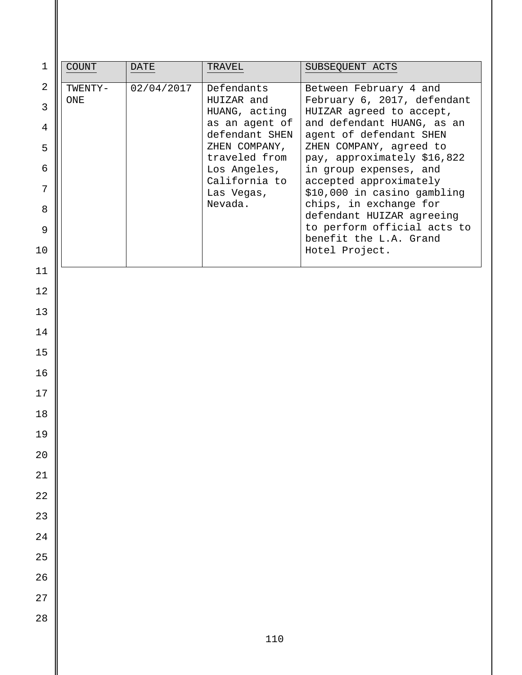| $1\,$               | <b>COUNT</b>   | <b>DATE</b> | TRAVEL                          | SUBSEQUENT ACTS                                        |
|---------------------|----------------|-------------|---------------------------------|--------------------------------------------------------|
| $\overline{a}$<br>3 | TWENTY-<br>ONE | 02/04/2017  | Defendants<br>HUIZAR and        | Between February 4 and<br>February 6, 2017, defendant  |
| 4                   |                |             | HUANG, acting<br>as an agent of | HUIZAR agreed to accept,<br>and defendant HUANG, as an |
| 5                   |                |             | defendant SHEN<br>ZHEN COMPANY, | agent of defendant SHEN<br>ZHEN COMPANY, agreed to     |
| 6                   |                |             | traveled from<br>Los Angeles,   | pay, approximately \$16,822<br>in group expenses, and  |
| 7                   |                |             | California to<br>Las Vegas,     | accepted approximately<br>\$10,000 in casino gambling  |
| 8                   |                |             | Nevada.                         | chips, in exchange for<br>defendant HUIZAR agreeing    |
| $\mathsf 9$         |                |             |                                 | to perform official acts to<br>benefit the L.A. Grand  |
| 10                  |                |             |                                 | Hotel Project.                                         |
| 11                  |                |             |                                 |                                                        |
| 12                  |                |             |                                 |                                                        |
| 13<br>14            |                |             |                                 |                                                        |
| 15                  |                |             |                                 |                                                        |
| 16                  |                |             |                                 |                                                        |
| 17                  |                |             |                                 |                                                        |
| 18                  |                |             |                                 |                                                        |
| 19                  |                |             |                                 |                                                        |
| $20\,$              |                |             |                                 |                                                        |
| 21                  |                |             |                                 |                                                        |
| $2\sqrt{2}$         |                |             |                                 |                                                        |
| 23                  |                |             |                                 |                                                        |
| 24                  |                |             |                                 |                                                        |
| 25                  |                |             |                                 |                                                        |
| 26<br>$2\,7$        |                |             |                                 |                                                        |
| 28                  |                |             |                                 |                                                        |
|                     |                |             | 110                             |                                                        |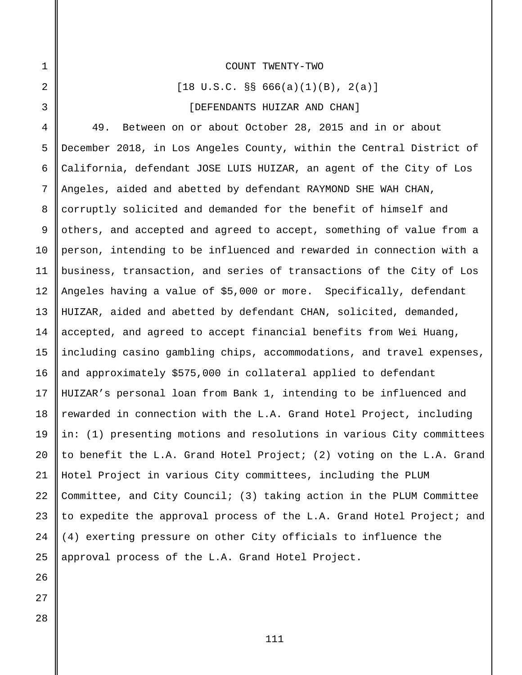#### COUNT TWENTY-TWO

 $[18 \text{ U.S.C. }$  SS 666(a)(1)(B), 2(a)]

#### [DEFENDANTS HUIZAR AND CHAN]

4 5 6 7 8 9 10 11 12 13 14 15 16 17 18 19 20 21 22 23 24 25 49. Between on or about October 28, 2015 and in or about December 2018, in Los Angeles County, within the Central District of California, defendant JOSE LUIS HUIZAR, an agent of the City of Los Angeles, aided and abetted by defendant RAYMOND SHE WAH CHAN, corruptly solicited and demanded for the benefit of himself and others, and accepted and agreed to accept, something of value from a person, intending to be influenced and rewarded in connection with a business, transaction, and series of transactions of the City of Los Angeles having a value of \$5,000 or more. Specifically, defendant HUIZAR, aided and abetted by defendant CHAN, solicited, demanded, accepted, and agreed to accept financial benefits from Wei Huang, including casino gambling chips, accommodations, and travel expenses, and approximately \$575,000 in collateral applied to defendant HUIZAR's personal loan from Bank 1, intending to be influenced and rewarded in connection with the L.A. Grand Hotel Project, including in: (1) presenting motions and resolutions in various City committees to benefit the L.A. Grand Hotel Project; (2) voting on the L.A. Grand Hotel Project in various City committees, including the PLUM Committee, and City Council; (3) taking action in the PLUM Committee to expedite the approval process of the L.A. Grand Hotel Project; and (4) exerting pressure on other City officials to influence the approval process of the L.A. Grand Hotel Project.

26 27

28

1

2

3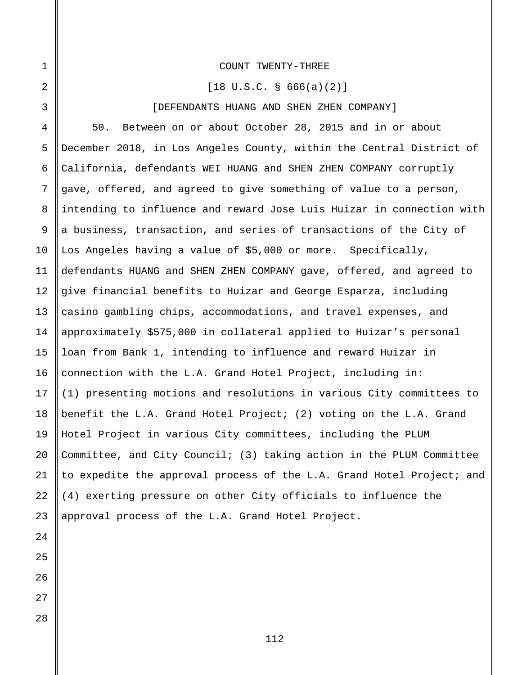#### COUNT TWENTY-THREE

 $[18 \text{ U.S.C. }$  \$ 666(a)(2)]

#### [DEFENDANTS HUANG AND SHEN ZHEN COMPANY]

4 50. Between on or about October 28, 2015 and in or about December 2018, in Los Angeles County, within the Central District of California, defendants WEI HUANG and SHEN ZHEN COMPANY corruptly gave, offered, and agreed to give something of value to a person, intending to influence and reward Jose Luis Huizar in connection with a business, transaction, and series of transactions of the City of Los Angeles having a value of \$5,000 or more. Specifically, defendants HUANG and SHEN ZHEN COMPANY gave, offered, and agreed to give financial benefits to Huizar and George Esparza, including casino gambling chips, accommodations, and travel expenses, and approximately \$575,000 in collateral applied to Huizar's personal loan from Bank 1, intending to influence and reward Huizar in connection with the L.A. Grand Hotel Project, including in: (1) presenting motions and resolutions in various City committees to benefit the L.A. Grand Hotel Project; (2) voting on the L.A. Grand Hotel Project in various City committees, including the PLUM Committee, and City Council; (3) taking action in the PLUM Committee to expedite the approval process of the L.A. Grand Hotel Project; and (4) exerting pressure on other City officials to influence the approval process of the L.A. Grand Hotel Project.

1

2

3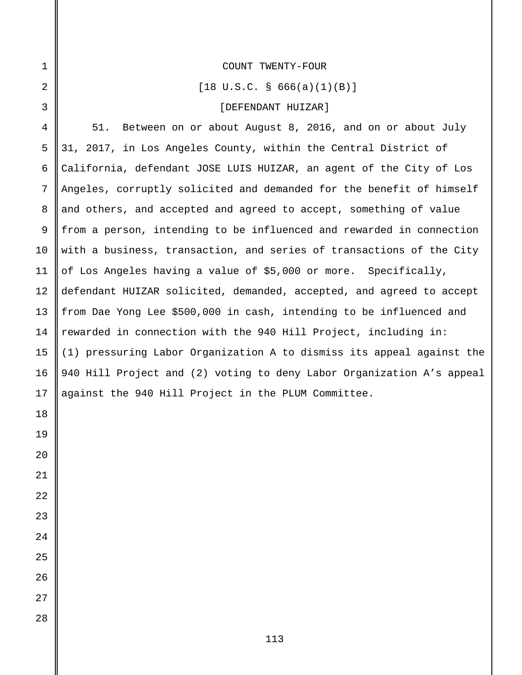$[18 \text{ U.S.C. }$  \$ 666(a)(1)(B)]

# [DEFENDANT HUIZAR]

51. Between on or about August 8, 2016, and on or about July 31, 2017, in Los Angeles County, within the Central District of California, defendant JOSE LUIS HUIZAR, an agent of the City of Los Angeles, corruptly solicited and demanded for the benefit of himself and others, and accepted and agreed to accept, something of value from a person, intending to be influenced and rewarded in connection with a business, transaction, and series of transactions of the City of Los Angeles having a value of \$5,000 or more. Specifically, defendant HUIZAR solicited, demanded, accepted, and agreed to accept from Dae Yong Lee \$500,000 in cash, intending to be influenced and rewarded in connection with the 940 Hill Project, including in: (1) pressuring Labor Organization A to dismiss its appeal against the 940 Hill Project and (2) voting to deny Labor Organization A's appeal against the 940 Hill Project in the PLUM Committee.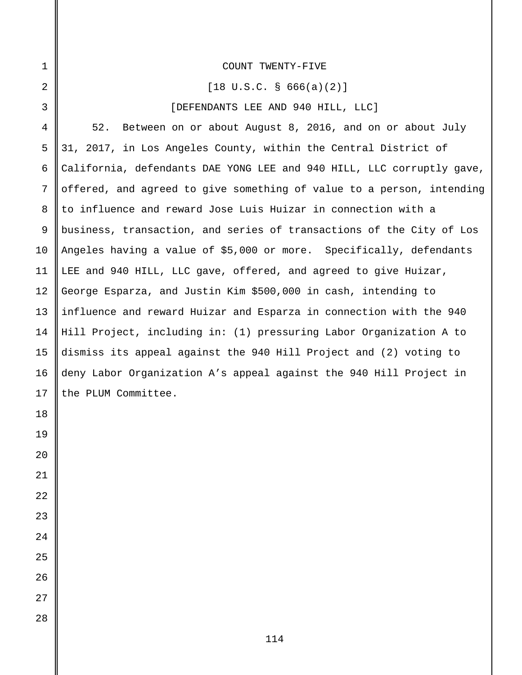#### COUNT TWENTY-FIVE

 $[18 \text{ U.S.C. }$  \$ 666(a)(2)]

[DEFENDANTS LEE AND 940 HILL, LLC]

52. Between on or about August 8, 2016, and on or about July 31, 2017, in Los Angeles County, within the Central District of California, defendants DAE YONG LEE and 940 HILL, LLC corruptly gave, offered, and agreed to give something of value to a person, intending to influence and reward Jose Luis Huizar in connection with a business, transaction, and series of transactions of the City of Los Angeles having a value of \$5,000 or more. Specifically, defendants LEE and 940 HILL, LLC gave, offered, and agreed to give Huizar, George Esparza, and Justin Kim \$500,000 in cash, intending to influence and reward Huizar and Esparza in connection with the 940 Hill Project, including in: (1) pressuring Labor Organization A to dismiss its appeal against the 940 Hill Project and (2) voting to deny Labor Organization A's appeal against the 940 Hill Project in the PLUM Committee.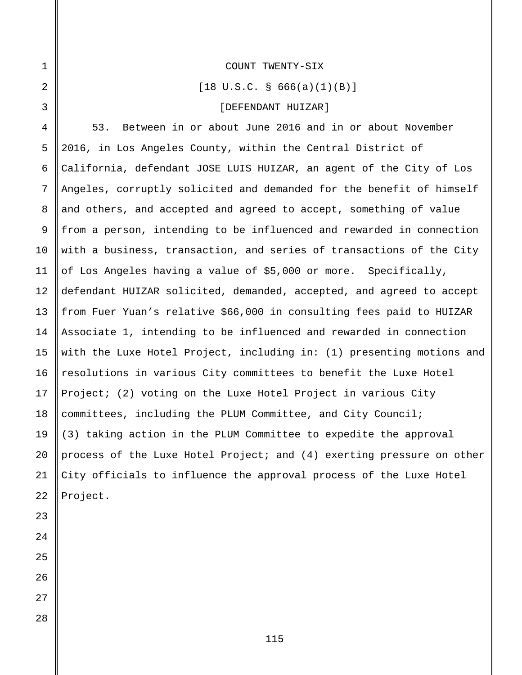#### COUNT TWENTY-SIX

 $[18 \text{ U.S.C. }$  \$ 666(a)(1)(B)]

# [DEFENDANT HUIZAR]

4 5 6 7 8 53. Between in or about June 2016 and in or about November 2016, in Los Angeles County, within the Central District of California, defendant JOSE LUIS HUIZAR, an agent of the City of Los Angeles, corruptly solicited and demanded for the benefit of himself and others, and accepted and agreed to accept, something of value from a person, intending to be influenced and rewarded in connection with a business, transaction, and series of transactions of the City of Los Angeles having a value of \$5,000 or more. Specifically, defendant HUIZAR solicited, demanded, accepted, and agreed to accept from Fuer Yuan's relative \$66,000 in consulting fees paid to HUIZAR Associate 1, intending to be influenced and rewarded in connection with the Luxe Hotel Project, including in: (1) presenting motions and resolutions in various City committees to benefit the Luxe Hotel Project; (2) voting on the Luxe Hotel Project in various City committees, including the PLUM Committee, and City Council; (3) taking action in the PLUM Committee to expedite the approval process of the Luxe Hotel Project; and (4) exerting pressure on other City officials to influence the approval process of the Luxe Hotel Project.

1

2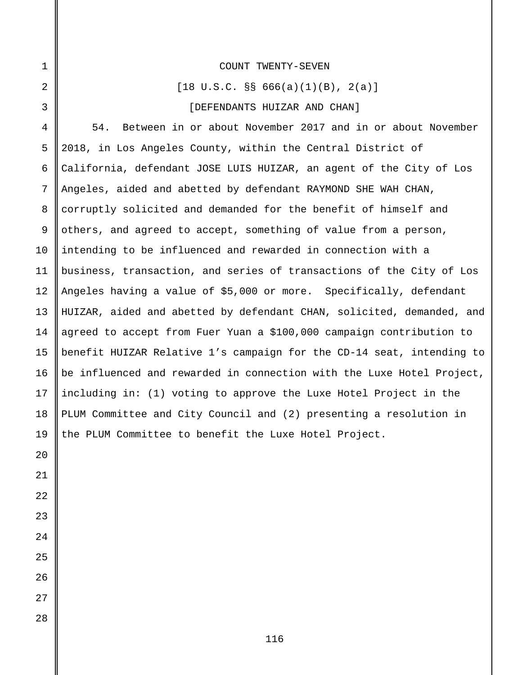#### COUNT TWENTY-SEVEN

 $[18 \text{ U.S.C. }$  SS 666(a)(1)(B), 2(a)]

#### [DEFENDANTS HUIZAR AND CHAN]

54. Between in or about November 2017 and in or about November 2018, in Los Angeles County, within the Central District of California, defendant JOSE LUIS HUIZAR, an agent of the City of Los Angeles, aided and abetted by defendant RAYMOND SHE WAH CHAN, corruptly solicited and demanded for the benefit of himself and others, and agreed to accept, something of value from a person, intending to be influenced and rewarded in connection with a business, transaction, and series of transactions of the City of Los Angeles having a value of \$5,000 or more. Specifically, defendant HUIZAR, aided and abetted by defendant CHAN, solicited, demanded, and agreed to accept from Fuer Yuan a \$100,000 campaign contribution to benefit HUIZAR Relative 1's campaign for the CD-14 seat, intending to be influenced and rewarded in connection with the Luxe Hotel Project, including in: (1) voting to approve the Luxe Hotel Project in the PLUM Committee and City Council and (2) presenting a resolution in the PLUM Committee to benefit the Luxe Hotel Project.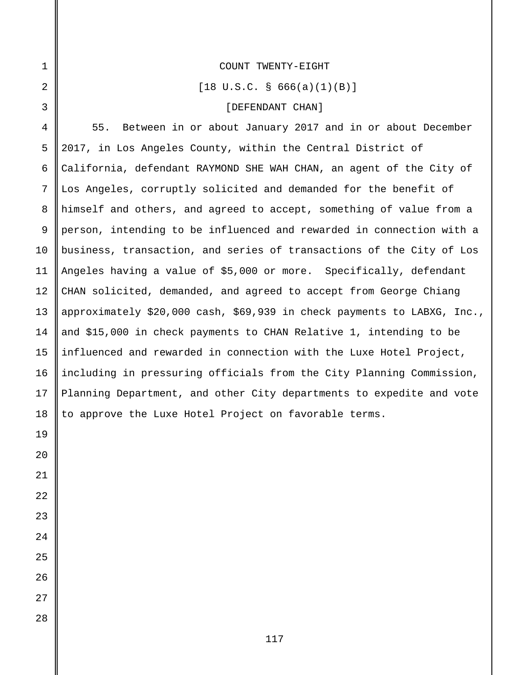#### COUNT TWENTY-EIGHT

 $[18 \text{ U.S.C. }$  \$ 666(a)(1)(B)]

# [DEFENDANT CHAN]

55. Between in or about January 2017 and in or about December 2017, in Los Angeles County, within the Central District of California, defendant RAYMOND SHE WAH CHAN, an agent of the City of Los Angeles, corruptly solicited and demanded for the benefit of himself and others, and agreed to accept, something of value from a person, intending to be influenced and rewarded in connection with a business, transaction, and series of transactions of the City of Los Angeles having a value of \$5,000 or more. Specifically, defendant CHAN solicited, demanded, and agreed to accept from George Chiang approximately \$20,000 cash, \$69,939 in check payments to LABXG, Inc., and \$15,000 in check payments to CHAN Relative 1, intending to be influenced and rewarded in connection with the Luxe Hotel Project, including in pressuring officials from the City Planning Commission, Planning Department, and other City departments to expedite and vote to approve the Luxe Hotel Project on favorable terms.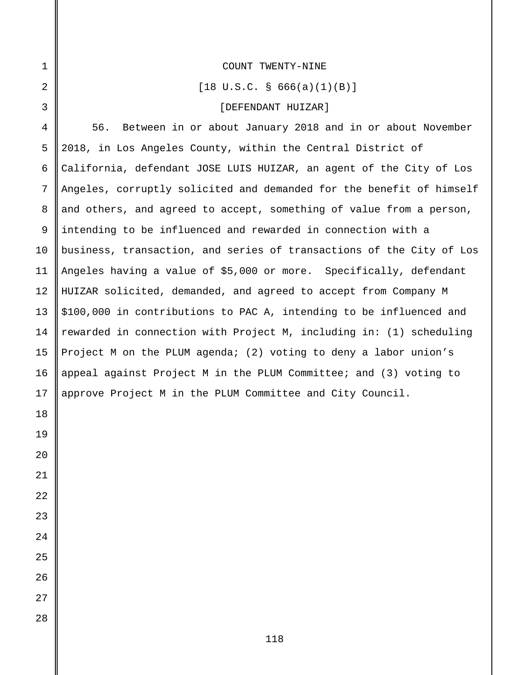#### COUNT TWENTY-NINE

 $[18 \text{ U.S.C. }$  \$ 666(a)(1)(B)]

# [DEFENDANT HUIZAR]

56. Between in or about January 2018 and in or about November 2018, in Los Angeles County, within the Central District of California, defendant JOSE LUIS HUIZAR, an agent of the City of Los Angeles, corruptly solicited and demanded for the benefit of himself and others, and agreed to accept, something of value from a person, intending to be influenced and rewarded in connection with a business, transaction, and series of transactions of the City of Los Angeles having a value of \$5,000 or more. Specifically, defendant HUIZAR solicited, demanded, and agreed to accept from Company M \$100,000 in contributions to PAC A, intending to be influenced and rewarded in connection with Project M, including in: (1) scheduling Project M on the PLUM agenda; (2) voting to deny a labor union's appeal against Project M in the PLUM Committee; and (3) voting to approve Project M in the PLUM Committee and City Council.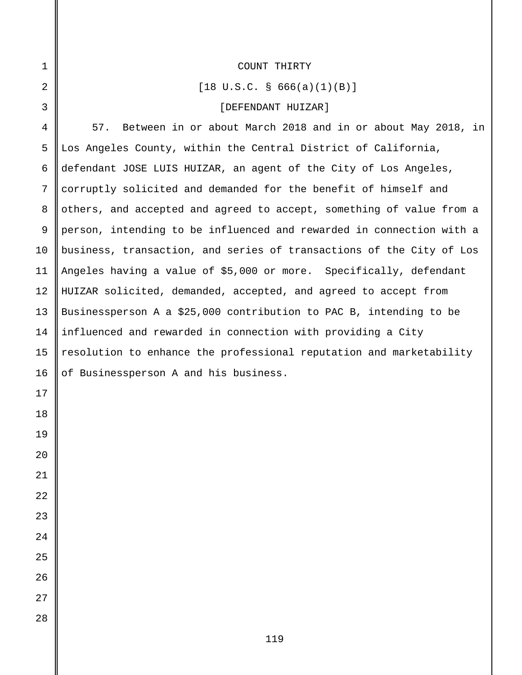### COUNT THIRTY

 $[18 \text{ U.S.C. }$  \$ 666(a)(1)(B)]

## [DEFENDANT HUIZAR]

 57. Between in or about March 2018 and in or about May 2018, in Los Angeles County, within the Central District of California, defendant JOSE LUIS HUIZAR, an agent of the City of Los Angeles, corruptly solicited and demanded for the benefit of himself and others, and accepted and agreed to accept, something of value from a person, intending to be influenced and rewarded in connection with a business, transaction, and series of transactions of the City of Los Angeles having a value of \$5,000 or more. Specifically, defendant HUIZAR solicited, demanded, accepted, and agreed to accept from Businessperson A a \$25,000 contribution to PAC B, intending to be influenced and rewarded in connection with providing a City resolution to enhance the professional reputation and marketability of Businessperson A and his business.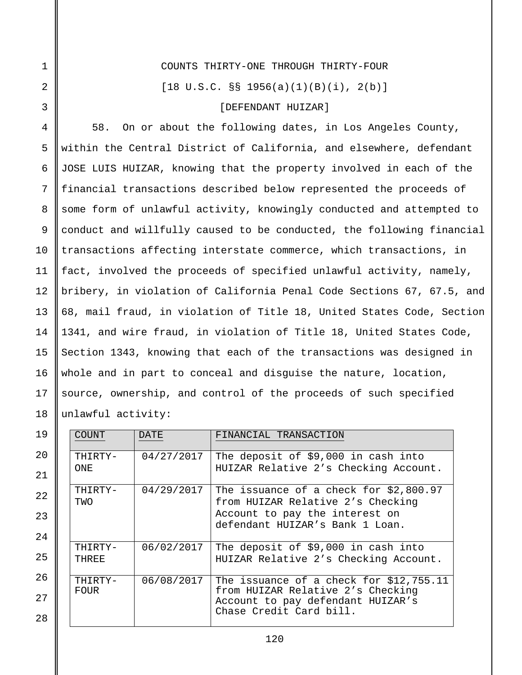## COUNTS THIRTY-ONE THROUGH THIRTY-FOUR

 $[18 \text{ U.S.C. }$   $\S$   $\S$   $1956(a)(1)(B)(i)$ ,  $2(b)$ ]

## [DEFENDANT HUIZAR]

4 5 6 7 9 12 13 14 15 18 58. On or about the following dates, in Los Angeles County, within the Central District of California, and elsewhere, defendant JOSE LUIS HUIZAR, knowing that the property involved in each of the financial transactions described below represented the proceeds of some form of unlawful activity, knowingly conducted and attempted to conduct and willfully caused to be conducted, the following financial transactions affecting interstate commerce, which transactions, in fact, involved the proceeds of specified unlawful activity, namely, bribery, in violation of California Penal Code Sections 67, 67.5, and 68, mail fraud, in violation of Title 18, United States Code, Section 1341, and wire fraud, in violation of Title 18, United States Code, Section 1343, knowing that each of the transactions was designed in whole and in part to conceal and disguise the nature, location, source, ownership, and control of the proceeds of such specified unlawful activity:

| 19 | <b>COUNT</b>   | <b>DATE</b> | FINANCIAL TRANSACTION                                                                             |
|----|----------------|-------------|---------------------------------------------------------------------------------------------------|
| 20 | THIRTY-        | 04/27/2017  | The deposit of \$9,000 in cash into                                                               |
| 21 | ONE.           |             | HUIZAR Relative 2's Checking Account.                                                             |
| 22 | THIRTY-<br>TWO | 04/29/2017  | The issuance of a check for $$2,800.97$<br>from HUIZAR Relative 2's Checking                      |
| 23 |                |             | Account to pay the interest on<br>defendant HUIZAR's Bank 1 Loan.                                 |
| 24 |                |             |                                                                                                   |
|    | THIRTY-        | 06/02/2017  | The deposit of \$9,000 in cash into                                                               |
| 25 | THREE          |             | HUIZAR Relative 2's Checking Account.                                                             |
| 26 | THIRTY-        | 06/08/2017  | The issuance of a check for \$12,755.11                                                           |
| 27 | <b>FOUR</b>    |             | from HUIZAR Relative 2's Checking<br>Account to pay defendant HUIZAR's<br>Chase Credit Card bill. |
| 28 |                |             |                                                                                                   |

|    | 4  |
|----|----|
|    | 5  |
|    | 6  |
|    | 7  |
|    | 8  |
|    | 9  |
| 10 |    |
|    | 11 |
|    | 12 |
| 13 |    |
| 14 |    |
| 15 |    |
| 16 |    |
| 17 |    |

1

2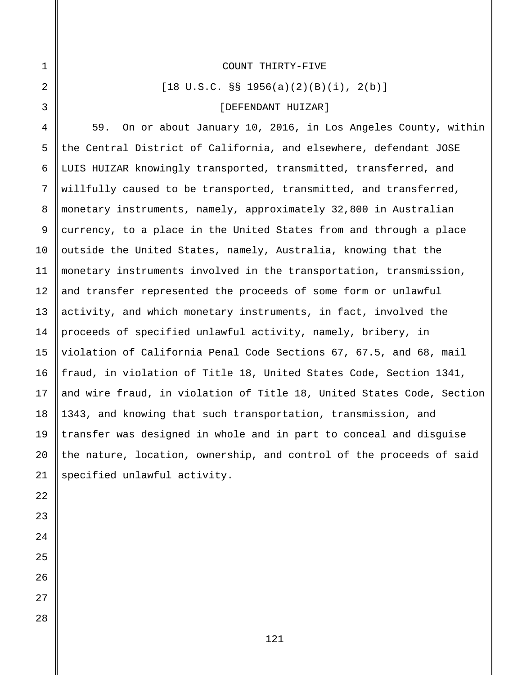#### COUNT THIRTY-FIVE

 $[18 \text{ U.S.C. }$   $\S$   $\S$   $1956(a)(2)(B)(i)$ ,  $2(b)$ ]

#### [DEFENDANT HUIZAR]

59. On or about January 10, 2016, in Los Angeles County, within the Central District of California, and elsewhere, defendant JOSE LUIS HUIZAR knowingly transported, transmitted, transferred, and willfully caused to be transported, transmitted, and transferred, monetary instruments, namely, approximately 32,800 in Australian currency, to a place in the United States from and through a place outside the United States, namely, Australia, knowing that the monetary instruments involved in the transportation, transmission, and transfer represented the proceeds of some form or unlawful activity, and which monetary instruments, in fact, involved the proceeds of specified unlawful activity, namely, bribery, in violation of California Penal Code Sections 67, 67.5, and 68, mail fraud, in violation of Title 18, United States Code, Section 1341, and wire fraud, in violation of Title 18, United States Code, Section 1343, and knowing that such transportation, transmission, and transfer was designed in whole and in part to conceal and disguise the nature, location, ownership, and control of the proceeds of said specified unlawful activity.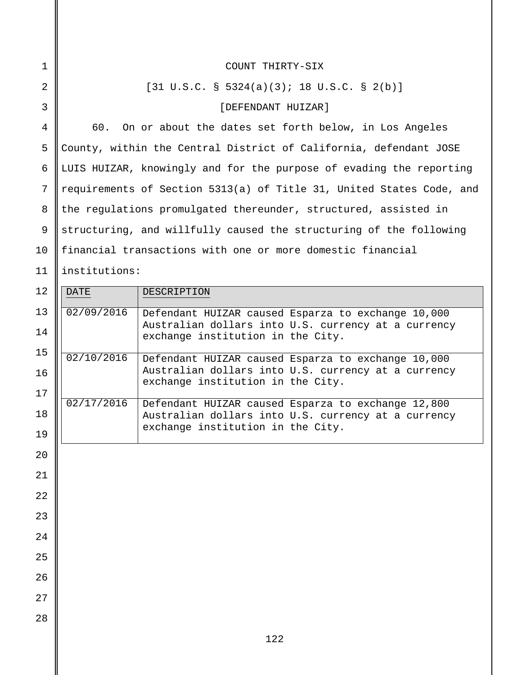| COUNT THIRTY-SIX                                                     |
|----------------------------------------------------------------------|
| $[31 \text{ U.S.C. }$ 5324(a)(3); 18 U.S.C. § 2(b)]                  |
| [DEFENDANT HUIZAR]                                                   |
| 60. On or about the dates set forth below, in Los Angeles            |
| County, within the Central District of California, defendant JOSE    |
| LUIS HUIZAR, knowingly and for the purpose of evading the reporting  |
| requirements of Section 5313(a) of Title 31, United States Code, and |
| the regulations promulgated thereunder, structured, assisted in      |
| structuring, and willfully caused the structuring of the following   |
| financial transactions with one or more domestic financial           |
| institutions:                                                        |

| 12 | <b>DATE</b> | DESCRIPTION                                                                                               |
|----|-------------|-----------------------------------------------------------------------------------------------------------|
| 13 | 02/09/2016  | Defendant HUIZAR caused Esparza to exchange 10,000                                                        |
| 14 |             | Australian dollars into U.S. currency at a currency<br>exchange institution in the City.                  |
| 15 | 02/10/2016  |                                                                                                           |
| 16 |             | Defendant HUIZAR caused Esparza to exchange 10,000<br>Australian dollars into U.S. currency at a currency |
| 17 |             | exchange institution in the City.                                                                         |
|    | 02/17/2016  | Defendant HUIZAR caused Esparza to exchange 12,800                                                        |
| 18 |             | Australian dollars into U.S. currency at a currency<br>exchange institution in the City.                  |
| 19 |             |                                                                                                           |
| 20 |             |                                                                                                           |
| 21 |             |                                                                                                           |
| 22 |             |                                                                                                           |
| 23 |             |                                                                                                           |
|    |             |                                                                                                           |
| 24 |             |                                                                                                           |
| 25 |             |                                                                                                           |
| 26 |             |                                                                                                           |
| 27 |             |                                                                                                           |
| 28 |             |                                                                                                           |
|    |             |                                                                                                           |
|    |             | 122                                                                                                       |

2

1

3

4

5

6

7

8

9

10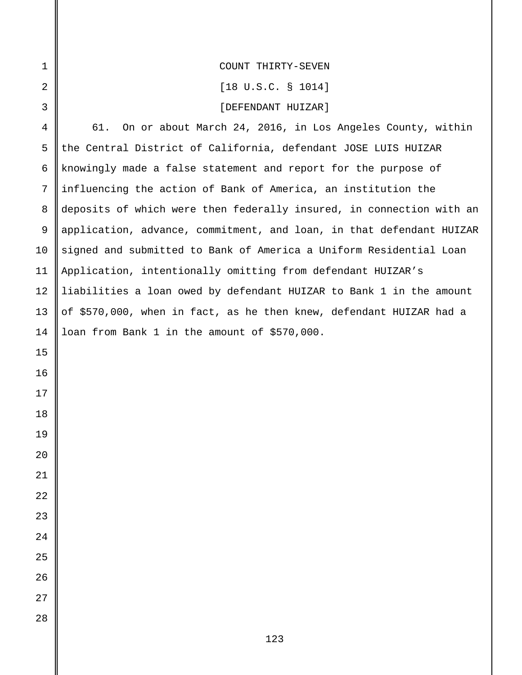| COUNT THIRTY-SEVEN |
|--------------------|
|                    |

[18 U.S.C. § 1014]

# [DEFENDANT HUIZAR]

61. On or about March 24, 2016, in Los Angeles County, within the Central District of California, defendant JOSE LUIS HUIZAR knowingly made a false statement and report for the purpose of influencing the action of Bank of America, an institution the deposits of which were then federally insured, in connection with an application, advance, commitment, and loan, in that defendant HUIZAR signed and submitted to Bank of America a Uniform Residential Loan Application, intentionally omitting from defendant HUIZAR's liabilities a loan owed by defendant HUIZAR to Bank 1 in the amount of \$570,000, when in fact, as he then knew, defendant HUIZAR had a loan from Bank 1 in the amount of \$570,000.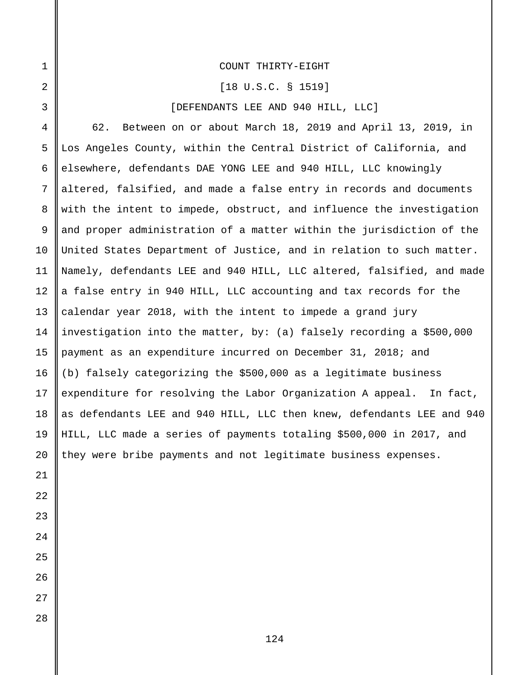### COUNT THIRTY-EIGHT

#### [18 U.S.C. § 1519]

# [DEFENDANTS LEE AND 940 HILL, LLC]

62. Between on or about March 18, 2019 and April 13, 2019, in Los Angeles County, within the Central District of California, and elsewhere, defendants DAE YONG LEE and 940 HILL, LLC knowingly altered, falsified, and made a false entry in records and documents with the intent to impede, obstruct, and influence the investigation and proper administration of a matter within the jurisdiction of the United States Department of Justice, and in relation to such matter. Namely, defendants LEE and 940 HILL, LLC altered, falsified, and made a false entry in 940 HILL, LLC accounting and tax records for the calendar year 2018, with the intent to impede a grand jury investigation into the matter, by: (a) falsely recording a \$500,000 payment as an expenditure incurred on December 31, 2018; and (b) falsely categorizing the \$500,000 as a legitimate business expenditure for resolving the Labor Organization A appeal. In fact, as defendants LEE and 940 HILL, LLC then knew, defendants LEE and 940 HILL, LLC made a series of payments totaling \$500,000 in 2017, and they were bribe payments and not legitimate business expenses.

1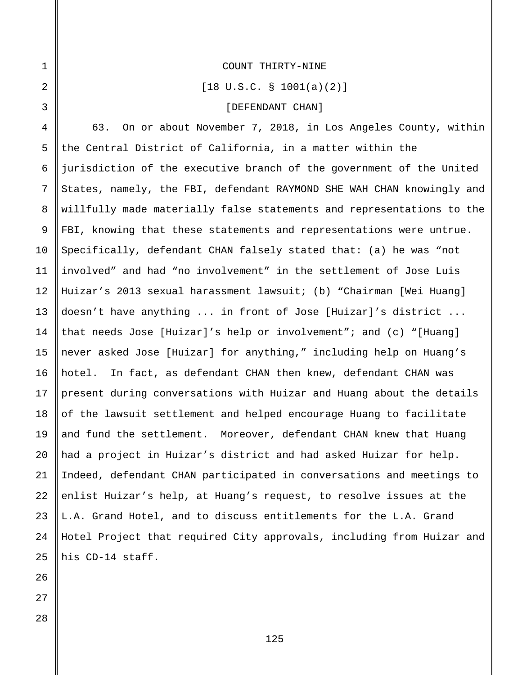#### COUNT THIRTY-NINE

[18 U.S.C. § 1001(a)(2)]

# [DEFENDANT CHAN]

4 5 6 7 8 9 63. On or about November 7, 2018, in Los Angeles County, within the Central District of California, in a matter within the jurisdiction of the executive branch of the government of the United States, namely, the FBI, defendant RAYMOND SHE WAH CHAN knowingly and willfully made materially false statements and representations to the FBI, knowing that these statements and representations were untrue. Specifically, defendant CHAN falsely stated that: (a) he was "not involved" and had "no involvement" in the settlement of Jose Luis Huizar's 2013 sexual harassment lawsuit; (b) "Chairman [Wei Huang] doesn't have anything ... in front of Jose [Huizar]'s district ... that needs Jose [Huizar]'s help or involvement"; and (c) "[Huang] never asked Jose [Huizar] for anything," including help on Huang's hotel. In fact, as defendant CHAN then knew, defendant CHAN was present during conversations with Huizar and Huang about the details of the lawsuit settlement and helped encourage Huang to facilitate and fund the settlement. Moreover, defendant CHAN knew that Huang had a project in Huizar's district and had asked Huizar for help. Indeed, defendant CHAN participated in conversations and meetings to enlist Huizar's help, at Huang's request, to resolve issues at the L.A. Grand Hotel, and to discuss entitlements for the L.A. Grand Hotel Project that required City approvals, including from Huizar and his CD-14 staff.

1

2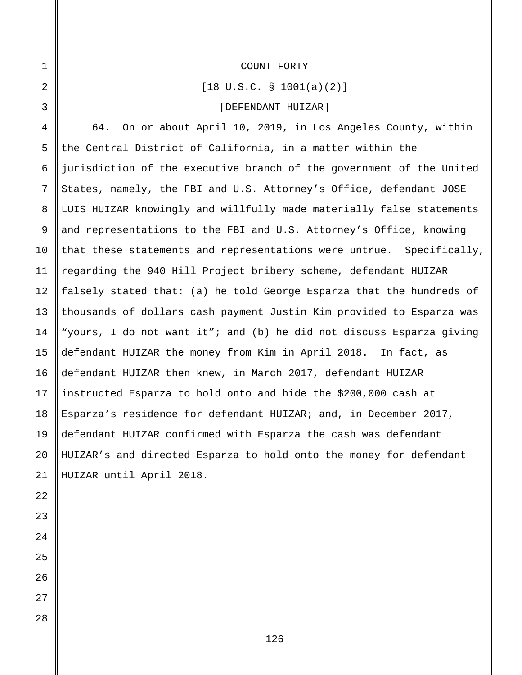[18 U.S.C. § 1001(a)(2)]

### [DEFENDANT HUIZAR]

4 5 6 7 8 9 10 64. On or about April 10, 2019, in Los Angeles County, within the Central District of California, in a matter within the jurisdiction of the executive branch of the government of the United States, namely, the FBI and U.S. Attorney's Office, defendant JOSE LUIS HUIZAR knowingly and willfully made materially false statements and representations to the FBI and U.S. Attorney's Office, knowing that these statements and representations were untrue. Specifically, regarding the 940 Hill Project bribery scheme, defendant HUIZAR falsely stated that: (a) he told George Esparza that the hundreds of thousands of dollars cash payment Justin Kim provided to Esparza was "yours, I do not want it"; and (b) he did not discuss Esparza giving defendant HUIZAR the money from Kim in April 2018. In fact, as defendant HUIZAR then knew, in March 2017, defendant HUIZAR instructed Esparza to hold onto and hide the \$200,000 cash at Esparza's residence for defendant HUIZAR; and, in December 2017, defendant HUIZAR confirmed with Esparza the cash was defendant HUIZAR's and directed Esparza to hold onto the money for defendant HUIZAR until April 2018.

1

2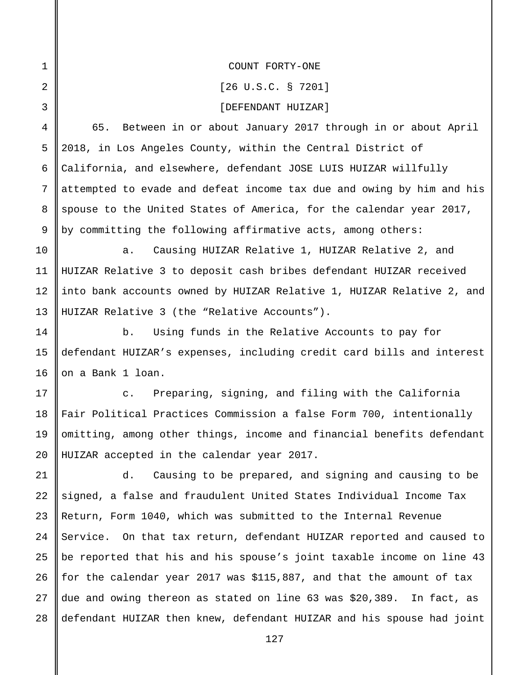COUNT FORTY-ONE

1

2

3

10

11

12

13

14

15

16

[26 U.S.C. § 7201]

[DEFENDANT HUIZAR]

4 5 6 7 8 9 65. Between in or about January 2017 through in or about April 2018, in Los Angeles County, within the Central District of California, and elsewhere, defendant JOSE LUIS HUIZAR willfully attempted to evade and defeat income tax due and owing by him and his spouse to the United States of America, for the calendar year 2017, by committing the following affirmative acts, among others:

a. Causing HUIZAR Relative 1, HUIZAR Relative 2, and HUIZAR Relative 3 to deposit cash bribes defendant HUIZAR received into bank accounts owned by HUIZAR Relative 1, HUIZAR Relative 2, and HUIZAR Relative 3 (the "Relative Accounts").

b. Using funds in the Relative Accounts to pay for defendant HUIZAR's expenses, including credit card bills and interest on a Bank 1 loan.

17 18 19 20 c. Preparing, signing, and filing with the California Fair Political Practices Commission a false Form 700, intentionally omitting, among other things, income and financial benefits defendant HUIZAR accepted in the calendar year 2017.

21 22 23 24 25 26 27 28 d. Causing to be prepared, and signing and causing to be signed, a false and fraudulent United States Individual Income Tax Return, Form 1040, which was submitted to the Internal Revenue Service. On that tax return, defendant HUIZAR reported and caused to be reported that his and his spouse's joint taxable income on line 43 for the calendar year 2017 was \$115,887, and that the amount of tax due and owing thereon as stated on line 63 was \$20,389. In fact, as defendant HUIZAR then knew, defendant HUIZAR and his spouse had joint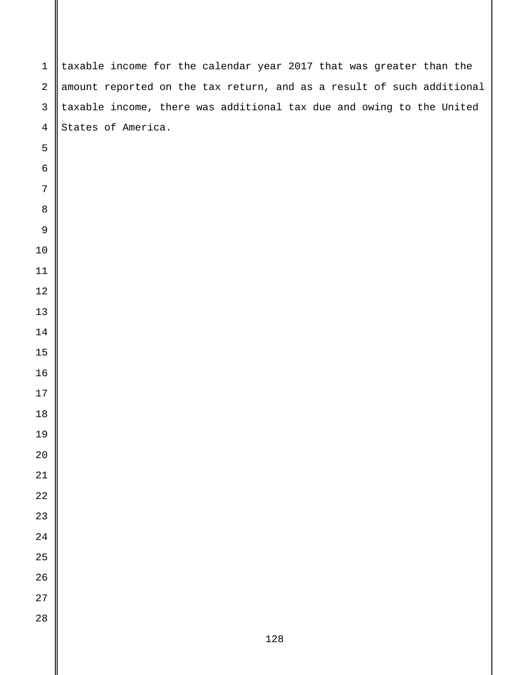| $\mathbf{1}$     | taxable income for the calendar year 2017 that was greater than the   |
|------------------|-----------------------------------------------------------------------|
| $\overline{a}$   | amount reported on the tax return, and as a result of such additional |
| $\mathfrak{Z}$   | taxable income, there was additional tax due and owing to the United  |
| $\overline{4}$   | States of America.                                                    |
| 5                |                                                                       |
| 6                |                                                                       |
| 7                |                                                                       |
| $\,8\,$          |                                                                       |
| 9                |                                                                       |
| 10               |                                                                       |
| 11               |                                                                       |
| 12               |                                                                       |
| 13               |                                                                       |
| 14               |                                                                       |
| 15               |                                                                       |
| 16               |                                                                       |
| 17               |                                                                       |
| 18               |                                                                       |
| 19               |                                                                       |
| $2\,0$<br>$21\,$ |                                                                       |
| $2\sqrt{2}$      |                                                                       |
| 23               |                                                                       |
| $2\sqrt{4}$      |                                                                       |
| 25               |                                                                       |
| $26\,$           |                                                                       |
| $27\,$           |                                                                       |
| $28\,$           |                                                                       |
|                  | 128                                                                   |
|                  |                                                                       |

 $\mathsf{I}$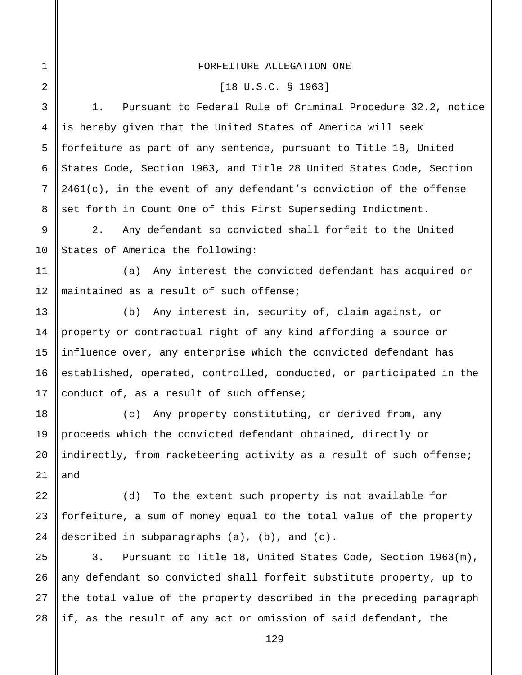### FORFEITURE ALLEGATION ONE

1

2

9

10

13

15

16

17

18

19

20

21

#### [18 U.S.C. § 1963]

3 4 5 6 7 8 1. Pursuant to Federal Rule of Criminal Procedure 32.2, notice is hereby given that the United States of America will seek forfeiture as part of any sentence, pursuant to Title 18, United States Code, Section 1963, and Title 28 United States Code, Section  $2461(c)$ , in the event of any defendant's conviction of the offense set forth in Count One of this First Superseding Indictment.

2. Any defendant so convicted shall forfeit to the United States of America the following:

11 12 (a) Any interest the convicted defendant has acquired or maintained as a result of such offense;

14 (b) Any interest in, security of, claim against, or property or contractual right of any kind affording a source or influence over, any enterprise which the convicted defendant has established, operated, controlled, conducted, or participated in the conduct of, as a result of such offense;

(c) Any property constituting, or derived from, any proceeds which the convicted defendant obtained, directly or indirectly, from racketeering activity as a result of such offense; and

22 23 24 (d) To the extent such property is not available for forfeiture, a sum of money equal to the total value of the property described in subparagraphs (a), (b), and (c).

25 26 27 28 3. Pursuant to Title 18, United States Code, Section 1963(m), any defendant so convicted shall forfeit substitute property, up to the total value of the property described in the preceding paragraph if, as the result of any act or omission of said defendant, the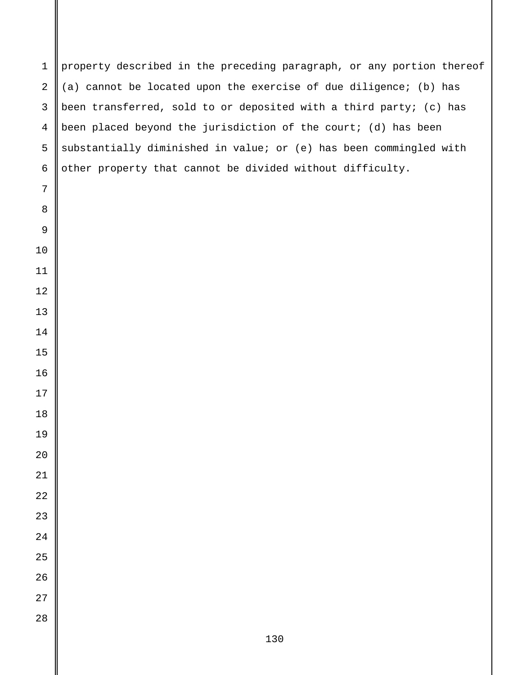property described in the preceding paragraph, or any portion thereof (a) cannot be located upon the exercise of due diligence; (b) has been transferred, sold to or deposited with a third party; (c) has been placed beyond the jurisdiction of the court; (d) has been substantially diminished in value; or (e) has been commingled with other property that cannot be divided without difficulty.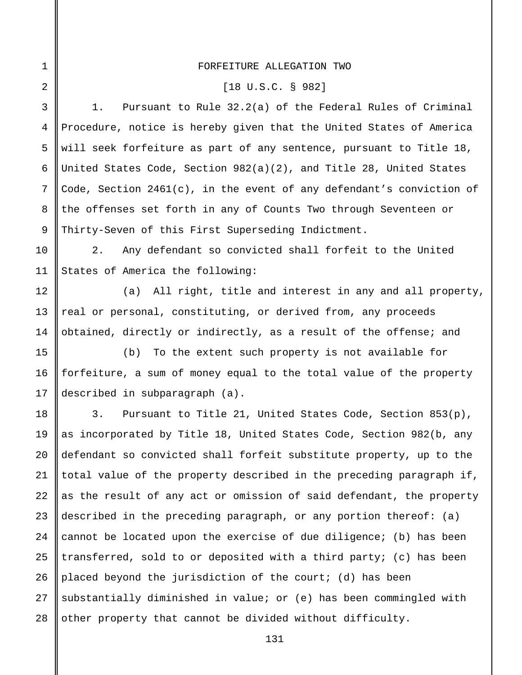### FORFEITURE ALLEGATION TWO

1

2

10

11

12

13

14

15

16

17

#### [18 U.S.C. § 982]

3 4 5 6 7 8 9 1. Pursuant to Rule 32.2(a) of the Federal Rules of Criminal Procedure, notice is hereby given that the United States of America will seek forfeiture as part of any sentence, pursuant to Title 18, United States Code, Section 982(a)(2), and Title 28, United States Code, Section  $2461(c)$ , in the event of any defendant's conviction of the offenses set forth in any of Counts Two through Seventeen or Thirty-Seven of this First Superseding Indictment.

2. Any defendant so convicted shall forfeit to the United States of America the following:

(a) All right, title and interest in any and all property, real or personal, constituting, or derived from, any proceeds obtained, directly or indirectly, as a result of the offense; and

(b) To the extent such property is not available for forfeiture, a sum of money equal to the total value of the property described in subparagraph (a).

18 19  $2.0$ 21 22 23 24 25 26 27 28 3. Pursuant to Title 21, United States Code, Section 853(p), as incorporated by Title 18, United States Code, Section 982(b, any defendant so convicted shall forfeit substitute property, up to the total value of the property described in the preceding paragraph if, as the result of any act or omission of said defendant, the property described in the preceding paragraph, or any portion thereof: (a) cannot be located upon the exercise of due diligence; (b) has been transferred, sold to or deposited with a third party; (c) has been placed beyond the jurisdiction of the court; (d) has been substantially diminished in value; or (e) has been commingled with other property that cannot be divided without difficulty.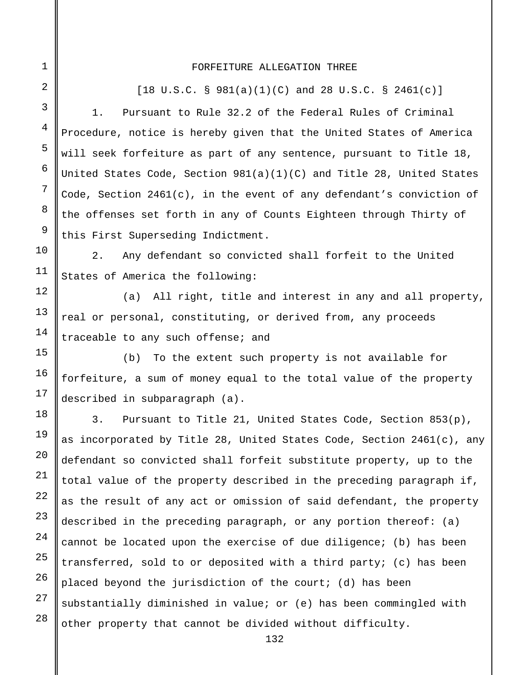#### FORFEITURE ALLEGATION THREE

28

 $[18 \text{ U.S.C. } § 981(a)(1)(C) \text{ and } 28 \text{ U.S.C. } § 2461(c)]$ 

1. Pursuant to Rule 32.2 of the Federal Rules of Criminal Procedure, notice is hereby given that the United States of America will seek forfeiture as part of any sentence, pursuant to Title 18, United States Code, Section 981(a)(1)(C) and Title 28, United States Code, Section 2461(c), in the event of any defendant's conviction of the offenses set forth in any of Counts Eighteen through Thirty of this First Superseding Indictment.

2. Any defendant so convicted shall forfeit to the United States of America the following:

(a) All right, title and interest in any and all property, real or personal, constituting, or derived from, any proceeds traceable to any such offense; and

(b) To the extent such property is not available for forfeiture, a sum of money equal to the total value of the property described in subparagraph (a).

3. Pursuant to Title 21, United States Code, Section 853(p), as incorporated by Title 28, United States Code, Section 2461(c), any defendant so convicted shall forfeit substitute property, up to the total value of the property described in the preceding paragraph if, as the result of any act or omission of said defendant, the property described in the preceding paragraph, or any portion thereof: (a) cannot be located upon the exercise of due diligence; (b) has been transferred, sold to or deposited with a third party; (c) has been placed beyond the jurisdiction of the court; (d) has been substantially diminished in value; or (e) has been commingled with other property that cannot be divided without difficulty.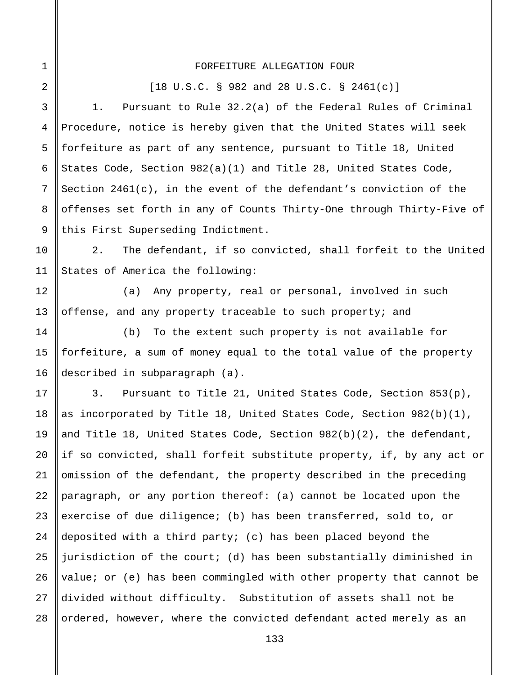#### FORFEITURE ALLEGATION FOUR

1

2

10

11

12

13

14

15

16

[18 U.S.C. § 982 and 28 U.S.C. § 2461(c)]

3 4 5 6 7 8 9 1. Pursuant to Rule 32.2(a) of the Federal Rules of Criminal Procedure, notice is hereby given that the United States will seek forfeiture as part of any sentence, pursuant to Title 18, United States Code, Section 982(a)(1) and Title 28, United States Code, Section 2461(c), in the event of the defendant's conviction of the offenses set forth in any of Counts Thirty-One through Thirty-Five of this First Superseding Indictment.

2. The defendant, if so convicted, shall forfeit to the United States of America the following:

(a) Any property, real or personal, involved in such offense, and any property traceable to such property; and

(b) To the extent such property is not available for forfeiture, a sum of money equal to the total value of the property described in subparagraph (a).

17 18 19 20 21 22 23 24 25 26 27 28 3. Pursuant to Title 21, United States Code, Section 853(p), as incorporated by Title 18, United States Code, Section 982(b)(1), and Title 18, United States Code, Section 982(b)(2), the defendant, if so convicted, shall forfeit substitute property, if, by any act or omission of the defendant, the property described in the preceding paragraph, or any portion thereof: (a) cannot be located upon the exercise of due diligence; (b) has been transferred, sold to, or deposited with a third party; (c) has been placed beyond the jurisdiction of the court; (d) has been substantially diminished in value; or (e) has been commingled with other property that cannot be divided without difficulty. Substitution of assets shall not be ordered, however, where the convicted defendant acted merely as an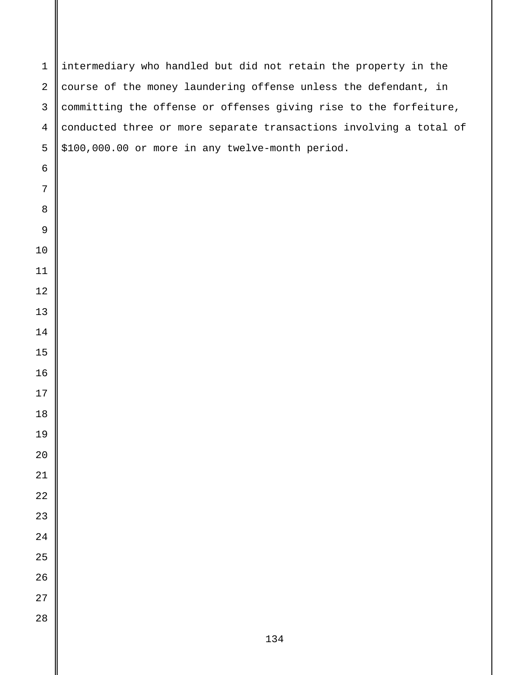intermediary who handled but did not retain the property in the course of the money laundering offense unless the defendant, in committing the offense or offenses giving rise to the forfeiture, conducted three or more separate transactions involving a total of \$100,000.00 or more in any twelve-month period.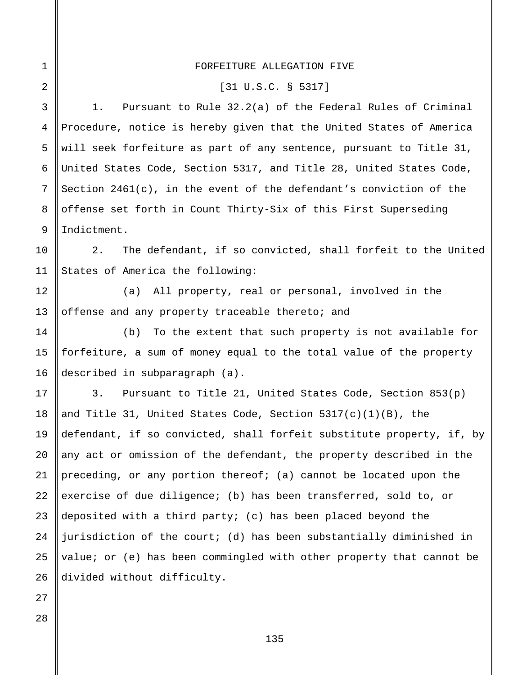| $\mathbf 1$    | FORFEITURE ALLEGATION FIVE                                            |
|----------------|-----------------------------------------------------------------------|
| 2              | $[31 \, U.S.C. \, S. 5317]$                                           |
| 3              | Pursuant to Rule $32.2(a)$ of the Federal Rules of Criminal<br>1.     |
| $\overline{4}$ | Procedure, notice is hereby given that the United States of America   |
| 5              | will seek forfeiture as part of any sentence, pursuant to Title 31,   |
| 6              | United States Code, Section 5317, and Title 28, United States Code,   |
| 7              | Section $2461(c)$ , in the event of the defendant's conviction of the |
| 8              | offense set forth in Count Thirty-Six of this First Superseding       |
| 9              | Indictment.                                                           |
| 10             | The defendant, if so convicted, shall forfeit to the United<br>2.     |
| 11             | States of America the following:                                      |
| 12             | (a) All property, real or personal, involved in the                   |
| 13             | offense and any property traceable thereto; and                       |
| 14             | To the extent that such property is not available for<br>(b)          |
| 15             | forfeiture, a sum of money equal to the total value of the property   |
| 16             | described in subparagraph (a).                                        |
| 17             | Pursuant to Title 21, United States Code, Section $853(p)$<br>3.      |
| 18             | and Title 31, United States Code, Section $5317(c)(1)(B)$ , the       |
| 19             | defendant, if so convicted, shall forfeit substitute property, if, by |
| 20             | any act or omission of the defendant, the property described in the   |
| 21             | preceding, or any portion thereof; (a) cannot be located upon the     |
| 22             | exercise of due diligence; (b) has been transferred, sold to, or      |
| 23             | deposited with a third party; $(c)$ has been placed beyond the        |
| 24             | jurisdiction of the court; (d) has been substantially diminished in   |
| 25             | value; or (e) has been commingled with other property that cannot be  |
| 26             | divided without difficulty.                                           |
| 27             |                                                                       |
| 28             |                                                                       |

# FORFEITURE ALLEGATION FIVE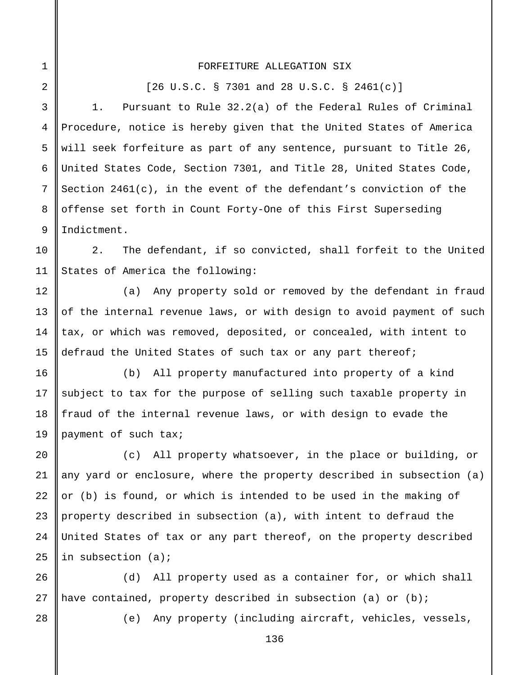### FORFEITURE ALLEGATION SIX

[26 U.S.C. § 7301 and 28 U.S.C. § 2461(c)]

1. Pursuant to Rule 32.2(a) of the Federal Rules of Criminal Procedure, notice is hereby given that the United States of America will seek forfeiture as part of any sentence, pursuant to Title 26, United States Code, Section 7301, and Title 28, United States Code, Section  $2461(c)$ , in the event of the defendant's conviction of the offense set forth in Count Forty-One of this First Superseding Indictment.

10 11 2. The defendant, if so convicted, shall forfeit to the United States of America the following:

(a) Any property sold or removed by the defendant in fraud of the internal revenue laws, or with design to avoid payment of such tax, or which was removed, deposited, or concealed, with intent to defraud the United States of such tax or any part thereof;

16 17 18 19 (b) All property manufactured into property of a kind subject to tax for the purpose of selling such taxable property in fraud of the internal revenue laws, or with design to evade the payment of such tax;

20 21 22 23 24 25 (c) All property whatsoever, in the place or building, or any yard or enclosure, where the property described in subsection (a) or (b) is found, or which is intended to be used in the making of property described in subsection (a), with intent to defraud the United States of tax or any part thereof, on the property described in subsection (a);

26 27 (d) All property used as a container for, or which shall have contained, property described in subsection (a) or  $(b)$ ;

28

1

2

3

4

5

6

7

8

9

12

13

14

15

(e) Any property (including aircraft, vehicles, vessels,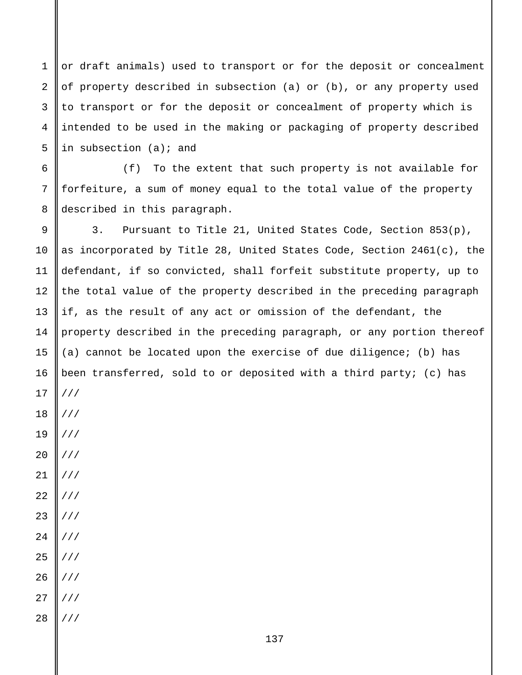or draft animals) used to transport or for the deposit or concealment of property described in subsection (a) or (b), or any property used to transport or for the deposit or concealment of property which is intended to be used in the making or packaging of property described in subsection (a); and

1

2

3

4

5

6 7 8 (f) To the extent that such property is not available for forfeiture, a sum of money equal to the total value of the property described in this paragraph.

9 10 11 12 13 14 15 16 17 18 19 20 21 22 23 24 25 26 27 28 3. Pursuant to Title 21, United States Code, Section 853(p), as incorporated by Title 28, United States Code, Section 2461(c), the defendant, if so convicted, shall forfeit substitute property, up to the total value of the property described in the preceding paragraph if, as the result of any act or omission of the defendant, the property described in the preceding paragraph, or any portion thereof (a) cannot be located upon the exercise of due diligence; (b) has been transferred, sold to or deposited with a third party; (c) has /// /// /// /// /// /// /// /// /// /// /// ///